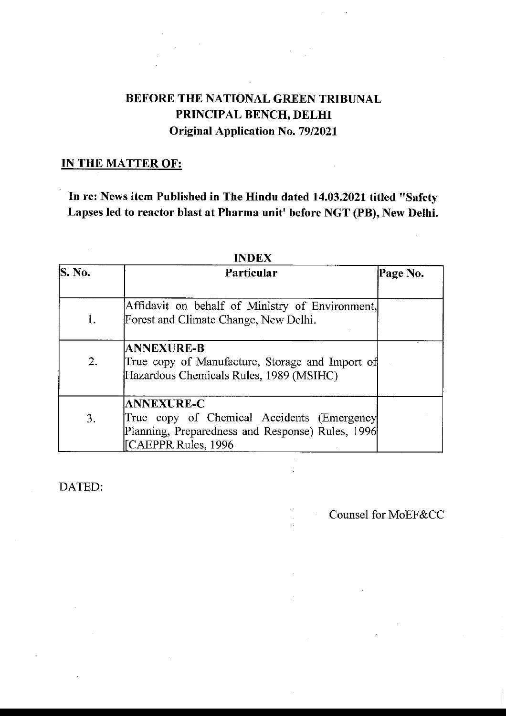# BEFORE THE NATIONAL GREEN TRIBUNAL PRINCIPAL BENCH, DELHI **Original Application No. 79/2021**

# **IN THE MATTER OF:**

In re: News item Published in The Hindu dated 14.03.2021 titled "Safety Lapses led to reactor blast at Pharma unit' before NGT (PB), New Delhi.

| S. No. | Particular                                                                                                                                |  |
|--------|-------------------------------------------------------------------------------------------------------------------------------------------|--|
| 1.     | Affidavit on behalf of Ministry of Environment,<br>Forest and Climate Change, New Delhi.                                                  |  |
| 2.     | <b>ANNEXURE-B</b><br>True copy of Manufacture, Storage and Import of<br>Hazardous Chemicals Rules, 1989 (MSIHC)                           |  |
| 3.     | <b>ANNEXURE-C</b><br>True copy of Chemical Accidents (Emergency<br>Planning, Preparedness and Response) Rules, 1996<br>CAEPPR Rules, 1996 |  |

# **INDEX**

DATED:

Counsel for MoEF&CC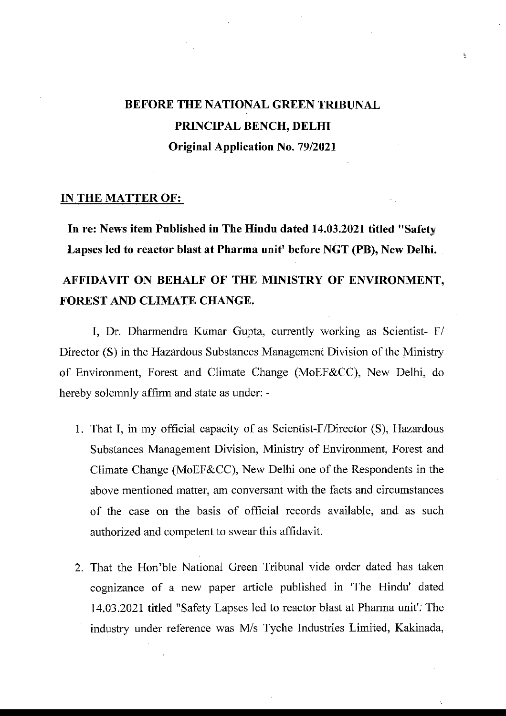# BEFORE THE NATIONAL GREEN TRIBUNAL PRINCIPAL BENCH, DELHI **Original Application No. 79/2021**

 $\mathbf{k}_\mathrm{c}$ 

#### **IN THE MATTER OF:**

In re: News item Published in The Hindu dated 14.03.2021 titled "Safety Lapses led to reactor blast at Pharma unit' before NGT (PB), New Delhi.

# AFFIDAVIT ON BEHALF OF THE MINISTRY OF ENVIRONMENT, **FOREST AND CLIMATE CHANGE.**

I, Dr. Dharmendra Kumar Gupta, currently working as Scientist- F/ Director (S) in the Hazardous Substances Management Division of the Ministry of Environment, Forest and Climate Change (MoEF&CC), New Delhi, do hereby solemnly affirm and state as under: -

- 1. That I, in my official capacity of as Scientist-F/Director (S), Hazardous Substances Management Division, Ministry of Environment, Forest and Climate Change (MoEF&CC), New Delhi one of the Respondents in the above mentioned matter, am conversant with the facts and circumstances of the case on the basis of official records available, and as such authorized and competent to swear this affidavit.
- 2. That the Hon'ble National Green Tribunal vide order dated has taken cognizance of a new paper article published in 'The Hindu' dated 14.03.2021 titled "Safety Lapses led to reactor blast at Pharma unit". The industry under reference was M/s Tyche Industries Limited, Kakinada,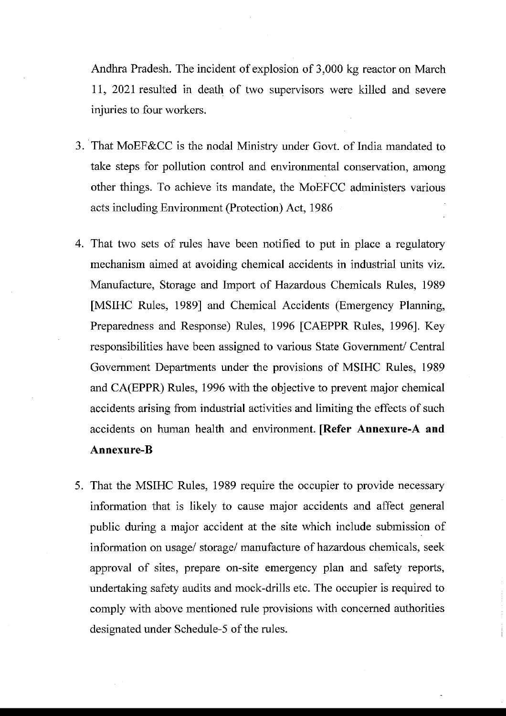Andhra Pradesh. The incident of explosion of 3,000 kg reactor on March 11, 2021 resulted in death of two supervisors were killed and seyere injuries to four workers.

- 3. That MoEF&CC is the nodal Ministry under Govt. of India mandated to take steps for pollution control and environmental conservation, among other things. To achieve its mandate, the MoEFCC administers various acts including Environment (Protection) Act, 1986
- 4. That two sets of rules have been notified to put in place a regulatory mechanism aimed at avoiding chemical accidents in industrial units viz. Manufacture, Storage and Import of Hazardous Chemicals Rules, 1989 [MSIHC Rules, 1989] and Chemical Accidents (Emergency Planning, Preparedness and Response) Rules, 1996 [CAEPPR Rules, 1996]. Key responsibilities have been assigned to various State Government/ Central Government Departments under the provisions of MSIHC Rules, 1989 and CA(EPPR) Rules, 1996 with the objective to prevent major chemical accidents arising from industrial activities and limiting the effects of such accidents on human health and environment. [Refer Annexure-A and Annexure-B
- 5. That the MSIHC Rules, 1989 require the occupier to provide necessary information that is likely to cause major accidents and affect general public during a major accident at the site which include submission of information on usage/ storage/ manufacture of hazardous chemicals, seek approval of sites, prepare on-site emergency plan and safety reports, undertaking safety audits and mock-drills etc. The occupier is required to comply with above mentioned rule provisions with concerned authorities designated under Schedule-5 of the rules.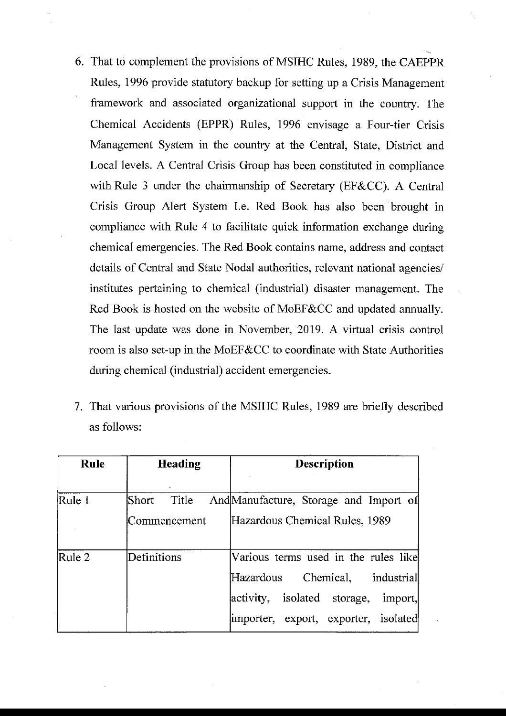- 6. That to complement the provisions of MSIHC Rules, 1989, the CAEPPR Rules, 1996 provide statutory backup for setting up a Crisis Management framework and associated organizational support in the country. The Chemical Accidents (EPPR) Rules, 1996 envisage a Four-tier Crisis Management System in the country at the Central, State, District and Local levels. A Central Crisis Group has been constituted in compliance with Rule 3 under the chairmanship of Secretary (EF&CC). A Central Crisis Group Alert System I.e. Red Book has also been brought in compliance with Rule 4 to facilitate quick information exchange during chemical emergencies. The Red Book contains name, address and contact details of Central and State Nodal authorities, relevant national agencies/ institutes pertaining to chemical (industrial) disaster management. The Red Book is hosted on the website of MoEF&CC and updated annually. The last update was done in November, 2019. A virtual crisis control room is also set-up in the MoEF&CC to coordinate with State Authorities during chemical (industrial) accident emergencies.
- 7. That various provisions of the MSIHC Rules, 1989 are briefly described as follows:

| <b>Heading</b> | <b>Description</b>                                                             |
|----------------|--------------------------------------------------------------------------------|
|                |                                                                                |
| Short Title    | And Manufacture, Storage and Import of                                         |
| Commencement   | Hazardous Chemical Rules, 1989                                                 |
| Definitions    | Various terms used in the rules like<br>Chemical, industrial<br>Hazardous      |
|                | activity, isolated storage,<br>import,<br>importer, export, exporter, isolated |
|                |                                                                                |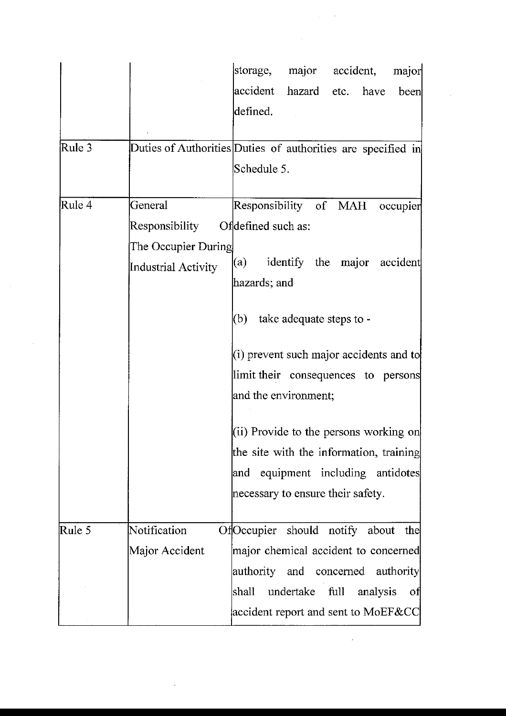|        |                            | major accident,<br>storage,<br>major                                        |
|--------|----------------------------|-----------------------------------------------------------------------------|
|        |                            | accident<br>hazard etc. have<br>been                                        |
|        |                            | defined.                                                                    |
| Rule 3 |                            | Duties of Authorities Duties of authorities are specified in<br>Schedule 5. |
|        |                            |                                                                             |
| Rule 4 | General                    | Responsibility of MAH<br>occupier                                           |
|        | Responsibility             | Ofdefined such as:                                                          |
|        | The Occupier During        |                                                                             |
|        | <b>Industrial Activity</b> | identify the major<br>accident<br>(a)                                       |
|        |                            | hazards; and                                                                |
|        |                            | take adequate steps to -<br>(b)                                             |
|        |                            | $(i)$ prevent such major accidents and to                                   |
|        |                            | limit their consequences to persons                                         |
|        |                            | and the environment;                                                        |
|        |                            | $(i)$ Provide to the persons working on                                     |
|        |                            | the site with the information, training                                     |
|        |                            | equipment including antidotes<br> and                                       |
|        |                            | necessary to ensure their safety.                                           |
| Rule 5 | Notification               | Of Occupier should notify about the                                         |
|        | Major Accident             | major chemical accident to concerned                                        |
|        |                            | authority and concerned authority                                           |
|        |                            | undertake full<br>shall<br>analysis<br>-ofl                                 |
|        |                            | accident report and sent to MoEF&CC                                         |
|        |                            |                                                                             |

 $\frac{1}{2} \sum_{i=1}^{n} \frac{1}{2} \sum_{j=1}^{n} \frac{1}{2} \sum_{j=1}^{n} \frac{1}{2} \sum_{j=1}^{n} \frac{1}{2} \sum_{j=1}^{n} \frac{1}{2} \sum_{j=1}^{n} \frac{1}{2} \sum_{j=1}^{n} \frac{1}{2} \sum_{j=1}^{n} \frac{1}{2} \sum_{j=1}^{n} \frac{1}{2} \sum_{j=1}^{n} \frac{1}{2} \sum_{j=1}^{n} \frac{1}{2} \sum_{j=1}^{n} \frac{1}{2} \sum_{j=1}^{n$ 

 $\label{eq:2.1} \mathcal{L}^{\text{max}}_{\text{max}}(\mathbf{r},\mathbf{r}) = \mathcal{L}^{\text{max}}_{\text{max}}(\mathbf{r},\mathbf{r})$ 

 $\mathcal{L}_{\mathcal{L}}$ 

 $\sim$   $\sim$ 

 $\label{eq:2.1} \frac{1}{\sqrt{2}}\left(\frac{1}{\sqrt{2}}\right)^{2} \left(\frac{1}{\sqrt{2}}\right)^{2} \left(\frac{1}{\sqrt{2}}\right)^{2} \left(\frac{1}{\sqrt{2}}\right)^{2} \left(\frac{1}{\sqrt{2}}\right)^{2} \left(\frac{1}{\sqrt{2}}\right)^{2} \left(\frac{1}{\sqrt{2}}\right)^{2} \left(\frac{1}{\sqrt{2}}\right)^{2} \left(\frac{1}{\sqrt{2}}\right)^{2} \left(\frac{1}{\sqrt{2}}\right)^{2} \left(\frac{1}{\sqrt{2}}\right)^{2} \left(\$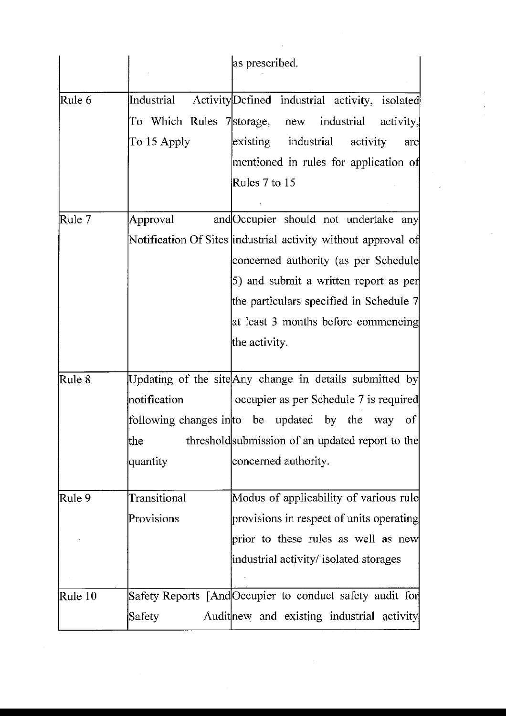|               |              | as prescribed.                                                |
|---------------|--------------|---------------------------------------------------------------|
| Rule 6        | Industrial   | Activity Defined industrial activity, isolated                |
|               |              | To Which Rules 7 storage, new industrial<br>activity,         |
|               | To 15 Apply  | existing industrial<br>activity<br>are                        |
|               |              | mentioned in rules for application of                         |
|               |              | Rules 7 to 15                                                 |
| Rule 7        | Approval     | and Occupier should not undertake any                         |
|               |              | Notification Of Sites industrial activity without approval of |
|               |              | concerned authority (as per Schedule                          |
|               |              | 5) and submit a written report as per                         |
|               |              | the particulars specified in Schedule 7                       |
|               |              | at least 3 months before commencing                           |
|               |              | the activity.                                                 |
|               |              |                                                               |
| Rule 8        |              | Updating of the site Any change in details submitted by       |
|               | notification | occupier as per Schedule 7 is required                        |
|               |              | following changes in to be updated by the way<br>- of         |
|               | the          | threshold submission of an updated report to the              |
|               | quantity     | concerned authority.                                          |
| Rule 9        | Transitional | Modus of applicability of various rule                        |
|               | Provisions   | provisions in respect of units operating                      |
|               |              | prior to these rules as well as new                           |
|               |              | industrial activity/ isolated storages                        |
|               |              |                                                               |
| $\Re$ Rule 10 |              | Safety Reports [And Occupier to conduct safety audit for      |
|               | Safety       | Auditnew and existing industrial activity                     |

 $\hat{\mathcal{L}}$ 

 $\mathcal{O}(\mathcal{O}_\mathcal{O})$ 

 $\frac{1}{2}$ 

 $\hat{\mathcal{A}}$ 

 $\frac{1}{2}$  $\frac{1}{2}$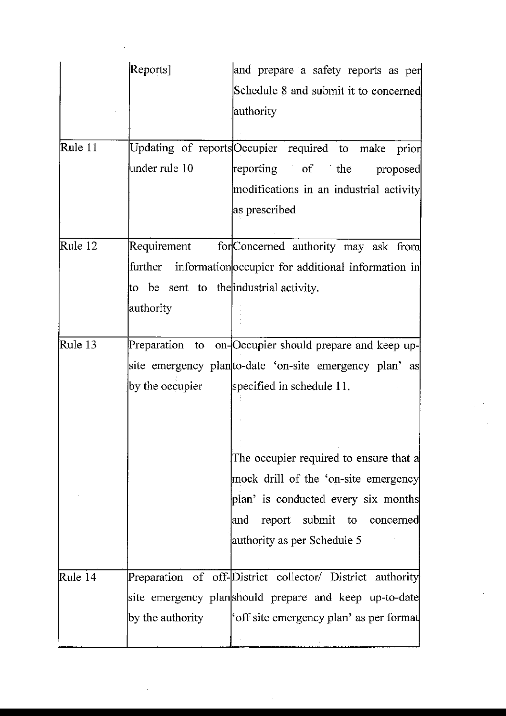|         | Reports]                               | and prepare a safety reports as per                        |
|---------|----------------------------------------|------------------------------------------------------------|
|         |                                        | Schedule 8 and submit it to concerned                      |
|         |                                        | authority                                                  |
|         |                                        |                                                            |
| Rule 11 |                                        | Updating of reports Occupier required to make prior        |
|         | under rule 10                          | reporting of the<br>proposed                               |
|         |                                        | modifications in an industrial activity                    |
|         |                                        | as prescribed                                              |
|         |                                        |                                                            |
| Rule 12 | Requirement                            | for Concerned authority may ask from                       |
|         |                                        | further information occupier for additional information in |
|         | to be sent to the industrial activity. |                                                            |
|         | authority                              |                                                            |
|         |                                        |                                                            |
| Rule 13 |                                        | Preparation to on-Occupier should prepare and keep up-     |
|         |                                        | site emergency plan to-date 'on-site emergency plan' as    |
|         | by the occupier                        | specified in schedule 11.                                  |
|         |                                        |                                                            |
|         |                                        |                                                            |
|         |                                        |                                                            |
|         |                                        | The occupier required to ensure that a                     |
|         |                                        | mock drill of the 'on-site emergency                       |
|         |                                        | plan' is conducted every six months                        |
|         |                                        | report submit to concerned<br> and                         |
|         |                                        | authority as per Schedule 5                                |
|         |                                        |                                                            |
| Rule 14 |                                        | Preparation of off-District collector/ District authority  |
|         |                                        | site emergency planshould prepare and keep up-to-date      |
|         | by the authority                       | 'off site emergency plan' as per format                    |
|         |                                        |                                                            |

 $\sim$ 

 $\epsilon$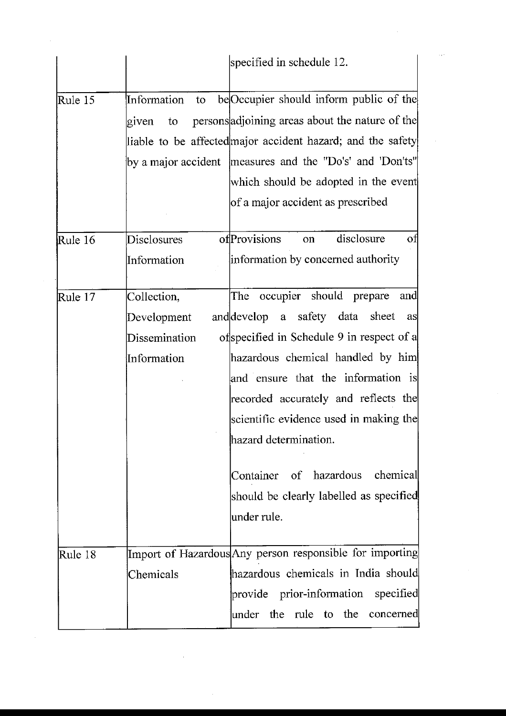|         |                   | specified in schedule 12.                                   |
|---------|-------------------|-------------------------------------------------------------|
| Rule 15 | Information<br>to | be Occupier should inform public of the                     |
|         | to<br>given       | persons adjoining areas about the nature of the             |
|         |                   | liable to be affected major accident hazard; and the safety |
|         |                   | by a major accident   measures and the "Do's' and 'Don'ts"  |
|         |                   | which should be adopted in the event                        |
|         |                   | of a major accident as prescribed                           |
| Rule 16 | Disclosures       | ofProvisions<br>disclosure<br>οt<br>on                      |
|         | Information       | information by concerned authority                          |
| Rule 17 | Collection,       | occupier should prepare<br>The<br>and                       |
|         | Development       | and develop a safety data sheet<br>as                       |
|         | Dissemination     | ofspecified in Schedule 9 in respect of a                   |
|         | Information       | hazardous chemical handled by him                           |
|         |                   | and ensure that the information is                          |
|         |                   | recorded accurately and reflects the                        |
|         |                   | scientific evidence used in making the                      |
|         |                   | hazard determination.                                       |
|         |                   | Container of hazardous chemical                             |
|         |                   | should be clearly labelled as specified                     |
|         |                   | under rule.                                                 |
| Rule 18 |                   | Import of Hazardous Any person responsible for importing    |
|         | Chemicals         | hazardous chemicals in India should                         |
|         |                   | provide prior-information specified                         |
|         |                   | under the rule to the concerned                             |

 $\hat{\mathcal{A}}$ 

 $\sim$ 

 $\mathcal{A}_{\mathcal{A}}$ 

 $\mathcal{O}(\mathcal{O}_\mathcal{O})$ 

 $\sim$ 

 $\sim$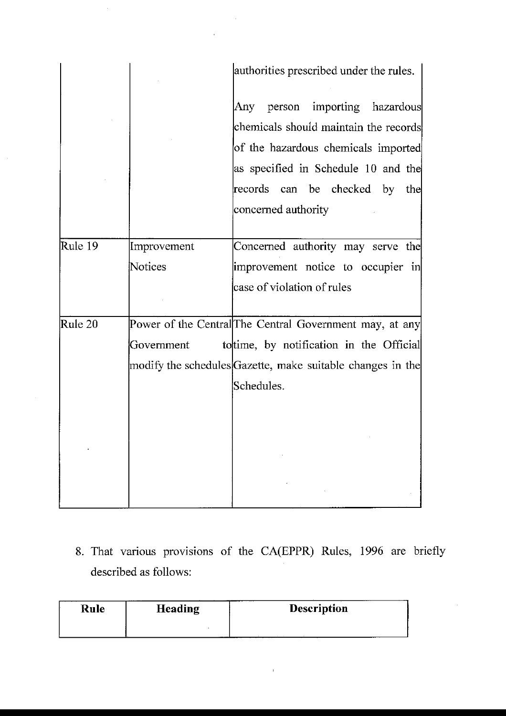|         |             | authorities prescribed under the rules.                                    |
|---------|-------------|----------------------------------------------------------------------------|
|         |             | person importing hazardous<br>Any<br>chemicals should maintain the records |
|         |             | of the hazardous chemicals imported<br>as specified in Schedule 10 and the |
|         |             | records can be checked by the<br>concerned authority                       |
|         |             |                                                                            |
| Rule 19 | Improvement | Concerned authority may serve the                                          |
|         | Notices     | improvement notice to occupier in                                          |
|         |             | case of violation of rules                                                 |
| Rule 20 |             | Power of the Central The Central Government may, at any                    |
|         | Government  | tottime, by notification in the Official                                   |
|         |             | modify the schedules Gazette, make suitable changes in the                 |
|         |             | Schedules.                                                                 |
|         |             |                                                                            |
|         |             |                                                                            |
|         |             |                                                                            |
|         |             |                                                                            |
|         |             |                                                                            |

 $\sim$ 

 $\sim$ 

 $\sim 10$ 

8. That various provisions of the CA(EPPR) Rules, 1996 are briefly described as follows:

 $\mathcal{A}$ 

| Rule | .<br><b>Heading</b> | <b>Description</b> |
|------|---------------------|--------------------|
|      |                     |                    |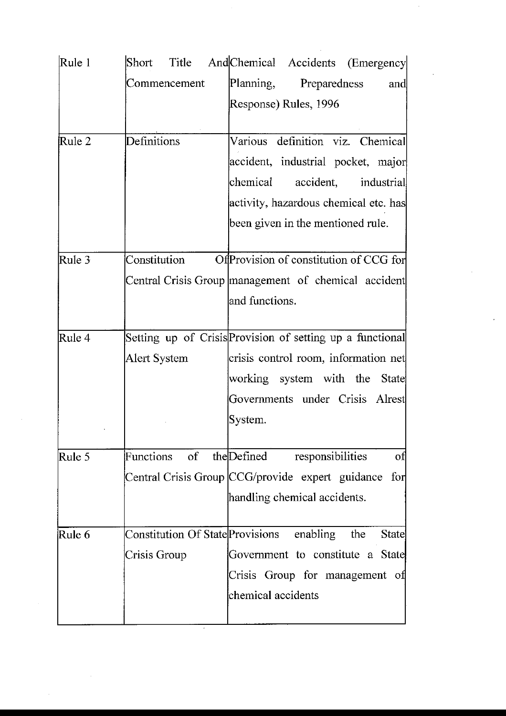| Rule 1 | Short                    | Title And Chemical Accidents (Emergency                   |
|--------|--------------------------|-----------------------------------------------------------|
|        | Commencement             | Planning, Preparedness<br>and                             |
|        |                          | Response) Rules, 1996                                     |
|        |                          |                                                           |
| Rule 2 | Definitions              | Various definition viz. Chemical                          |
|        |                          | accident, industrial pocket, major                        |
|        |                          | chemical accident, industrial                             |
|        |                          | activity, hazardous chemical etc. has                     |
|        |                          | been given in the mentioned rule.                         |
| Rule 3 | Constitution             | Of Provision of constitution of CCG for                   |
|        |                          | Central Crisis Group management of chemical accident      |
|        |                          | and functions.                                            |
|        |                          |                                                           |
| Rule 4 |                          | Setting up of Crisis Provision of setting up a functional |
|        | Alert System             | crisis control room, information net                      |
|        |                          | working system with the State                             |
|        |                          | Governments under Crisis Alrest                           |
|        |                          | System.                                                   |
| Rule 5 | Functions of the Defined | responsibilities<br>of                                    |
|        |                          | Central Crisis Group CCG/provide expert guidance for      |
|        |                          | handling chemical accidents.                              |
|        |                          |                                                           |
| Rule 6 |                          | Constitution Of State Provisions enabling<br>the<br>State |
|        | Crisis Group             | Government to constitute a State                          |
|        |                          | Crisis Group for management of                            |
|        |                          | chemical accidents                                        |
|        |                          |                                                           |

 $\sim$ 

 $\hat{\boldsymbol{\beta}}$ 

 $\frac{1}{2}$ 

 $\sim$ 

 $\sim$   $\sim$ 

 $\frac{1}{2}$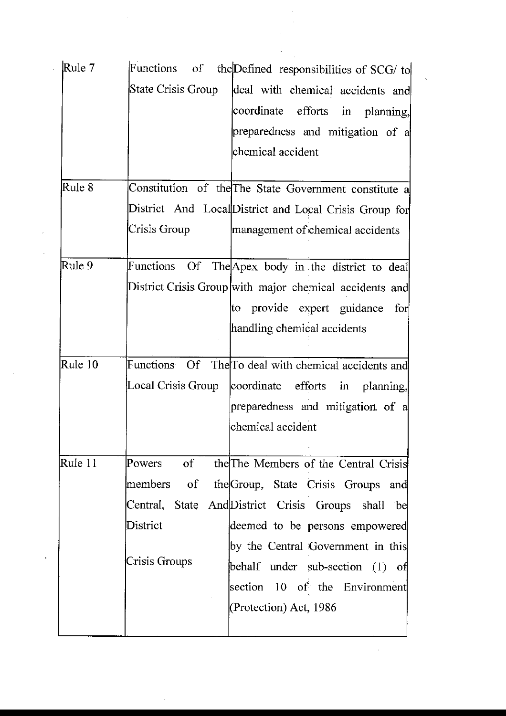| Rule 7  | Functions of the Defined responsibilities of SCG/ to    |
|---------|---------------------------------------------------------|
|         | State Crisis Group<br>deal with chemical accidents and  |
|         | coordinate efforts in planning,                         |
|         | preparedness and mitigation of a                        |
|         | chemical accident                                       |
| Rule 8  | Constitution of the The State Government constitute a   |
|         | District And Local District and Local Crisis Group for  |
|         | Crisis Group<br>management of chemical accidents        |
| Rule 9  | Functions Of The Apex body in the district to deal      |
|         | District Crisis Group with major chemical accidents and |
|         | to provide expert guidance for                          |
|         | handling chemical accidents                             |
|         |                                                         |
| Rule 10 | Functions Of The To deal with chemical accidents and    |
|         | Local Crisis Group<br>coordinate efforts in planning,   |
|         | preparedness and mitigation of a                        |
|         | chemical accident                                       |
|         |                                                         |
| Rule 11 | of<br>the The Members of the Central Crisis<br>Powers   |
|         | members of<br>the Group, State Crisis Groups<br>and     |
|         | Central, State And District Crisis Groups shall be      |
|         | District<br>deemed to be persons empowered              |
|         | by the Central Government in this                       |
|         | Crisis Groups<br>behalf under sub-section (1) of        |
|         | section 10 of the Environment                           |
|         | (Protection) Act, 1986                                  |
|         |                                                         |

 $\frac{1}{2}$ 

 $\frac{1}{2}$ 

 $\frac{1}{\sqrt{2}}\sum_{i=1}^{n-1}\frac{1}{\sqrt{2}}\left(\frac{1}{\sqrt{2}}\right)^2\left(\frac{1}{\sqrt{2}}\right)^2\left(\frac{1}{\sqrt{2}}\right)^2.$ 

 $\hat{\mathcal{A}}$ 

 $\ddot{\phantom{1}}$ 

 $\bar{z}$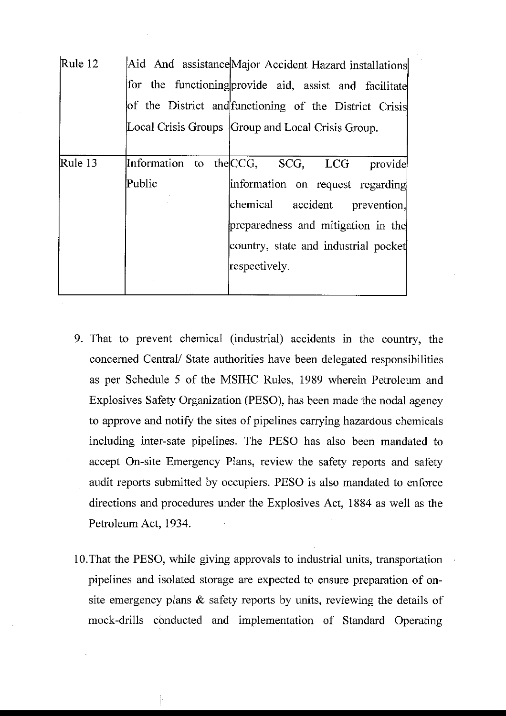| Rule 12 | Aid And assistance Major Accident Hazard installations |
|---------|--------------------------------------------------------|
|         | for the functioning provide aid, assist and facilitate |
|         | of the District and functioning of the District Crisis |
|         | Local Crisis Groups Group and Local Crisis Group.      |
|         |                                                        |
| Rule 13 | Information to the CCG, SCG, LCG<br>provide            |
|         | Public<br>information on request regarding             |
|         | chemical<br>accident prevention,                       |
|         | preparedness and mitigation in the                     |
|         | country, state and industrial pocket                   |
|         | respectively.                                          |
|         |                                                        |

- 9. That to prevent chemical (industrial) accidents in the country, the concerned Central/ State authorities have been delegated responsibilities as per Schedule 5 of the MSIHC Rules, 1989 wherein Petroleum and Explosives Safety Organization (PESO), has been made the nodal agency to approve and notify the sites of pipelines carrying hazardous chemicals including inter-sate pipelines. The PESO has also been mandated to accept On-site Emergency Plans, review the safety reports and safety audit reports submitted by occupiers. PESO is also mandated to enforce directions and procedures under the Explosives Act, 1884 as well as the Petroleum Act, 1934.
- 10. That the PESO, while giving approvals to industrial units, transportation pipelines and isolated storage are expected to ensure preparation of onsite emergency plans  $\&$  safety reports by units, reviewing the details of mock-drills conducted and implementation of Standard Operating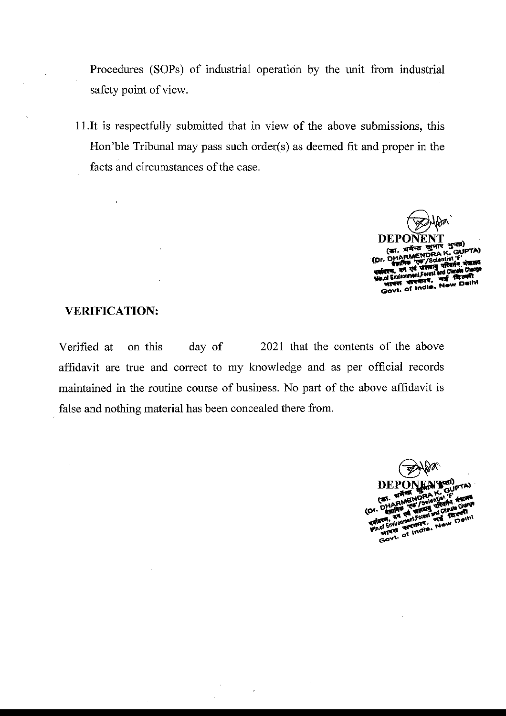Procedures (SOPs) of industrial operation by the unit from industrial safety point of view.

11. It is respectfully submitted that in view of the above submissions, this Hon'ble Tribunal may pass such order(s) as deemed fit and proper in the facts and circumstances of the case.

> DEPO (का. धर्मन्द **RMENDRA**

## **VERIFICATION:**

 $\ddot{\phantom{a}}$ 

2021 that the contents of the above Verified at on this day of affidavit are true and correct to my knowledge and as per official records maintained in the routine course of business. No part of the above affidavit is false and nothing material has been concealed there from.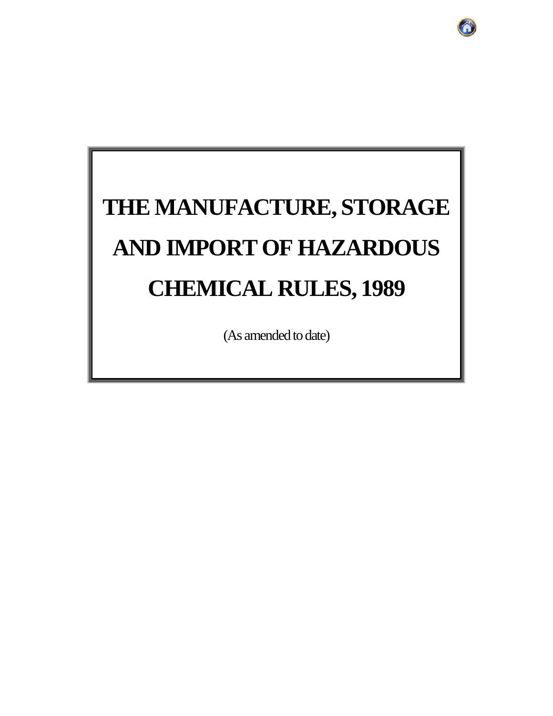# **THE MANUFACTURE, STORAGE AND IMPORT OF HAZARDOUS CHEMICAL RULES, 1989**

(As amended to date)

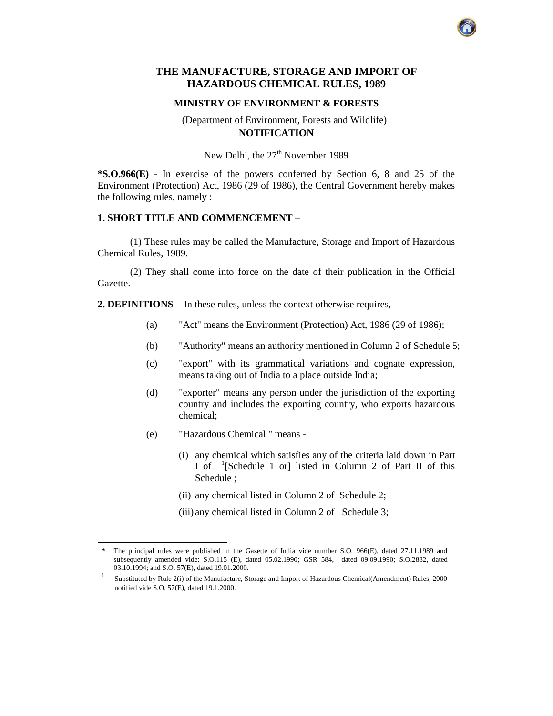#### **THE MANUFACTURE, STORAGE AND IMPORT OF HAZARDOUS CHEMICAL RULES, 1989**

#### **MINISTRY OF ENVIRONMENT & FORESTS**

#### (Department of Environment, Forests and Wildlife) **NOTIFICATION**

New Delhi, the  $27<sup>th</sup>$  November 1989

**\*S.O.966(E)** - In exercise of the powers conferred by Section 6, 8 and 25 of the Environment (Protection) Act, 1986 (29 of 1986), the Central Government hereby makes the following rules, namely :

#### **1. SHORT TITLE AND COMMENCEMENT –**

(1) These rules may be called the Manufacture, Storage and Import of Hazardous Chemical Rules, 1989.

(2) They shall come into force on the date of their publication in the Official Gazette.

**2. DEFINITIONS** - In these rules, unless the context otherwise requires, -

- (a) "Act" means the Environment (Protection) Act, 1986 (29 of 1986);
- (b) "Authority" means an authority mentioned in Column 2 of Schedule 5;
- (c) "export" with its grammatical variations and cognate expression, means taking out of India to a place outside India;
- (d) "exporter" means any person under the jurisdiction of the exporting country and includes the exporting country, who exports hazardous chemical;
- (e) "Hazardous Chemical " means -

 $\overline{a}$ 

- (i) any chemical which satisfies any of the criteria laid down in Part I of <sup>1</sup> [Schedule 1 or] listed in Column 2 of Part II of this Schedule ;
- (ii) any chemical listed in Column 2 of Schedule 2;
- (iii) any chemical listed in Column 2 of Schedule 3;



**<sup>\*</sup>** The principal rules were published in the Gazette of India vide number S.O. 966(E), dated 27.11.1989 and subsequently amended vide: S.O.115 (E), dated 05.02.1990; GSR 584, dated 09.09.1990; S.O.2882, dated 03.10.1994; and S.O. 57(E), dated 19.01.2000.

<sup>1</sup> Substituted by Rule 2(i) of the Manufacture, Storage and Import of Hazardous Chemical(Amendment) Rules, 2000 notified vide S.O. 57(E), dated 19.1.2000.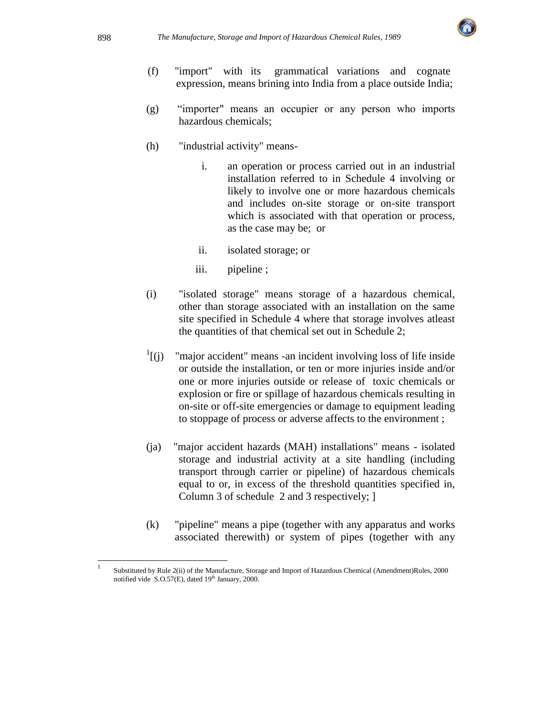

- (f) "import" with its grammatical variations and cognate expression, means brining into India from a place outside India;
- (g) "importer" means an occupier or any person who imports hazardous chemicals;
- (h) "industrial activity" means
	- i. an operation or process carried out in an industrial installation referred to in Schedule 4 involving or likely to involve one or more hazardous chemicals and includes on-site storage or on-site transport which is associated with that operation or process, as the case may be; or
	- ii. isolated storage; or
	- iii. pipeline ;
- (i) "isolated storage" means storage of a hazardous chemical, other than storage associated with an installation on the same site specified in Schedule 4 where that storage involves atleast the quantities of that chemical set out in Schedule 2;
- $\mathbf{1}$ [(j) "major accident" means -an incident involving loss of life inside or outside the installation, or ten or more injuries inside and/or one or more injuries outside or release of toxic chemicals or explosion or fire or spillage of hazardous chemicals resulting in on-site or off-site emergencies or damage to equipment leading to stoppage of process or adverse affects to the environment ;
- (ja) "major accident hazards (MAH) installations" means isolated storage and industrial activity at a site handling (including transport through carrier or pipeline) of hazardous chemicals equal to or, in excess of the threshold quantities specified in, Column 3 of schedule 2 and 3 respectively; ]
- (k) "pipeline" means a pipe (together with any apparatus and works associated therewith) or system of pipes (together with any

 $\overline{a}$ 

<sup>1</sup> Substituted by Rule 2(ii) of the Manufacture, Storage and Import of Hazardous Chemical (Amendment)Rules, 2000 notified vide  $S.O.57(E)$ , dated 19<sup>th</sup> January, 2000.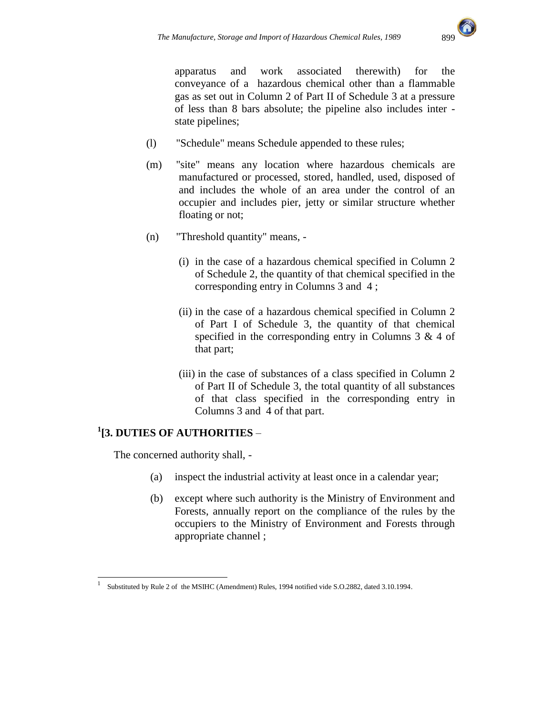

 apparatus and work associated therewith) for the conveyance of a hazardous chemical other than a flammable gas as set out in Column 2 of Part II of Schedule 3 at a pressure of less than 8 bars absolute; the pipeline also includes inter state pipelines;

- (l) "Schedule" means Schedule appended to these rules;
- (m) "site" means any location where hazardous chemicals are manufactured or processed, stored, handled, used, disposed of and includes the whole of an area under the control of an occupier and includes pier, jetty or similar structure whether floating or not;
- (n) "Threshold quantity" means,
	- (i) in the case of a hazardous chemical specified in Column 2 of Schedule 2, the quantity of that chemical specified in the corresponding entry in Columns 3 and 4 ;
	- (ii) in the case of a hazardous chemical specified in Column 2 of Part I of Schedule 3, the quantity of that chemical specified in the corresponding entry in Columns  $3 \& 4$  of that part;
	- (iii) in the case of substances of a class specified in Column 2 of Part II of Schedule 3, the total quantity of all substances of that class specified in the corresponding entry in Columns 3 and 4 of that part.

## **1 [3. DUTIES OF AUTHORITIES** –

The concerned authority shall, -

- (a) inspect the industrial activity at least once in a calendar year;
- (b) except where such authority is the Ministry of Environment and Forests, annually report on the compliance of the rules by the occupiers to the Ministry of Environment and Forests through appropriate channel ;

<sup>|&</sup>lt;br>|<br>| Substituted by Rule 2 of the MSIHC (Amendment) Rules, 1994 notified vide S.O.2882, dated 3.10.1994.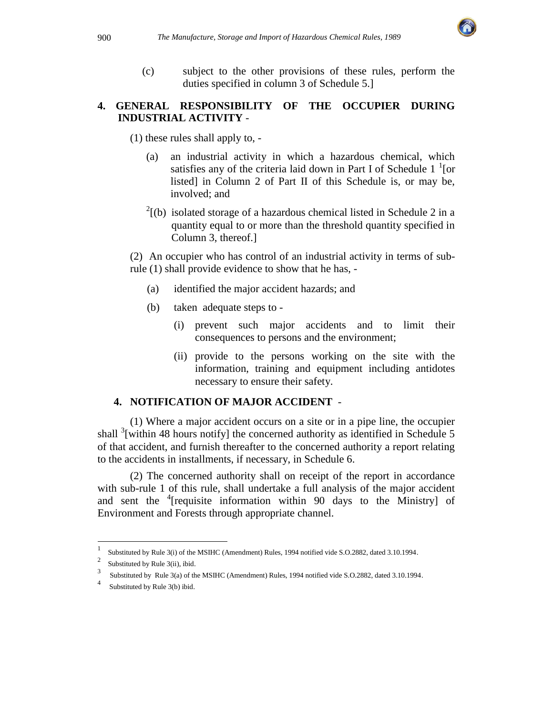

(c) subject to the other provisions of these rules, perform the duties specified in column 3 of Schedule 5.]

#### **4. GENERAL RESPONSIBILITY OF THE OCCUPIER DURING INDUSTRIAL ACTIVITY** -

(1) these rules shall apply to, -

- (a) an industrial activity in which a hazardous chemical, which satisfies any of the criteria laid down in Part I of Schedule  $1<sup>1</sup>$  [or listed] in Column 2 of Part II of this Schedule is, or may be, involved; and
- $2^{2}$ [(b) isolated storage of a hazardous chemical listed in Schedule 2 in a quantity equal to or more than the threshold quantity specified in Column 3, thereof.]

(2) An occupier who has control of an industrial activity in terms of subrule (1) shall provide evidence to show that he has, -

- (a) identified the major accident hazards; and
- (b) taken adequate steps to
	- (i) prevent such major accidents and to limit their consequences to persons and the environment;
	- (ii) provide to the persons working on the site with the information, training and equipment including antidotes necessary to ensure their safety.

#### **4. NOTIFICATION OF MAJOR ACCIDENT** -

(1) Where a major accident occurs on a site or in a pipe line, the occupier shall  $3$ [within 48 hours notify] the concerned authority as identified in Schedule 5 of that accident, and furnish thereafter to the concerned authority a report relating to the accidents in installments, if necessary, in Schedule 6.

(2) The concerned authority shall on receipt of the report in accordance with sub-rule 1 of this rule, shall undertake a full analysis of the major accident and sent the  $\frac{4}{7}$  requisite information within 90 days to the Ministry of Environment and Forests through appropriate channel.

 $\overline{a}$ 

<sup>1</sup> Substituted by Rule 3(i) of the MSIHC (Amendment) Rules, 1994 notified vide S.O.2882, dated 3.10.1994.

<sup>2</sup> Substituted by Rule 3(ii), ibid.

<sup>3</sup> Substituted by Rule 3(a) of the MSIHC (Amendment) Rules, 1994 notified vide S.O.2882, dated 3.10.1994.

<sup>4</sup> Substituted by Rule 3(b) ibid.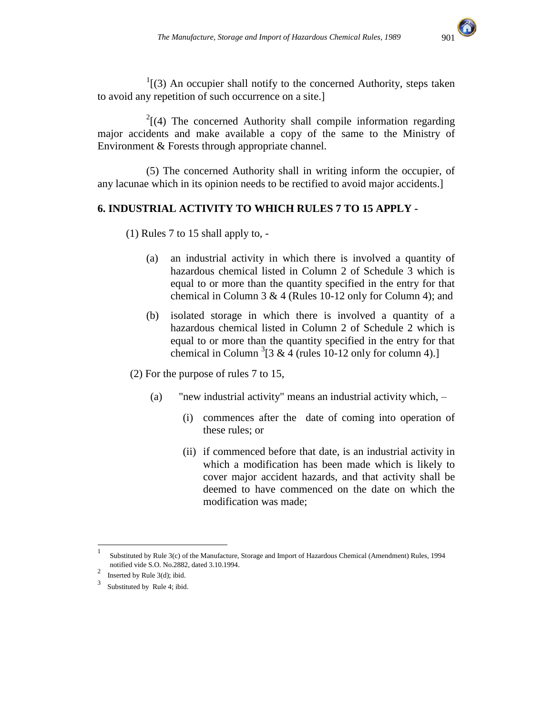

 $1$ [(3) An occupier shall notify to the concerned Authority, steps taken to avoid any repetition of such occurrence on a site.]

 $2(4)$  The concerned Authority shall compile information regarding major accidents and make available a copy of the same to the Ministry of Environment & Forests through appropriate channel.

(5) The concerned Authority shall in writing inform the occupier, of any lacunae which in its opinion needs to be rectified to avoid major accidents.]

#### **6. INDUSTRIAL ACTIVITY TO WHICH RULES 7 TO 15 APPLY -**

(1) Rules 7 to 15 shall apply to, -

- (a) an industrial activity in which there is involved a quantity of hazardous chemical listed in Column 2 of Schedule 3 which is equal to or more than the quantity specified in the entry for that chemical in Column 3 & 4 (Rules 10-12 only for Column 4); and
- (b) isolated storage in which there is involved a quantity of a hazardous chemical listed in Column 2 of Schedule 2 which is equal to or more than the quantity specified in the entry for that chemical in Column  ${}^{3}$ [3 & 4 (rules 10-12 only for column 4).]

(2) For the purpose of rules 7 to 15,

- (a) "new industrial activity" means an industrial activity which,
	- (i) commences after the date of coming into operation of these rules; or
	- (ii) if commenced before that date, is an industrial activity in which a modification has been made which is likely to cover major accident hazards, and that activity shall be deemed to have commenced on the date on which the modification was made;

 $\overline{a}$ 

<sup>1</sup> Substituted by Rule 3(c) of the Manufacture, Storage and Import of Hazardous Chemical (Amendment) Rules, 1994 notified vide S.O. No.2882, dated 3.10.1994.

<sup>2</sup> Inserted by Rule 3(d); ibid.

<sup>3</sup> Substituted by Rule 4; ibid.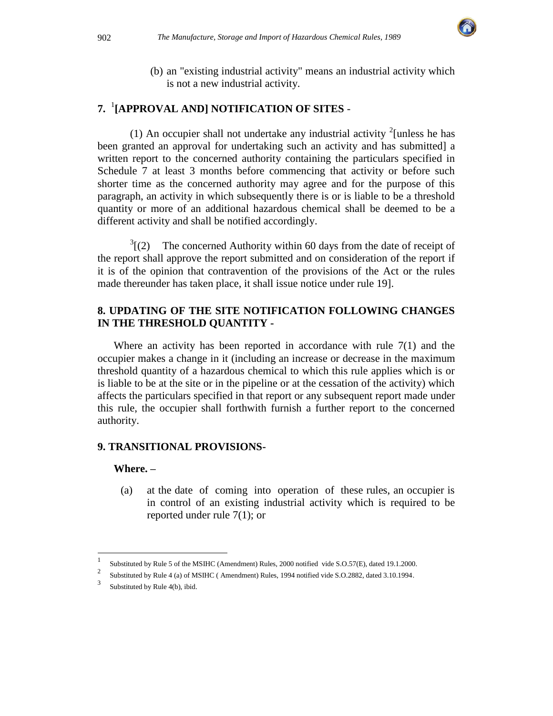

(b) an "existing industrial activity" means an industrial activity which is not a new industrial activity.

# **7.** <sup>1</sup> **[APPROVAL AND] NOTIFICATION OF SITES** -

(1) An occupier shall not undertake any industrial activity  $\frac{2}{\text{unless}}$  he has been granted an approval for undertaking such an activity and has submitted] a written report to the concerned authority containing the particulars specified in Schedule 7 at least 3 months before commencing that activity or before such shorter time as the concerned authority may agree and for the purpose of this paragraph, an activity in which subsequently there is or is liable to be a threshold quantity or more of an additional hazardous chemical shall be deemed to be a different activity and shall be notified accordingly.

 $\sqrt[3]{(2)}$ The concerned Authority within 60 days from the date of receipt of the report shall approve the report submitted and on consideration of the report if it is of the opinion that contravention of the provisions of the Act or the rules made thereunder has taken place, it shall issue notice under rule 19].

#### **8. UPDATING OF THE SITE NOTIFICATION FOLLOWING CHANGES IN THE THRESHOLD QUANTITY -**

Where an activity has been reported in accordance with rule  $7(1)$  and the occupier makes a change in it (including an increase or decrease in the maximum threshold quantity of a hazardous chemical to which this rule applies which is or is liable to be at the site or in the pipeline or at the cessation of the activity) which affects the particulars specified in that report or any subsequent report made under this rule, the occupier shall forthwith furnish a further report to the concerned authority.

#### **9. TRANSITIONAL PROVISIONS-**

#### **Where. –**

l

(a) at the date of coming into operation of these rules, an occupier is in control of an existing industrial activity which is required to be reported under rule 7(1); or

<sup>1</sup> Substituted by Rule 5 of the MSIHC (Amendment) Rules, 2000 notified vide S.O.57(E), dated 19.1.2000.

<sup>2</sup> Substituted by Rule 4 (a) of MSIHC ( Amendment) Rules, 1994 notified vide S.O.2882, dated 3.10.1994.

<sup>3</sup> Substituted by Rule 4(b), ibid.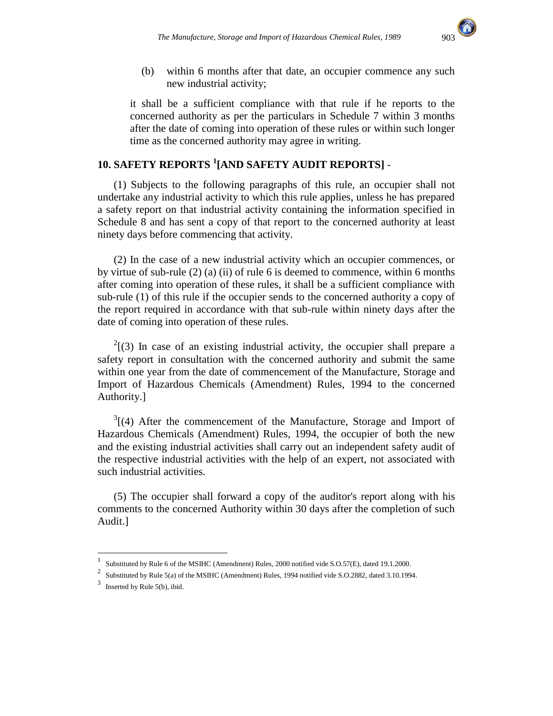

(b) within 6 months after that date, an occupier commence any such new industrial activity;

it shall be a sufficient compliance with that rule if he reports to the concerned authority as per the particulars in Schedule 7 within 3 months after the date of coming into operation of these rules or within such longer time as the concerned authority may agree in writing.

## **10. SAFETY REPORTS <sup>1</sup> [AND SAFETY AUDIT REPORTS]** -

(1) Subjects to the following paragraphs of this rule, an occupier shall not undertake any industrial activity to which this rule applies, unless he has prepared a safety report on that industrial activity containing the information specified in Schedule 8 and has sent a copy of that report to the concerned authority at least ninety days before commencing that activity.

(2) In the case of a new industrial activity which an occupier commences, or by virtue of sub-rule  $(2)$  (a) (ii) of rule 6 is deemed to commence, within 6 months after coming into operation of these rules, it shall be a sufficient compliance with sub-rule (1) of this rule if the occupier sends to the concerned authority a copy of the report required in accordance with that sub-rule within ninety days after the date of coming into operation of these rules.

 $2(3)$  In case of an existing industrial activity, the occupier shall prepare a safety report in consultation with the concerned authority and submit the same within one year from the date of commencement of the Manufacture, Storage and Import of Hazardous Chemicals (Amendment) Rules, 1994 to the concerned Authority.]

 $3(4)$  After the commencement of the Manufacture, Storage and Import of Hazardous Chemicals (Amendment) Rules, 1994, the occupier of both the new and the existing industrial activities shall carry out an independent safety audit of the respective industrial activities with the help of an expert, not associated with such industrial activities.

(5) The occupier shall forward a copy of the auditor's report along with his comments to the concerned Authority within 30 days after the completion of such Audit.]

l

<sup>1</sup> Substituted by Rule 6 of the MSIHC (Amendment) Rules, 2000 notified vide S.O.57(E), dated 19.1.2000.

<sup>2</sup> Substituted by Rule 5(a) of the MSIHC (Amendment) Rules, 1994 notified vide S.O.2882, dated 3.10.1994.

 $3$  Inserted by Rule 5(b), ibid.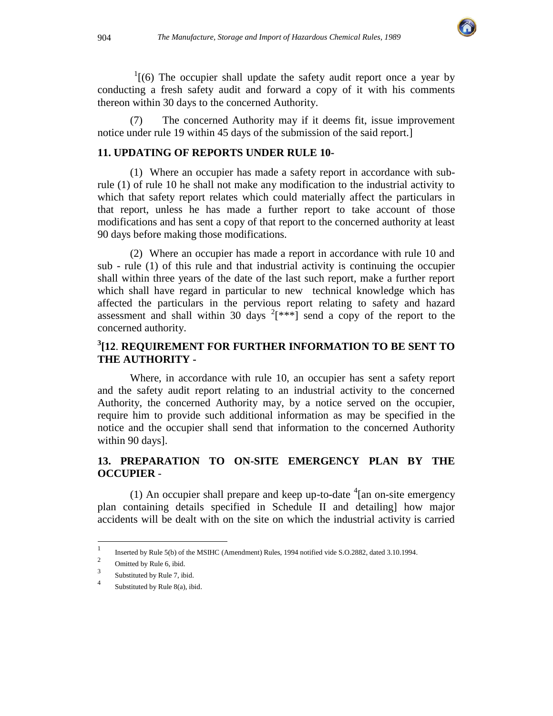

 $1(6)$  The occupier shall update the safety audit report once a year by conducting a fresh safety audit and forward a copy of it with his comments thereon within 30 days to the concerned Authority.

(7) The concerned Authority may if it deems fit, issue improvement notice under rule 19 within 45 days of the submission of the said report.]

#### **11. UPDATING OF REPORTS UNDER RULE 10-**

(1) Where an occupier has made a safety report in accordance with subrule (1) of rule 10 he shall not make any modification to the industrial activity to which that safety report relates which could materially affect the particulars in that report, unless he has made a further report to take account of those modifications and has sent a copy of that report to the concerned authority at least 90 days before making those modifications.

(2)Where an occupier has made a report in accordance with rule 10 and sub - rule (1) of this rule and that industrial activity is continuing the occupier shall within three years of the date of the last such report, make a further report which shall have regard in particular to new technical knowledge which has affected the particulars in the pervious report relating to safety and hazard assessment and shall within 30 days  $2$ <sup>\*</sup> $[***]$  send a copy of the report to the concerned authority.

### **3 [12**. **REQUIREMENT FOR FURTHER INFORMATION TO BE SENT TO THE AUTHORITY -**

Where, in accordance with rule 10, an occupier has sent a safety report and the safety audit report relating to an industrial activity to the concerned Authority, the concerned Authority may, by a notice served on the occupier, require him to provide such additional information as may be specified in the notice and the occupier shall send that information to the concerned Authority within 90 days].

#### **13. PREPARATION TO ON-SITE EMERGENCY PLAN BY THE OCCUPIER** -

(1) An occupier shall prepare and keep up-to-date  $\frac{4}{3}$  an on-site emergency plan containing details specified in Schedule II and detailing] how major accidents will be dealt with on the site on which the industrial activity is carried

 $\frac{1}{1}$ Inserted by Rule 5(b) of the MSIHC (Amendment) Rules, 1994 notified vide S.O.2882, dated 3.10.1994.

<sup>2</sup> Omitted by Rule 6, ibid.

<sup>3</sup> Substituted by Rule 7, ibid.

<sup>4</sup> Substituted by Rule 8(a), ibid.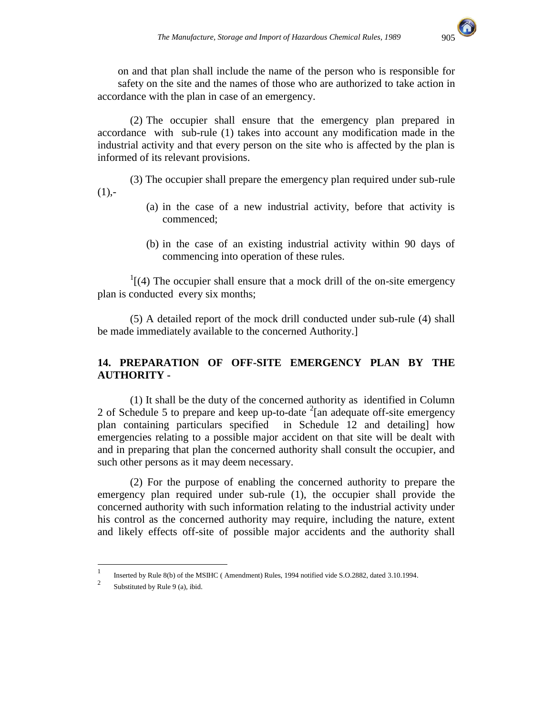

on and that plan shall include the name of the person who is responsible for safety on the site and the names of those who are authorized to take action in accordance with the plan in case of an emergency.

(2) The occupier shall ensure that the emergency plan prepared in accordance with sub-rule (1) takes into account any modification made in the industrial activity and that every person on the site who is affected by the plan is informed of its relevant provisions.

(3) The occupier shall prepare the emergency plan required under sub-rule  $(1)$ ,-

- (a) in the case of a new industrial activity, before that activity is commenced;
- (b) in the case of an existing industrial activity within 90 days of commencing into operation of these rules.

 $\frac{1}{1}$ [(4) The occupier shall ensure that a mock drill of the on-site emergency plan is conducted every six months;

(5) A detailed report of the mock drill conducted under sub-rule (4) shall be made immediately available to the concerned Authority.]

#### **14. PREPARATION OF OFF-SITE EMERGENCY PLAN BY THE AUTHORITY -**

(1) It shall be the duty of the concerned authority as identified in Column 2 of Schedule 5 to prepare and keep up-to-date  $2$ [an adequate off-site emergency plan containing particulars specified in Schedule 12 and detailing] how emergencies relating to a possible major accident on that site will be dealt with and in preparing that plan the concerned authority shall consult the occupier, and such other persons as it may deem necessary.

(2) For the purpose of enabling the concerned authority to prepare the emergency plan required under sub-rule (1), the occupier shall provide the concerned authority with such information relating to the industrial activity under his control as the concerned authority may require, including the nature, extent and likely effects off-site of possible major accidents and the authority shall

 $\frac{1}{1}$ Inserted by Rule 8(b) of the MSIHC ( Amendment) Rules, 1994 notified vide S.O.2882, dated 3.10.1994.

<sup>2</sup> Substituted by Rule 9 (a), ibid.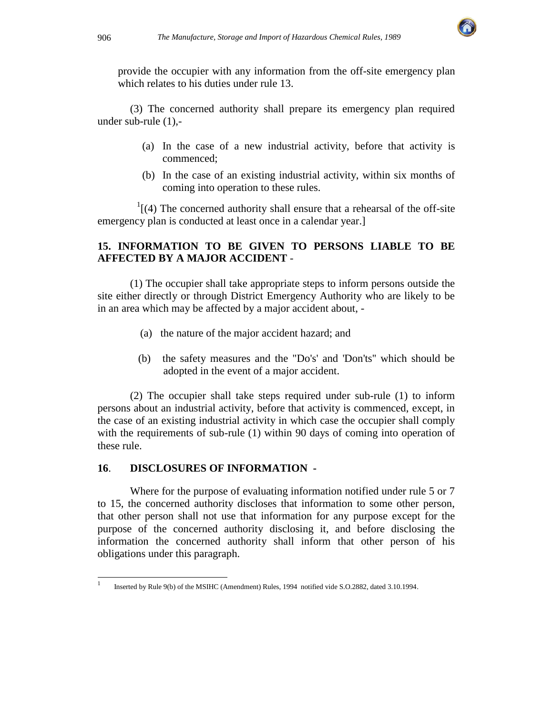

provide the occupier with any information from the off-site emergency plan which relates to his duties under rule 13.

(3) The concerned authority shall prepare its emergency plan required under sub-rule (1),-

- (a) In the case of a new industrial activity, before that activity is commenced;
- (b) In the case of an existing industrial activity, within six months of coming into operation to these rules.

 $\frac{1}{4}$ [(4) The concerned authority shall ensure that a rehearsal of the off-site emergency plan is conducted at least once in a calendar year.]

#### **15. INFORMATION TO BE GIVEN TO PERSONS LIABLE TO BE AFFECTED BY A MAJOR ACCIDENT** -

(1) The occupier shall take appropriate steps to inform persons outside the site either directly or through District Emergency Authority who are likely to be in an area which may be affected by a major accident about, -

- (a) the nature of the major accident hazard; and
- (b) the safety measures and the "Do's' and 'Don'ts'' which should be adopted in the event of a major accident.

 (2) The occupier shall take steps required under sub-rule (1) to inform persons about an industrial activity, before that activity is commenced, except, in the case of an existing industrial activity in which case the occupier shall comply with the requirements of sub-rule (1) within 90 days of coming into operation of these rule.

#### **16**. **DISCLOSURES OF INFORMATION -**

Where for the purpose of evaluating information notified under rule 5 or 7 to 15, the concerned authority discloses that information to some other person, that other person shall not use that information for any purpose except for the purpose of the concerned authority disclosing it, and before disclosing the information the concerned authority shall inform that other person of his obligations under this paragraph.

<sup>|&</sup>lt;br>|<br>| Inserted by Rule 9(b) of the MSIHC (Amendment) Rules, 1994 notified vide S.O.2882, dated 3.10.1994.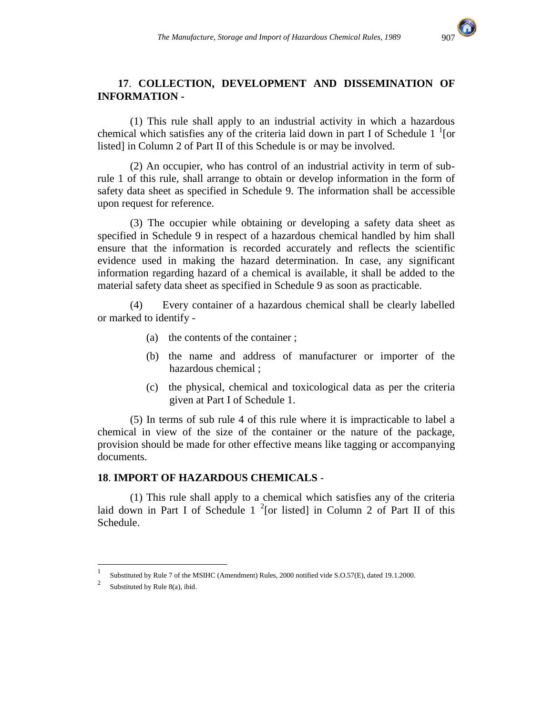

#### **17**. **COLLECTION, DEVELOPMENT AND DISSEMINATION OF INFORMATION -**

(1) This rule shall apply to an industrial activity in which a hazardous chemical which satisfies any of the criteria laid down in part I of Schedule  $1<sup>1</sup>$  [or listed] in Column 2 of Part II of this Schedule is or may be involved.

(2) An occupier, who has control of an industrial activity in term of subrule 1 of this rule, shall arrange to obtain or develop information in the form of safety data sheet as specified in Schedule 9. The information shall be accessible upon request for reference.

(3) The occupier while obtaining or developing a safety data sheet as specified in Schedule 9 in respect of a hazardous chemical handled by him shall ensure that the information is recorded accurately and reflects the scientific evidence used in making the hazard determination. In case, any significant information regarding hazard of a chemical is available, it shall be added to the material safety data sheet as specified in Schedule 9 as soon as practicable.

(4) Every container of a hazardous chemical shall be clearly labelled or marked to identify -

- (a) the contents of the container ;
- (b) the name and address of manufacturer or importer of the hazardous chemical ;
- (c) the physical, chemical and toxicological data as per the criteria given at Part I of Schedule 1.

(5) In terms of sub rule 4 of this rule where it is impracticable to label a chemical in view of the size of the container or the nature of the package, provision should be made for other effective means like tagging or accompanying documents.

#### **18**. **IMPORT OF HAZARDOUS CHEMICALS** -

(1) This rule shall apply to a chemical which satisfies any of the criteria laid down in Part I of Schedule  $1^{-2}$  [or listed] in Column 2 of Part II of this Schedule.

l

<sup>1</sup> Substituted by Rule 7 of the MSIHC (Amendment) Rules, 2000 notified vide S.O.57(E), dated 19.1.2000.

<sup>2</sup> Substituted by Rule 8(a), ibid.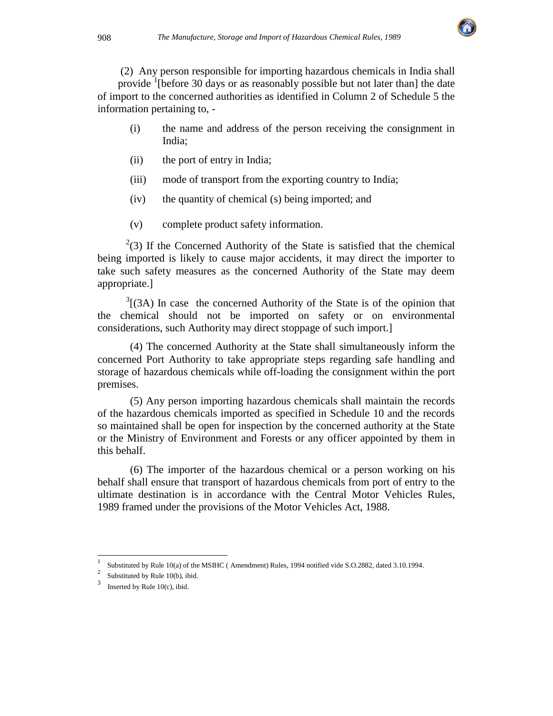

 (2) Any person responsible for importing hazardous chemicals in India shall provide <sup>1</sup>[before 30 days or as reasonably possible but not later than] the date of import to the concerned authorities as identified in Column 2 of Schedule 5 the information pertaining to, -

- (i) the name and address of the person receiving the consignment in India;
- (ii) the port of entry in India;
- (iii) mode of transport from the exporting country to India;
- (iv) the quantity of chemical (s) being imported; and
- (v) complete product safety information.

 $2<sup>2</sup>(3)$  If the Concerned Authority of the State is satisfied that the chemical being imported is likely to cause major accidents, it may direct the importer to take such safety measures as the concerned Authority of the State may deem appropriate.]

 $3$ [(3A) In case the concerned Authority of the State is of the opinion that the chemical should not be imported on safety or on environmental considerations, such Authority may direct stoppage of such import.]

 (4) The concerned Authority at the State shall simultaneously inform the concerned Port Authority to take appropriate steps regarding safe handling and storage of hazardous chemicals while off-loading the consignment within the port premises.

(5) Any person importing hazardous chemicals shall maintain the records of the hazardous chemicals imported as specified in Schedule 10 and the records so maintained shall be open for inspection by the concerned authority at the State or the Ministry of Environment and Forests or any officer appointed by them in this behalf.

(6) The importer of the hazardous chemical or a person working on his behalf shall ensure that transport of hazardous chemicals from port of entry to the ultimate destination is in accordance with the Central Motor Vehicles Rules, 1989 framed under the provisions of the Motor Vehicles Act, 1988.

l

<sup>1</sup> Substituted by Rule 10(a) of the MSIHC ( Amendment) Rules, 1994 notified vide S.O.2882, dated 3.10.1994.

<sup>2</sup> Substituted by Rule 10(b), ibid.

<sup>3</sup> Inserted by Rule 10(c), ibid.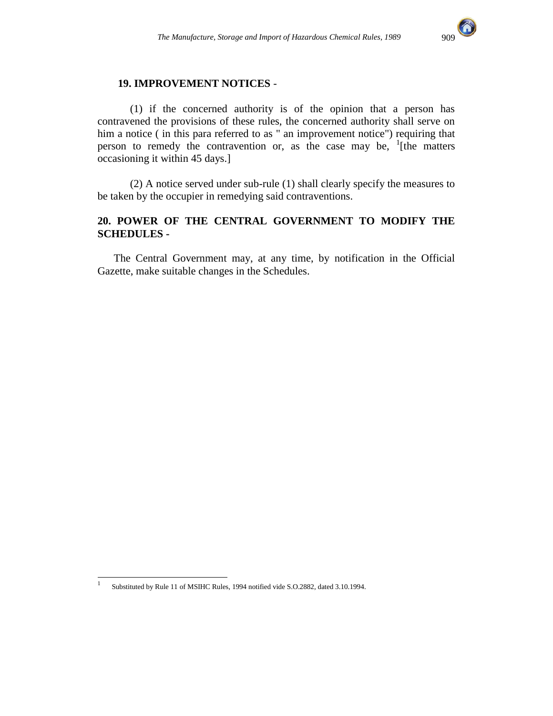

#### **19. IMPROVEMENT NOTICES** -

 (1) if the concerned authority is of the opinion that a person has contravened the provisions of these rules, the concerned authority shall serve on him a notice ( in this para referred to as " an improvement notice") requiring that person to remedy the contravention or, as the case may be,  $\frac{1}{1}$  [the matters occasioning it within 45 days.]

(2) A notice served under sub-rule (1) shall clearly specify the measures to be taken by the occupier in remedying said contraventions.

#### **20. POWER OF THE CENTRAL GOVERNMENT TO MODIFY THE SCHEDULES -**

The Central Government may, at any time, by notification in the Official Gazette, make suitable changes in the Schedules.

|<br>|<br>|

Substituted by Rule 11 of MSIHC Rules, 1994 notified vide S.O.2882, dated 3.10.1994.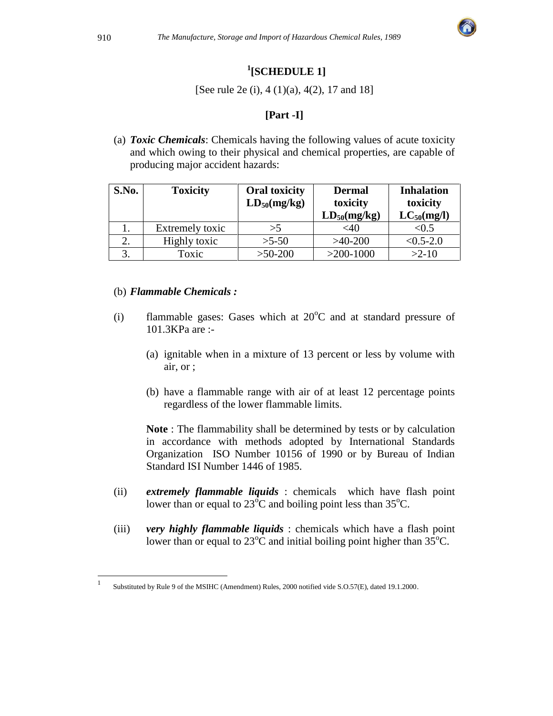

# **1 [SCHEDULE 1]**

[See rule 2e (i), 4 (1)(a), 4(2), 17 and 18]

# **[Part -I]**

(a) *Toxic Chemicals*: Chemicals having the following values of acute toxicity and which owing to their physical and chemical properties, are capable of producing major accident hazards:

| S.No. | <b>Toxicity</b> | <b>Oral toxicity</b><br>$LD_{50}(mg/kg)$ | <b>Dermal</b><br>toxicity<br>$LD_{50}(mg/kg)$ | <b>Inhalation</b><br>toxicity<br>$LC_{50}(mg/l)$ |
|-------|-----------------|------------------------------------------|-----------------------------------------------|--------------------------------------------------|
|       | Extremely toxic | >5                                       | <40                                           | <0.5                                             |
|       | Highly toxic    | $>5-50$                                  | $>40-200$                                     | $< 0.5 - 2.0$                                    |
|       | Toxic           | $>50-200$                                | $>200-1000$                                   | $>2-10$                                          |

#### (b) *Flammable Chemicals :*

- (i) flammable gases: Gases which at  $20^{\circ}$ C and at standard pressure of 101.3KPa are :-
	- (a) ignitable when in a mixture of 13 percent or less by volume with air, or ;
	- (b) have a flammable range with air of at least 12 percentage points regardless of the lower flammable limits.

**Note** : The flammability shall be determined by tests or by calculation in accordance with methods adopted by International Standards Organization ISO Number 10156 of 1990 or by Bureau of Indian Standard ISI Number 1446 of 1985.

- (ii) *extremely flammable liquids* : chemicals which have flash point lower than or equal to  $23^{\circ}$ C and boiling point less than  $35^{\circ}$ C.
- (iii) *very highly flammable liquids* : chemicals which have a flash point lower than or equal to  $23^{\circ}$ C and initial boiling point higher than  $35^{\circ}$ C.

 $\overline{a}$ 1

Substituted by Rule 9 of the MSIHC (Amendment) Rules, 2000 notified vide S.O.57(E), dated 19.1.2000.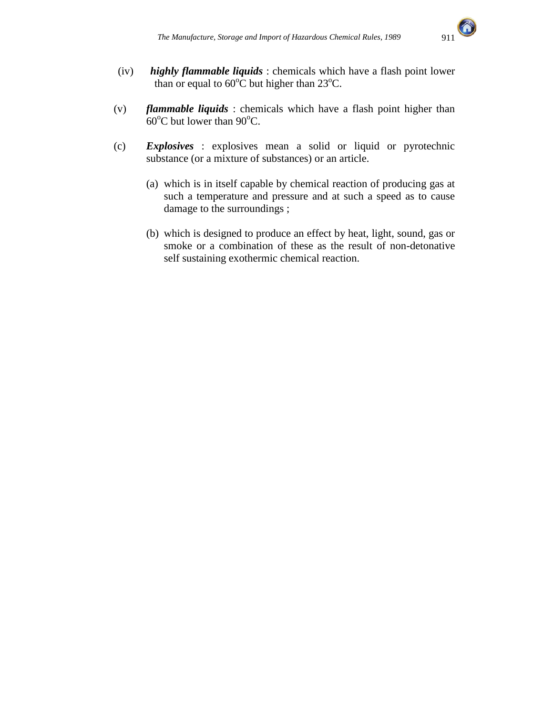

- (iv) *highly flammable liquids* : chemicals which have a flash point lower than or equal to  $60^{\circ}$ C but higher than 23 $^{\circ}$ C.
- (v) *flammable liquids* : chemicals which have a flash point higher than  $60^{\circ}$ C but lower than  $90^{\circ}$ C.
- (c) *Explosives* : explosives mean a solid or liquid or pyrotechnic substance (or a mixture of substances) or an article.
	- (a) which is in itself capable by chemical reaction of producing gas at such a temperature and pressure and at such a speed as to cause damage to the surroundings ;
	- (b) which is designed to produce an effect by heat, light, sound, gas or smoke or a combination of these as the result of non-detonative self sustaining exothermic chemical reaction.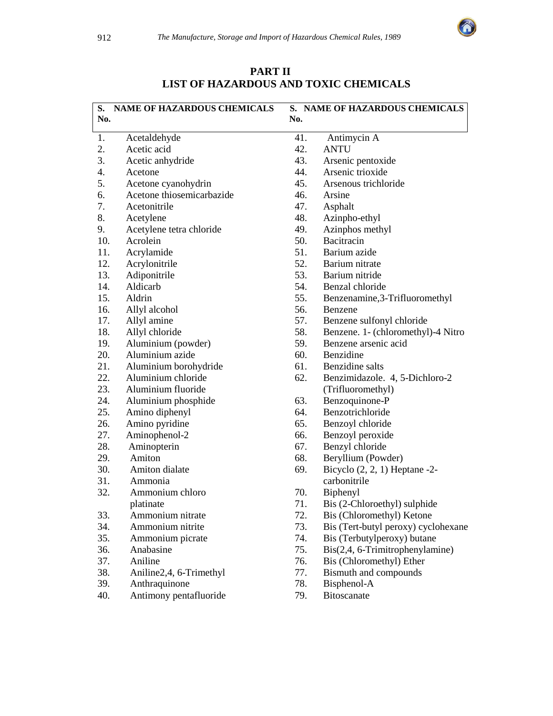

|     | S. NAME OF HAZARDOUS CHEMICALS |     | S. NAME OF HAZARDOUS CHEMICALS      |
|-----|--------------------------------|-----|-------------------------------------|
| No. |                                | No. |                                     |
| 1.  | Acetaldehyde                   | 41. | Antimycin A                         |
| 2.  | Acetic acid                    | 42. | <b>ANTU</b>                         |
| 3.  | Acetic anhydride               | 43. | Arsenic pentoxide                   |
| 4.  | Acetone                        | 44. | Arsenic trioxide                    |
| 5.  | Acetone cyanohydrin            | 45. | Arsenous trichloride                |
| 6.  | Acetone thiosemicarbazide      | 46. | Arsine                              |
| 7.  | Acetonitrile                   | 47. | Asphalt                             |
| 8.  | Acetylene                      | 48. | Azinpho-ethyl                       |
| 9.  | Acetylene tetra chloride       | 49. | Azinphos methyl                     |
| 10. | Acrolein                       | 50. | Bacitracin                          |
| 11. | Acrylamide                     | 51. | Barium azide                        |
| 12. | Acrylonitrile                  | 52. | Barium nitrate                      |
| 13. | Adiponitrile                   | 53. | Barium nitride                      |
| 14. | Aldicarb                       | 54. | Benzal chloride                     |
| 15. | Aldrin                         | 55. | Benzenamine, 3-Trifluoromethyl      |
| 16. | Allyl alcohol                  | 56. | Benzene                             |
| 17. | Allyl amine                    | 57. | Benzene sulfonyl chloride           |
| 18. | Allyl chloride                 | 58. | Benzene. 1- (chloromethyl)-4 Nitro  |
| 19. | Aluminium (powder)             | 59. | Benzene arsenic acid                |
| 20. | Aluminium azide                | 60. | Benzidine                           |
| 21. | Aluminium borohydride          | 61. | Benzidine salts                     |
| 22. | Aluminium chloride             | 62. | Benzimidazole. 4, 5-Dichloro-2      |
| 23. | Aluminium fluoride             |     | (Trifluoromethyl)                   |
| 24. | Aluminium phosphide            | 63. | Benzoquinone-P                      |
| 25. | Amino diphenyl                 | 64. | Benzotrichloride                    |
| 26. | Amino pyridine                 | 65. | Benzoyl chloride                    |
| 27. | Aminophenol-2                  | 66. | Benzoyl peroxide                    |
| 28. | Aminopterin                    | 67. | Benzyl chloride                     |
| 29. | Amiton                         | 68. | Beryllium (Powder)                  |
| 30. | Amiton dialate                 | 69. | Bicyclo $(2, 2, 1)$ Heptane -2-     |
| 31. | Ammonia                        |     | carbonitrile                        |
| 32. | Ammonium chloro                | 70. | Biphenyl                            |
|     | platinate                      | 71. | Bis (2-Chloroethyl) sulphide        |
| 33. | Ammonium nitrate               | 72. | Bis (Chloromethyl) Ketone           |
| 34. | Ammonium nitrite               | 73. | Bis (Tert-butyl peroxy) cyclohexane |
| 35. | Ammonium picrate               | 74. | Bis (Terbutylperoxy) butane         |
| 36. | Anabasine                      | 75. | Bis(2,4, 6-Trimitrophenylamine)     |
| 37. | Aniline                        | 76. | Bis (Chloromethyl) Ether            |
| 38. | Aniline2,4, 6-Trimethyl        | 77. | Bismuth and compounds               |
| 39. | Anthraquinone                  | 78. | Bisphenol-A                         |
| 40. | Antimony pentafluoride         | 79. | Bitoscanate                         |
|     |                                |     |                                     |

**PART II LIST OF HAZARDOUS AND TOXIC CHEMICALS**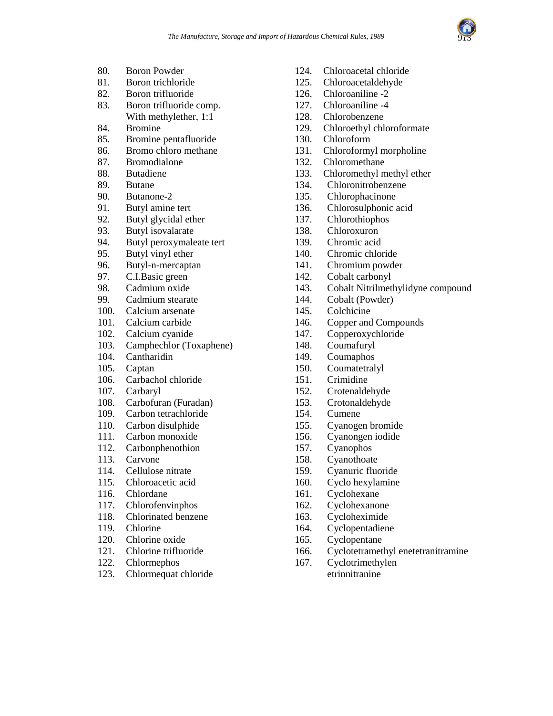

- 80. Boron Powder
- 81. Boron trichloride
- 82. Boron trifluoride
- 83. Boron trifluoride comp. With methylether, 1:1
- 84. Bromine
- 85. Bromine pentafluoride
- 86. Bromo chloro methane
- 87. Bromodialone
- 88. Butadiene
- 89. Butane
- 90. Butanone-2
- 91. Butyl amine tert
- 92. Butyl glycidal ether
- 93. Butyl isovalarate
- 94. Butyl peroxymaleate tert
- 95. Butyl vinyl ether
- 96. Butyl-n-mercaptan
- 97. C.I.Basic green
- 98. Cadmium oxide
- 99. Cadmium stearate
- 100. Calcium arsenate
- 101. Calcium carbide
- 102. Calcium cyanide
- 103. Camphechlor (Toxaphene)
- 104. Cantharidin
- 105. Captan
- 106. Carbachol chloride
- 107. Carbaryl
- 108. Carbofuran (Furadan)
- 109. Carbon tetrachloride
- 110. Carbon disulphide
- 111. Carbon monoxide
- 112. Carbonphenothion
- 113. Carvone
- 114. Cellulose nitrate
- 115. Chloroacetic acid
- 116. Chlordane
- 117. Chlorofenvinphos
- 118. Chlorinated benzene
- 119. Chlorine
- 120. Chlorine oxide
- 121. Chlorine trifluoride
- 122. Chlormephos
- 123. Chlormequat chloride
- 124. Chloroacetal chloride
- 125. Chloroacetaldehyde
- 126. Chloroaniline -2
- 127. Chloroaniline -4
- 128. Chlorobenzene
- 129. Chloroethyl chloroformate
- 130. Chloroform
- 131. Chloroformyl morpholine
- 132. Chloromethane
- 133. Chloromethyl methyl ether
- 134. Chloronitrobenzene
- 135. Chlorophacinone
- 136. Chlorosulphonic acid
- 137. Chlorothiophos
- 138. Chloroxuron
- 139. Chromic acid
- 140. Chromic chloride
- 141. Chromium powder
- 142. Cobalt carbonyl
- 143. Cobalt Nitrilmethylidyne compound
- 144. Cobalt (Powder)
- 145. Colchicine
- 146. Copper and Compounds
- 147. Copperoxychloride
- 148. Coumafuryl
- 149. Coumaphos
- 150. Coumatetralyl
- 151. Crimidine
- 152. Crotenaldehyde
- 153. Crotonaldehyde
- 154. Cumene
- 155. Cyanogen bromide
- 156. Cyanongen iodide
- 157. Cyanophos
- 158. Cyanothoate
- 159. Cyanuric fluoride
- 160. Cyclo hexylamine
- 161. Cyclohexane
- 162. Cyclohexanone
- 163. Cycloheximide
- 164. Cyclopentadiene
- 165. Cyclopentane
- 166. Cyclotetramethyl enetetranitramine
- 167. Cyclotrimethylen etrinnitranine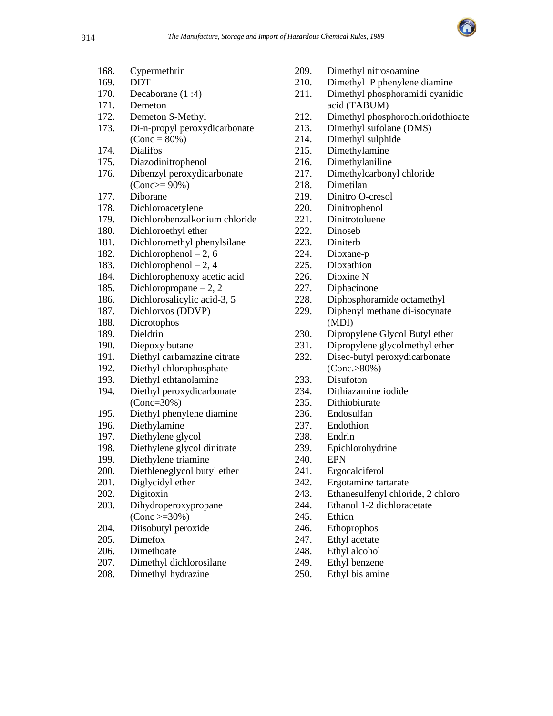

| 168. | Cypermethrin                  | 209. | Dime       |
|------|-------------------------------|------|------------|
| 169. | DDT                           | 210. | Dime       |
| 170. | Decaborane (1:4)              | 211. | Dime       |
| 171. | Demeton                       |      | acid (     |
| 172. | Demeton S-Methyl              | 212. | Dime       |
| 173. | Di-n-propyl peroxydicarbonate | 213. | Dime       |
|      | $(Cone = 80\%)$               | 214. | Dime       |
| 174. | <b>Dialifos</b>               | 215. | Dime       |
| 175. | Diazodinitrophenol            | 216. | Dime       |
| 176. | Dibenzyl peroxydicarbonate    | 217. | Dime       |
|      | $(Conc>=90\%)$                | 218. | Dime       |
| 177. | Diborane                      | 219. | Dinit      |
| 178. | Dichloroacetylene             | 220. | Dinit      |
| 179. | Dichlorobenzalkonium chloride | 221. | Diniti     |
| 180. | Dichloroethyl ether           | 222. | Dinos      |
| 181. | Dichloromethyl phenylsilane   | 223. | Dinite     |
| 182. | Dichlorophenol $-2, 6$        | 224. | Dioxa      |
| 183. | Dichlorophenol $-2$ , 4       | 225. | Dioxa      |
| 184. | Dichlorophenoxy acetic acid   | 226. | Dioxi      |
| 185. | Dichloropropane $-2$ , 2      | 227. | Dipha      |
| 186. | Dichlorosalicylic acid-3, 5   | 228. | Dipho      |
| 187. | Dichlorvos (DDVP)             | 229. | Diphe      |
| 188. | Dicrotophos                   |      | (MDI)      |
| 189. | Dieldrin                      | 230. | Dipro      |
| 190. | Diepoxy butane                | 231. | Dipro      |
| 191. | Diethyl carbamazine citrate   | 232. | Disec      |
| 192. | Diethyl chlorophosphate       |      | (Con       |
| 193. | Diethyl ethtanolamine         | 233. | Disuf      |
| 194. | Diethyl peroxydicarbonate     | 234. | Dithi      |
|      | $(Cone=30%)$                  | 235. | Dithi      |
| 195. | Diethyl phenylene diamine     | 236. | Endo       |
| 196. | Diethylamine                  | 237. | Endo       |
| 197. | Diethylene glycol             | 238. | Endri      |
| 198. | Diethylene glycol dinitrate   | 239. | Epich      |
| 199. | Diethylene triamine           | 240. | <b>EPN</b> |
| 200. | Diethleneglycol butyl ether   | 241. | Ergoo      |
| 201. | Diglycidyl ether              | 242. | Ergot      |
| 202. | Digitoxin                     | 243. | Ethar      |
| 203. | Dihydroperoxypropane          | 244. | Ethar      |
|      | $(Cone >= 30\%)$              | 245. | Ethio      |
| 204. | Diisobutyl peroxide           | 246. | Ethop      |
| 205. | Dimefox                       | 247. | Ethyl      |
| 206. | Dimethoate                    | 248. | Ethyl      |
| 207. | Dimethyl dichlorosilane       | 249. | Ethyl      |
|      |                               |      |            |

208. Dimethyl hydrazine

- ethyl nitrosoamine
- ethyl P phenylene diamine
- ethyl phosphoramidi cyanidic TABUM)
- thyl phosphorochloridothioate
- ethyl sufolane (DMS)
- ethyl sulphide
- ethylamine
- ethylaniline
- thylcarbonyl chloride
- etilan
- ro O-cresol
- rophenol
- rotoluene
- seb
- erb
- ane-p
- athion
- $ine N$
- acinone
- osphoramide octamethyl
- enyl methane di-isocynate  $\overline{D}$
- ppylene Glycol Butyl ether
- ppylene glycolmethyl ether
- :-butyl peroxydicarbonate  $c. > 80\%$ )
- foton
- azamine iodide
- obiurate
- sulfan
- thion
- $\overline{\mathbf{n}}$
- alorohydrine
- calciferol
- amine tartarate
- nesulfenyl chloride, 2 chloro
- 1-2 dichloracetate
- $\mathbf n$
- prophos
- acetate
- alcohol
- benzene
- 250. Ethyl bis amine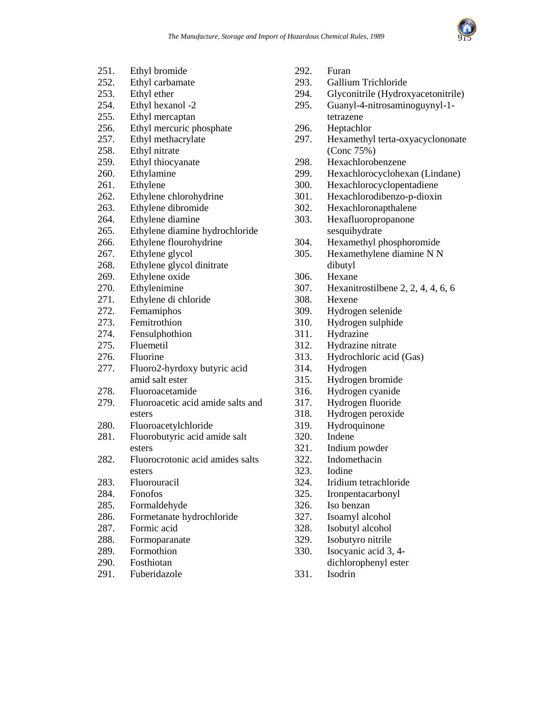

| 251. | Ethyl bromide                     | 292. |
|------|-----------------------------------|------|
| 252. | Ethyl carbamate                   | 293. |
| 253. | Ethyl ether                       | 294. |
| 254. | Ethyl hexanol -2                  | 295. |
| 255. | Ethyl mercaptan                   |      |
| 256. | Ethyl mercuric phosphate          | 296. |
| 257. | Ethyl methacrylate                | 297. |
| 258. | Ethyl nitrate                     |      |
| 259. | Ethyl thiocyanate                 | 298. |
| 260. | Ethylamine                        | 299. |
| 261. | Ethylene                          | 300. |
| 262. | Ethylene chlorohydrine            | 301. |
| 263. | Ethylene dibromide                | 302. |
| 264. | Ethylene diamine                  | 303. |
| 265. | Ethylene diamine hydrochloride    |      |
| 266. | Ethylene flourohydrine            | 304. |
| 267. | Ethylene glycol                   | 305. |
| 268. | Ethylene glycol dinitrate         |      |
| 269. | Ethylene oxide                    | 306. |
| 270. | Ethylenimine                      | 307. |
| 271. | Ethylene di chloride              | 308. |
| 272. | Femamiphos                        | 309. |
| 273. | Femitrothion                      | 310. |
| 274. | Fensulphothion                    | 311. |
| 275. | Fluemetil                         | 312. |
| 276. | Fluorine                          | 313. |
| 277. | Fluoro2-hyrdoxy butyric acid      | 314. |
|      | amid salt ester                   | 315. |
| 278. | Fluoroacetamide                   | 316. |
| 279. | Fluoroacetic acid amide salts and | 317. |
|      | esters                            | 318. |
| 280. | Fluoroacetylchloride              | 319. |
| 281. | Fluorobutyric acid amide salt     | 320. |
|      | esters                            | 321. |
| 282. | Fluorocrotonic acid amides salts  | 322. |
|      | esters                            | 323. |
| 283. | Fluorouracil                      | 324. |
| 284. | Fonofos                           | 325. |
| 285. | Formaldehyde                      | 326. |
| 286. | Formetanate hydrochloride         | 327. |
| 287. | Formic acid                       | 328. |
| 288. | Formoparanate                     | 329. |
| 289. | Formothion                        | 330. |
| 290. | Fosthiotan                        |      |
| 291. | Fuberidazole                      | 331. |
|      |                                   |      |

- Furan
- Gallium Trichloride
- Glyconitrile (Hydroxyacetonitrile)
- Guanyl-4-nitrosaminoguynyl-1tetrazene
- Heptachlor
- Hexamethyl terta-oxyacyclononate (Conc 75%)
- Hexachlorobenzene
- Hexachlorocyclohexan (Lindane)
- Hexachlorocyclopentadiene
- Hexachlorodibenzo-p-dioxin
- Hexachloronapthalene
- Hexafluoropropanone sesquihydrate
- Hexamethyl phosphoromide
- Hexamethylene diamine N N dibutyl
- Hexane
- Hexanitrostilbene  $2, 2, 4, 4, 6, 6$
- Hexene
- Hydrogen selenide
- Hydrogen sulphide
- Hydrazine
- Hydrazine nitrate
- Hydrochloric acid (Gas)
- **Hydrogen**
- Hydrogen bromide
- Hydrogen cyanide
- Hydrogen fluoride
- Hydrogen peroxide
- Hydroquinone
- Indene
- Indium powder
- Indomethacin
- Iodine
- Iridium tetrachloride
- Ironpentacarbonyl
- Iso benzan
- Isoamyl alcohol
- Isobutyl alcohol
- Isobutyro nitrile
- Isocyanic acid 3, 4dichlorophenyl ester
- **Isodrin**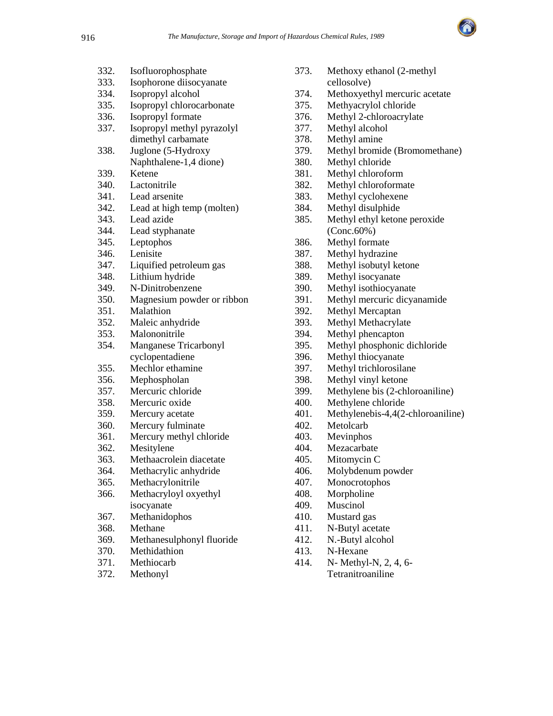

| 332. | Isofluorophosphate         |
|------|----------------------------|
| 333. | Isophorone diisocyanate    |
| 334. | Isopropyl alcohol          |
| 335. | Isopropyl chlorocarbonate  |
| 336. | Isopropyl formate          |
| 337. | Isopropyl methyl pyrazolyl |
|      | dimethyl carbamate         |
| 338. | Juglone (5-Hydroxy         |
|      | Naphthalene-1,4 dione)     |
| 339. | Ketene                     |
| 340. | Lactonitrile               |
| 341. | Lead arsenite              |
| 342. | Lead at high temp (molten) |
| 343. | Lead azide                 |
| 344. | Lead styphanate            |
| 345. | Leptophos                  |
| 346. | Lenisite                   |
| 347. | Liquified petroleum gas    |
| 348. | Lithium hydride            |
| 349. | N-Dinitrobenzene           |
| 350. | Magnesium powder or ribbon |
| 351. | Malathion                  |
| 352. | Maleic anhydride           |
| 353. | Malononitrile              |
| 354. | Manganese Tricarbonyl      |
|      | cyclopentadiene            |
| 355. | Mechlor ethamine           |
| 356. | Mephospholan               |
| 357. | Mercuric chloride          |
| 358. | Mercuric oxide             |
| 359. | Mercury acetate            |
| 360. | Mercury fulminate          |
| 361. | Mercury methyl chloride    |
| 362. | Mesitylene                 |
| 363. | Methaacrolein diacetate    |
| 364. | Methacrylic anhydride      |
| 365. | Methacrylonitrile          |
| 366. | Methacryloyl oxyethyl      |
|      | isocyanate                 |
| 367. | Methanidophos              |
| 368. | Methane                    |
| 369. | Methanesulphonyl fluoride  |
| 370. | Methidathion               |
| 371. | Methiocarb                 |
| 372. | Methonyl                   |

| 373. | Methoxy ethanol (2-methyl                |
|------|------------------------------------------|
|      | cellosolve)                              |
| 374. | Methoxyethyl mercuric acetate            |
| 375. | Methyacrylol chloride                    |
| 376. | Methyl 2-chloroacrylate                  |
| 377. | Methyl alcohol                           |
| 378. | Methyl amine                             |
| 379. | Methyl bromide (Bromomethane)            |
| 380. | Methyl chloride                          |
| 381. | Methyl chloroform                        |
| 382. | Methyl chloroformate                     |
| 383. | Methyl cyclohexene                       |
| 384. | Methyl disulphide                        |
| 385. | Methyl ethyl ketone peroxide             |
|      | $(Conc.60\%)$                            |
| 386. | Methyl formate                           |
| 387. | Methyl hydrazine                         |
| 388. | Methyl isobutyl ketone                   |
| 389. | Methyl isocyanate                        |
| 390. | Methyl isothiocyanate                    |
| 391. | Methyl mercuric dicyanamide              |
| 392. | Methyl Mercaptan                         |
| 393. | Methyl Methacrylate                      |
| 394. | Methyl phencapton                        |
| 395. | Methyl phosphonic dichloride             |
| 396. | Methyl thiocyanate                       |
| 397. | Methyl trichlorosilane                   |
| 398. | Methyl vinyl ketone                      |
| 399. | Methylene bis (2-chloroaniline)          |
| 400. | Methylene chloride                       |
| 401. | Methylenebis-4,4(2-chloroaniline)        |
| 402. | Metolcarb                                |
| 403. | Mevinphos                                |
| 404. | Mezacarbate                              |
| 405. | Mitomycin C                              |
| 406. | Molybdenum powder                        |
| 407. | Monocrotophos                            |
| 408. | Morpholine                               |
| 409. | Muscinol                                 |
| 410. | Mustard gas                              |
| 411  | $\mathbf{N}$ T $\mathbf{N}$ $\mathbf{I}$ |

- 411. N-Butyl acetate
- 412. N.-Butyl alcohol
- 413. N-Hexane
- 414. N- Methyl-N, 2, 4, 6- Tetranitroaniline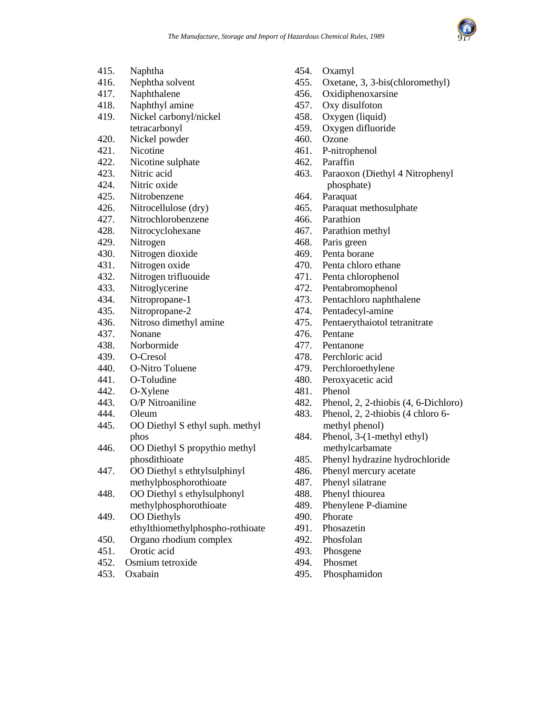

| 415. | Naphtha                          |
|------|----------------------------------|
| 416. | Nephtha solvent                  |
| 417. | Naphthalene                      |
| 418. | Naphthyl amine                   |
| 419. | Nickel carbonyl/nickel           |
|      | tetracarbonyl                    |
| 420. | Nickel powder                    |
| 421. | Nicotine                         |
| 422. | Nicotine sulphate                |
| 423. | Nitric acid                      |
| 424. | Nitric oxide                     |
| 425. | Nitrobenzene                     |
| 426. | Nitrocellulose (dry)             |
| 427. | Nitrochlorobenzene               |
| 428. | Nitrocyclohexane                 |
| 429. | Nitrogen                         |
| 430. | Nitrogen dioxide                 |
| 431. | Nitrogen oxide                   |
| 432. | Nitrogen trifluouide             |
| 433. | Nitroglycerine                   |
| 434. | Nitropropane-1                   |
| 435. | Nitropropane-2                   |
| 436. | Nitroso dimethyl amine           |
| 437. | Nonane                           |
| 438. | Norbormide                       |
| 439. | O-Cresol                         |
| 440. | O-Nitro Toluene                  |
| 441. | O-Toludine                       |
| 442. | O-Xylene                         |
| 443. | O/P Nitroaniline                 |
| 444. | Oleum                            |
| 445. | OO Diethyl S ethyl suph. methyl  |
|      | phos                             |
| 446. | OO Diethyl S propythio methyl    |
|      | phosdithioate                    |
| 447. | OO Diethyl s ethtylsulphinyl     |
|      | methylphosphorothioate           |
| 448. | OO Diethyl s ethylsulphonyl      |
|      | methylphosphorothioate           |
| 449. | <b>OO</b> Diethyls               |
|      | ethylthiomethylphospho-rothioate |
| 450. | Organo rhodium complex           |
| 451. | Orotic acid                      |
| 452. | Osmium tetroxide                 |
| 453. | Oxabain                          |

- 454. Oxamyl
- 455. Oxetane, 3, 3-bis(chloromethyl)
- 456. Oxidiphenoxarsine
- 457. Oxy disulfoton
- 458. Oxygen (liquid)
- 459. Oxygen difluoride
- 460. Ozone
- 461. P-nitrophenol
- 462. Paraffin
- 463. Paraoxon (Diethyl 4 Nitrophenyl phosphate)
- 464. Paraquat
- 465. Paraquat methosulphate
- 466. Parathion
- 467. Parathion methyl
- 468. Paris green
- 469. Penta borane
- 470. Penta chloro ethane
- 471. Penta chlorophenol
- 472. Pentabromophenol
- 473. Pentachloro naphthalene
- 474. Pentadecyl-amine
- 475. Pentaerythaiotol tetranitrate
- 476. Pentane
- 477. Pentanone
- 478. Perchloric acid
- 479. Perchloroethylene
- 480. Peroxyacetic acid
- 481. Phenol
- 482. Phenol, 2, 2-thiobis (4, 6-Dichloro)
- 483. Phenol, 2, 2-thiobis (4 chloro 6 methyl phenol)
- 484. Phenol, 3-(1-methyl ethyl) methylcarbamate
- 485. Phenyl hydrazine hydrochloride
- 486. Phenyl mercury acetate
- 487. Phenyl silatrane
- 488. Phenyl thiourea
- 489. Phenylene P-diamine
- 490. Phorate
- 491. Phosazetin
- 492. Phosfolan
- 493. Phosgene
- 494. Phosmet
- 495. Phosphamidon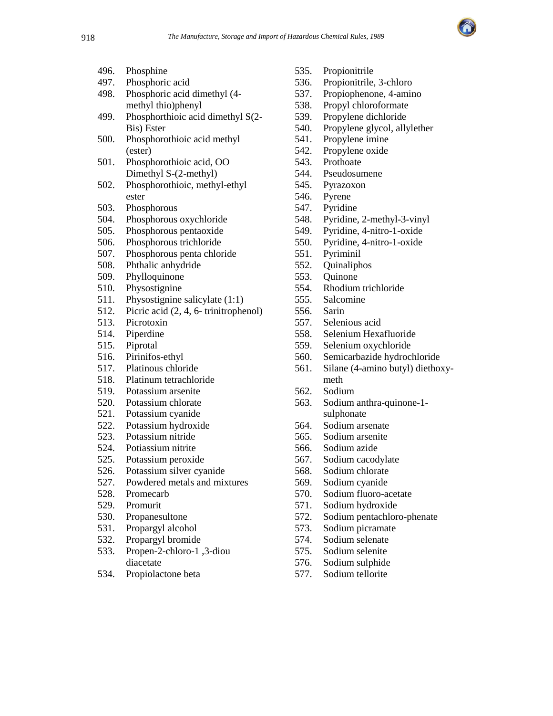

| 496. | Phosphine            |
|------|----------------------|
| 107  | مصادما والمتمح والال |

- 497. Phosphoric acid
- 498. Phosphoric acid dimethyl (4 methyl thio)phenyl
- 499. Phosphorthioic acid dimethyl S(2- Bis) Ester
- 500. Phosphorothioic acid methyl (ester)
- 501. Phosphorothioic acid, OO Dimethyl S-(2-methyl)
- 502. Phosphorothioic, methyl-ethyl ester
- 503. Phosphorous
- 504. Phosphorous oxychloride
- 505. Phosphorous pentaoxide
- 506. Phosphorous trichloride
- 507. Phosphorous penta chloride
- 508. Phthalic anhydride
- 509. Phylloquinone
- 510. Physostignine
- 511. Physostignine salicylate (1:1)
- 512. Picric acid (2, 4, 6- trinitrophenol)
- 513. Picrotoxin
- 514. Piperdine
- 515. Piprotal
- 516. Pirinifos-ethyl
- 517. Platinous chloride
- 518. Platinum tetrachloride
- 519. Potassium arsenite
- 520. Potassium chlorate
- 521. Potassium cyanide
- 522. Potassium hydroxide
- 523. Potassium nitride
- 524. Potiassium nitrite
- 525. Potassium peroxide
- 526. Potassium silver cyanide
- 527. Powdered metals and mixtures
- 528. Promecarb
- 529. Promurit
- 530. Propanesultone
- 531. Propargyl alcohol
- 532. Propargyl bromide
- 533. Propen-2-chloro-1 ,3-diou diacetate
- 534. Propiolactone beta
- 535. Propionitrile
- 536. Propionitrile, 3-chloro
- 537. Propiophenone, 4-amino
- 538. Propyl chloroformate
- 539. Propylene dichloride
- 540. Propylene glycol, allylether
- 541. Propylene imine
- 542. Propylene oxide
- 543. Prothoate
- 544. Pseudosumene
- 545. Pyrazoxon
- 546. Pyrene
- 547. Pyridine
- 548. Pyridine, 2-methyl-3-vinyl
- 549. Pyridine, 4-nitro-1-oxide
- 550. Pyridine, 4-nitro-1-oxide
- 551. Pyriminil
- 552. Quinaliphos
- 553. Quinone
- 554. Rhodium trichloride
- 555. Salcomine
- 556. Sarin
- 557. Selenious acid
- 558. Selenium Hexafluoride
- 559. Selenium oxychloride
- 560. Semicarbazide hydrochloride
- 561. Silane (4-amino butyl) diethoxymeth
- 562. Sodium
- 563. Sodium anthra-quinone-1 sulphonate
- 564. Sodium arsenate
- 565. Sodium arsenite
- 566. Sodium azide
- 567. Sodium cacodylate
- 568. Sodium chlorate
- 569. Sodium cyanide
- 570. Sodium fluoro-acetate
- 571. Sodium hydroxide
- 572. Sodium pentachloro-phenate
- 573. Sodium picramate
- 574. Sodium selenate
- 575. Sodium selenite
- 576. Sodium sulphide
- 577. Sodium tellorite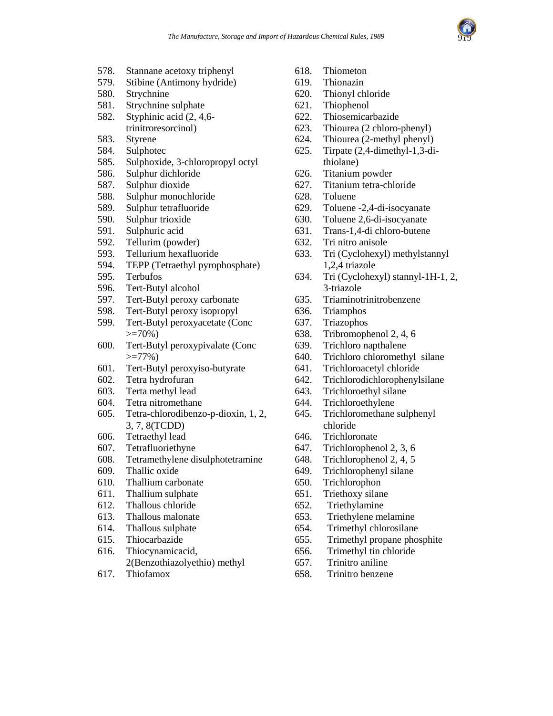

- 578. Stannane acetoxy triphenyl
- 579. Stibine (Antimony hydride)
- 580. Strychnine
- 581. Strychnine sulphate
- 582. Styphinic acid (2, 4,6 trinitroresorcinol)
- 583. Styrene
- 584. Sulphotec
- 585. Sulphoxide, 3-chloropropyl octyl
- 586. Sulphur dichloride
- 587. Sulphur dioxide
- 588. Sulphur monochloride
- 589. Sulphur tetrafluoride
- 590. Sulphur trioxide
- 591. Sulphuric acid
- 592. Tellurim (powder)
- 593. Tellurium hexafluoride
- 594. TEPP (Tetraethyl pyrophosphate)
- 595. Terbufos
- 596. Tert-Butyl alcohol
- 597. Tert-Butyl peroxy carbonate
- 598. Tert-Butyl peroxy isopropyl
- 599. Tert-Butyl peroxyacetate (Conc  $> = 70\%$
- 600. Tert-Butyl peroxypivalate (Conc  $>=77\%$ )
- 601. Tert-Butyl peroxyiso-butyrate
- 602. Tetra hydrofuran
- 603. Terta methyl lead
- 604. Tetra nitromethane
- 605. Tetra-chlorodibenzo-p-dioxin, 1, 2, 3, 7, 8(TCDD)
- 606. Tetraethyl lead
- 607. Tetrafluoriethyne
- 608. Tetramethylene disulphotetramine
- 609. Thallic oxide
- 610. Thallium carbonate
- 611. Thallium sulphate
- 612. Thallous chloride
- 613. Thallous malonate
- 614. Thallous sulphate
- 615. Thiocarbazide
- 616. Thiocynamicacid, 2(Benzothiazolyethio) methyl
- 617. Thiofamox
- 618. Thiometon
- 619. Thionazin
- 620. Thionyl chloride
- 621. Thiophenol
- 622. Thiosemicarbazide
- 623. Thiourea (2 chloro-phenyl)
- 624. Thiourea (2-methyl phenyl)
- 625. Tirpate (2,4-dimethyl-1,3-dithiolane)
- 626. Titanium powder
- 627. Titanium tetra-chloride
- 628. Toluene
- 629. Toluene -2,4-di-isocyanate
- 630. Toluene 2,6-di-isocyanate
- 631. Trans-1,4-di chloro-butene
- 632. Tri nitro anisole
- 633. Tri (Cyclohexyl) methylstannyl 1,2,4 triazole
- 634. Tri (Cyclohexyl) stannyl-1H-1, 2, 3-triazole
- 635. Triaminotrinitrobenzene
- 636. Triamphos
- 637. Triazophos
- 638. Tribromophenol 2, 4, 6
- 639. Trichloro napthalene
- 640. Trichloro chloromethyl silane
- 641. Trichloroacetyl chloride
- 642. Trichlorodichlorophenylsilane
- 643. Trichloroethyl silane
- 644. Trichloroethylene
- 645. Trichloromethane sulphenyl chloride
- 646. Trichloronate
- 647. Trichlorophenol 2, 3, 6
- 648. Trichlorophenol 2, 4, 5
- 649. Trichlorophenyl silane
- 650. Trichlorophon
- 651. Triethoxy silane
- 652. Triethylamine
- 653. Triethylene melamine
- 654. Trimethyl chlorosilane
- 655. Trimethyl propane phosphite
- 656. Trimethyl tin chloride
- 657. Trinitro aniline
- 658. Trinitro benzene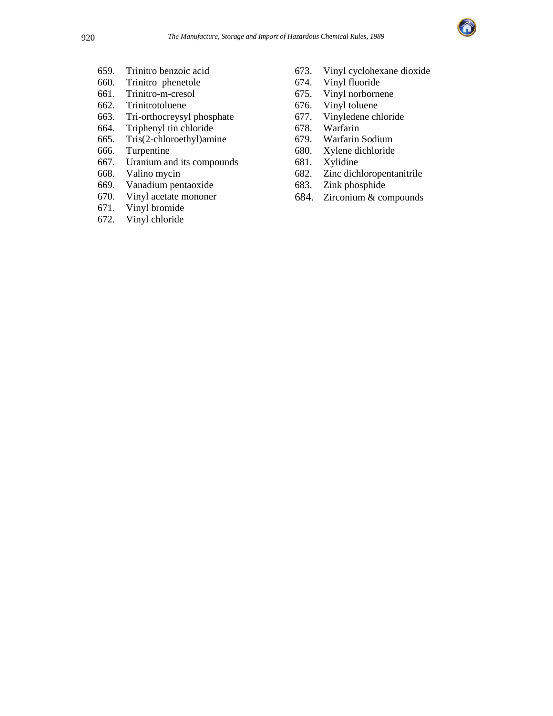

- 659. Trinitro benzoic acid
- 660. Trinitro phenetole
- 661. Trinitro-m-cresol
- 662. Trinitrotoluene
- 663. Tri-orthocreysyl phosphate
- 664. Triphenyl tin chloride
- 665. Tris(2-chloroethyl)amine
- 666. Turpentine
- 667. Uranium and its compounds
- 668. Valino mycin
- 669. Vanadium pentaoxide
- 670. Vinyl acetate mononer
- 671. Vinyl bromide
- 672. Vinyl chloride
- 673. Vinyl cyclohexane dioxide
- 674. Vinyl fluoride
- 675. Vinyl norbornene
- 676. Vinyl toluene
- 677. Vinyledene chloride
- 678. Warfarin
- 679. Warfarin Sodium
- 680. Xylene dichloride
- 681. Xylidine
- 682. Zinc dichloropentanitrile
- 683. Zink phosphide
- 684. Zirconium & compounds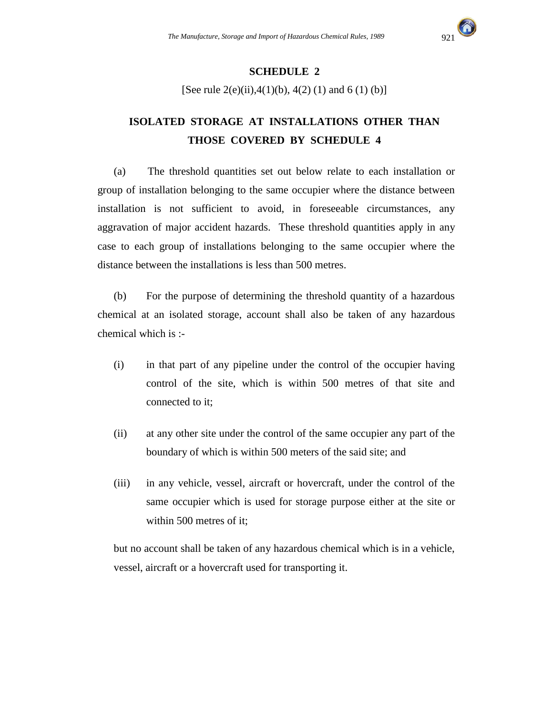

### **SCHEDULE 2**

[See rule  $2(e)(ii)$ ,  $4(1)(b)$ ,  $4(2)(1)$  and  $6(1)(b)$ ]

# **ISOLATED STORAGE AT INSTALLATIONS OTHER THAN THOSE COVERED BY SCHEDULE 4**

(a) The threshold quantities set out below relate to each installation or group of installation belonging to the same occupier where the distance between installation is not sufficient to avoid, in foreseeable circumstances, any aggravation of major accident hazards. These threshold quantities apply in any case to each group of installations belonging to the same occupier where the distance between the installations is less than 500 metres.

(b) For the purpose of determining the threshold quantity of a hazardous chemical at an isolated storage, account shall also be taken of any hazardous chemical which is :-

- (i) in that part of any pipeline under the control of the occupier having control of the site, which is within 500 metres of that site and connected to it;
- (ii) at any other site under the control of the same occupier any part of the boundary of which is within 500 meters of the said site; and
- (iii) in any vehicle, vessel, aircraft or hovercraft, under the control of the same occupier which is used for storage purpose either at the site or within 500 metres of it;

but no account shall be taken of any hazardous chemical which is in a vehicle, vessel, aircraft or a hovercraft used for transporting it.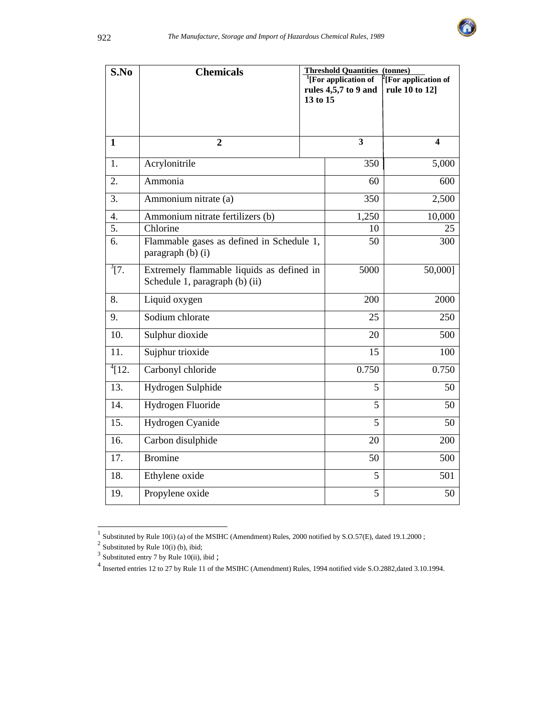

| S.No              | <b>Chemicals</b>                                                            | <b>Threshold Quantities (tonnes)</b><br><sup>1</sup> [For application of<br>$\rm{P}_{\rm{[For\, application\, of]}}$<br>rules 4,5,7 to 9 and |                         |                  |  |  |
|-------------------|-----------------------------------------------------------------------------|----------------------------------------------------------------------------------------------------------------------------------------------|-------------------------|------------------|--|--|
|                   |                                                                             | 13 to 15                                                                                                                                     |                         | rule 10 to 12]   |  |  |
|                   |                                                                             |                                                                                                                                              |                         |                  |  |  |
| $\mathbf{1}$      | $\overline{2}$                                                              |                                                                                                                                              | $\overline{\mathbf{3}}$ | $\boldsymbol{4}$ |  |  |
| 1.                | Acrylonitrile                                                               |                                                                                                                                              | 350                     | 5,000            |  |  |
| 2.                | Ammonia                                                                     |                                                                                                                                              | 60                      | 600              |  |  |
| 3.                | Ammonium nitrate (a)                                                        |                                                                                                                                              | 350                     | 2,500            |  |  |
| $\overline{4}$ .  | Ammonium nitrate fertilizers (b)                                            |                                                                                                                                              | 1,250                   | 10,000           |  |  |
| 5.                | Chlorine                                                                    |                                                                                                                                              | 10                      | 25               |  |  |
| 6.                | Flammable gases as defined in Schedule 1,<br>paragraph (b) (i)              | 300                                                                                                                                          |                         |                  |  |  |
| $^{3}[7.$         | Extremely flammable liquids as defined in<br>Schedule 1, paragraph (b) (ii) | 5000                                                                                                                                         | 50,000]                 |                  |  |  |
| 8.                | Liquid oxygen                                                               |                                                                                                                                              | 200                     | 2000             |  |  |
| 9.                | Sodium chlorate                                                             |                                                                                                                                              | 25                      | 250              |  |  |
| 10.               | Sulphur dioxide                                                             |                                                                                                                                              | $20\,$                  | 500              |  |  |
| $\overline{11}$ . | Sujphur trioxide                                                            |                                                                                                                                              | 15                      | 100              |  |  |
| $^{4}$ [12.       | Carbonyl chloride                                                           |                                                                                                                                              | 0.750                   | 0.750            |  |  |
| 13.               | Hydrogen Sulphide                                                           |                                                                                                                                              | 5                       | 50               |  |  |
| 14.               | Hydrogen Fluoride                                                           |                                                                                                                                              | 5                       | 50               |  |  |
| 15.               | Hydrogen Cyanide                                                            | 5<br>50                                                                                                                                      |                         |                  |  |  |
| 16.               | Carbon disulphide                                                           | 20<br>200                                                                                                                                    |                         |                  |  |  |
| 17.               | <b>Bromine</b>                                                              |                                                                                                                                              | 50                      | 500              |  |  |
| 18.               | Ethylene oxide                                                              |                                                                                                                                              | 5                       | 501              |  |  |
| 19.               | Propylene oxide                                                             |                                                                                                                                              | 5                       | 50               |  |  |

<sup>&</sup>lt;sup>1</sup> Substituted by Rule 10(i) (a) of the MSIHC (Amendment) Rules, 2000 notified by S.O.57(E), dated 19.1.2000 ;<br><sup>2</sup> Substituted by Rule 10(i) (b), ibid;

 $3$  Substituted entry 7 by Rule 10(ii), ibid;

<sup>&</sup>lt;sup>4</sup> Inserted entries 12 to 27 by Rule 11 of the MSIHC (Amendment) Rules, 1994 notified vide S.O.2882,dated 3.10.1994.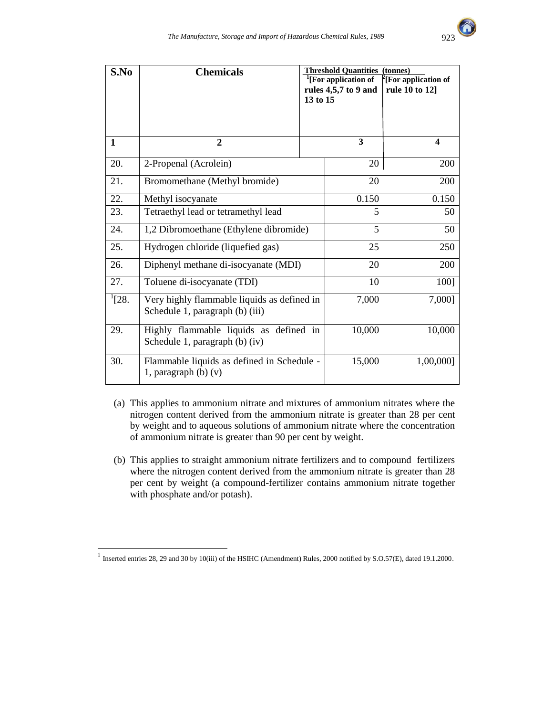

| S.No       | <b>Chemicals</b>                                                               | 13 to 15 | <b>Threshold Quantities (tonnes)</b><br><sup>1</sup> [For application of<br>rules 4,5,7 to 9 and | <sup>2</sup> [For application of<br>rule 10 to 12] |
|------------|--------------------------------------------------------------------------------|----------|--------------------------------------------------------------------------------------------------|----------------------------------------------------|
| 1          | $\overline{2}$                                                                 |          | 3                                                                                                | $\overline{\mathbf{4}}$                            |
| 20.        | 2-Propenal (Acrolein)                                                          |          | 20                                                                                               | 200                                                |
| 21.        | Bromomethane (Methyl bromide)                                                  |          | 20                                                                                               | 200                                                |
| 22.        | Methyl isocyanate                                                              | 0.150    | 0.150                                                                                            |                                                    |
| 23.        | Tetraethyl lead or tetramethyl lead                                            | 5        | 50                                                                                               |                                                    |
| 24.        | 1,2 Dibromoethane (Ethylene dibromide)                                         | 5        | 50                                                                                               |                                                    |
| 25.        | Hydrogen chloride (liquefied gas)                                              |          | 25                                                                                               | 250                                                |
| 26.        | Diphenyl methane di-isocyanate (MDI)                                           |          | 20                                                                                               | 200                                                |
| 27.        | Toluene di-isocyanate (TDI)                                                    |          | 10                                                                                               | 100]                                               |
| $^{1}[28.$ | Very highly flammable liquids as defined in<br>Schedule 1, paragraph (b) (iii) | 7,000    | 7,000]                                                                                           |                                                    |
| 29.        | Highly flammable liquids as defined in<br>Schedule 1, paragraph (b) (iv)       | 10,000   | 10,000                                                                                           |                                                    |
| 30.        | Flammable liquids as defined in Schedule -<br>1, paragraph $(b)$ $(v)$         | 15,000   | 1,00,000]                                                                                        |                                                    |

- (a) This applies to ammonium nitrate and mixtures of ammonium nitrates where the nitrogen content derived from the ammonium nitrate is greater than 28 per cent by weight and to aqueous solutions of ammonium nitrate where the concentration of ammonium nitrate is greater than 90 per cent by weight.
- (b) This applies to straight ammonium nitrate fertilizers and to compound fertilizers where the nitrogen content derived from the ammonium nitrate is greater than 28 per cent by weight (a compound-fertilizer contains ammonium nitrate together with phosphate and/or potash).

 1 Inserted entries 28, 29 and 30 by 10(iii) of the HSIHC (Amendment) Rules, 2000 notified by S.O.57(E), dated 19.1.2000.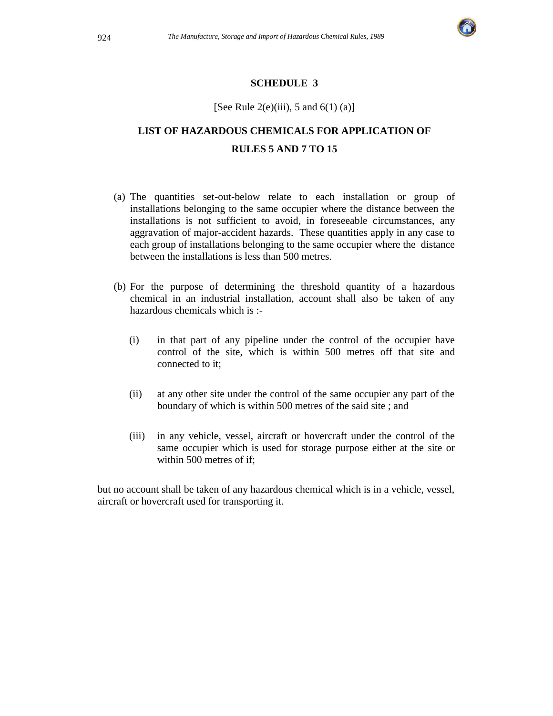

#### **SCHEDULE 3**

#### [See Rule 2(e)(iii), 5 and 6(1) (a)]

# **LIST OF HAZARDOUS CHEMICALS FOR APPLICATION OF RULES 5 AND 7 TO 15**

- (a) The quantities set-out-below relate to each installation or group of installations belonging to the same occupier where the distance between the installations is not sufficient to avoid, in foreseeable circumstances, any aggravation of major-accident hazards. These quantities apply in any case to each group of installations belonging to the same occupier where the distance between the installations is less than 500 metres.
- (b) For the purpose of determining the threshold quantity of a hazardous chemical in an industrial installation, account shall also be taken of any hazardous chemicals which is :-
	- (i) in that part of any pipeline under the control of the occupier have control of the site, which is within 500 metres off that site and connected to it;
	- (ii) at any other site under the control of the same occupier any part of the boundary of which is within 500 metres of the said site ; and
	- (iii) in any vehicle, vessel, aircraft or hovercraft under the control of the same occupier which is used for storage purpose either at the site or within 500 metres of if;

but no account shall be taken of any hazardous chemical which is in a vehicle, vessel, aircraft or hovercraft used for transporting it.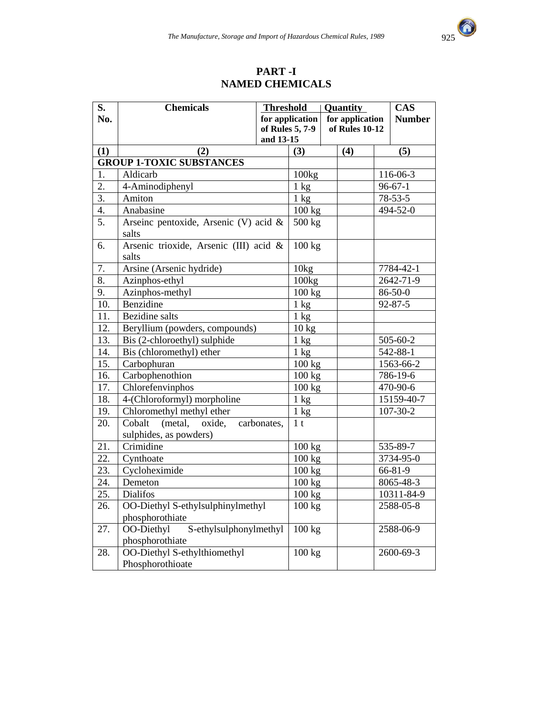

### **PART -I NAMED CHEMICALS**

| S.                | <b>Chemicals</b>                               | <b>Threshold</b> |                   | Quantity       |                 |               | <b>CAS</b>    |
|-------------------|------------------------------------------------|------------------|-------------------|----------------|-----------------|---------------|---------------|
| No.               |                                                |                  | for application   |                | for application |               | <b>Number</b> |
|                   |                                                |                  | of Rules 5, 7-9   | of Rules 10-12 |                 |               |               |
|                   |                                                | and 13-15        |                   |                |                 |               |               |
| (1)               | (2)                                            |                  | (3)               |                | (4)             |               | (5)           |
|                   | <b>GROUP 1-TOXIC SUBSTANCES</b>                |                  |                   |                |                 |               |               |
| 1.                | Aldicarb                                       |                  | 100kg             |                |                 |               | 116-06-3      |
| $\overline{2}$ .  | 4-Aminodiphenyl                                |                  | $1 \text{ kg}$    |                |                 |               | $96 - 67 - 1$ |
| $\overline{3}$ .  | Amiton                                         |                  | $1 \text{ kg}$    |                |                 |               | $78 - 53 - 5$ |
| 4.                | Anabasine                                      |                  | $100 \text{ kg}$  |                |                 |               | 494-52-0      |
| $\overline{5}$ .  | Arseinc pentoxide, Arsenic (V) acid &<br>salts |                  | 500 kg            |                |                 |               |               |
| 6.                | Arsenic trioxide, Arsenic (III) acid &         |                  | 100 kg            |                |                 |               |               |
|                   | salts                                          |                  |                   |                |                 |               |               |
| 7.                | Arsine (Arsenic hydride)                       |                  | 10kg              |                |                 |               | 7784-42-1     |
| 8.                | Azinphos-ethyl                                 |                  | 100kg             |                |                 |               | 2642-71-9     |
| $\overline{9}$ .  | Azinphos-methyl                                |                  | 100 kg            |                |                 |               | $86 - 50 - 0$ |
| 10.               | Benzidine                                      |                  | $1 \text{ kg}$    |                |                 | $92 - 87 - 5$ |               |
| 11.               | <b>Bezidine</b> salts                          |                  | $1 \text{ kg}$    |                |                 |               |               |
| 12.               | Beryllium (powders, compounds)                 |                  | 10 kg             |                |                 |               |               |
| 13.               | Bis (2-chloroethyl) sulphide                   |                  | $1 \text{ kg}$    |                |                 |               | 505-60-2      |
| 14.               | Bis (chloromethyl) ether                       |                  | $1 \text{ kg}$    |                |                 |               | 542-88-1      |
| 15.               | Carbophuran                                    |                  | 100 kg            |                |                 |               | 1563-66-2     |
| 16.               | Carbophenothion                                |                  | 100 kg            |                |                 |               | 786-19-6      |
| 17.               | Chlorefenvinphos                               |                  | 100 kg            |                |                 |               | 470-90-6      |
| 18.               | 4-(Chloroformyl) morpholine                    |                  | $\overline{1}$ kg |                |                 |               | 15159-40-7    |
| 19.               | Chloromethyl methyl ether                      |                  | $1 \text{ kg}$    |                |                 |               | 107-30-2      |
| 20.               | Cobalt<br>(metal, oxide,                       | carbonates,      | 1 <sub>t</sub>    |                |                 |               |               |
|                   | sulphides, as powders)                         |                  |                   |                |                 |               |               |
| 21.               | Crimidine                                      |                  | 100 kg            |                |                 |               | 535-89-7      |
| 22.               | Cynthoate                                      |                  | 100 kg            |                |                 |               | 3734-95-0     |
| 23.               | Cycloheximide                                  |                  | 100 kg            |                |                 |               | 66-81-9       |
| 24.               | Demeton                                        |                  | 100 kg            |                |                 |               | 8065-48-3     |
| $\overline{25}$ . | <b>Dialifos</b>                                |                  | 100 kg            |                |                 |               | 10311-84-9    |
| 26.               | OO-Diethyl S-ethylsulphinylmethyl              |                  | 100 kg            |                |                 |               | 2588-05-8     |
|                   | phosphorothiate                                |                  |                   |                |                 |               |               |
| 27.               | S-ethylsulphonylmethyl<br>OO-Diethyl           |                  | 100 kg            |                | 2588-06-9       |               |               |
|                   | phosphorothiate                                |                  |                   |                |                 |               |               |
| 28.               | OO-Diethyl S-ethylthiomethyl                   |                  | 100 kg            |                |                 |               | 2600-69-3     |
|                   | Phosphorothioate                               |                  |                   |                |                 |               |               |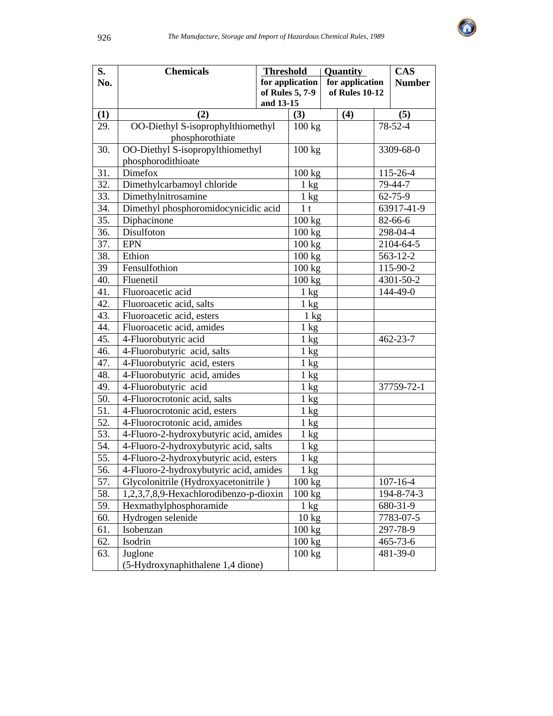

| S.         | <b>Chemicals</b>                       | <b>Threshold</b> |                  | Quantity |                 |           | <b>CAS</b>       |
|------------|----------------------------------------|------------------|------------------|----------|-----------------|-----------|------------------|
| No.        |                                        |                  | for application  |          | for application |           | <b>Number</b>    |
|            |                                        |                  | of Rules 5, 7-9  |          | of Rules 10-12  |           |                  |
|            | (2)                                    | and 13-15        |                  |          |                 |           |                  |
| (1)<br>29. | OO-Diethyl S-isoprophylthiomethyl      |                  | (3)<br>100 kg    |          | (4)             |           | (5)<br>$78-52-4$ |
|            | phosphorothiate                        |                  |                  |          |                 |           |                  |
| 30.        | OO-Diethyl S-isopropylthiomethyl       |                  | 100 kg           |          |                 |           | 3309-68-0        |
|            | phosphorodithioate                     |                  |                  |          |                 |           |                  |
| 31.        | Dimefox                                |                  | 100 kg           |          |                 |           | 115-26-4         |
| 32.        | Dimethylcarbamoyl chloride             |                  | $1 \text{ kg}$   |          |                 |           | 79-44-7          |
| 33.        | Dimethylnitrosamine                    |                  | $1 \text{ kg}$   |          |                 |           | 62-75-9          |
| 34.        | Dimethyl phosphoromidocynicidic acid   |                  | 1 <sub>t</sub>   |          |                 |           | 63917-41-9       |
| 35.        | Diphacinone                            |                  | 100 kg           |          |                 |           | 82-66-6          |
| 36.        | Disulfoton                             |                  | 100 kg           |          |                 |           | 298-04-4         |
| 37.        | <b>EPN</b>                             |                  | 100 kg           |          |                 |           | 2104-64-5        |
| 38.        | Ethion                                 |                  | 100 kg           |          |                 |           | 563-12-2         |
| 39         | Fensulfothion                          |                  | 100 kg           |          |                 |           | 115-90-2         |
| 40.        | Fluenetil                              |                  | 100 kg           |          |                 | 4301-50-2 |                  |
| 41.        | Fluoroacetic acid                      |                  | $1 \text{ kg}$   |          |                 |           | 144-49-0         |
| 42.        | Fluoroacetic acid, salts               |                  | $1 \text{ kg}$   |          |                 |           |                  |
| 43.        | Fluoroacetic acid, esters              |                  | $1 \text{ kg}$   |          |                 |           |                  |
| 44.        | Fluoroacetic acid, amides              |                  | $1 \text{ kg}$   |          |                 |           |                  |
| 45.        | 4-Fluorobutyric acid                   |                  | $1 \text{ kg}$   |          |                 |           | 462-23-7         |
| 46.        | 4-Fluorobutyric acid, salts            |                  | $1 \text{ kg}$   |          |                 |           |                  |
| 47.        | 4-Fluorobutyric acid, esters           |                  | $1 \text{ kg}$   |          |                 |           |                  |
| 48.        | 4-Fluorobutyric acid, amides           |                  | $1 \text{ kg}$   |          |                 |           |                  |
| 49.        | 4-Fluorobutyric acid                   |                  | $1 \text{ kg}$   |          |                 |           | 37759-72-1       |
| 50.        | 4-Fluorocrotonic acid, salts           |                  | $1 \text{ kg}$   |          |                 |           |                  |
| 51.        | 4-Fluorocrotonic acid, esters          |                  | $1 \text{ kg}$   |          |                 |           |                  |
| 52.        | 4-Fluorocrotonic acid, amides          |                  | $1 \text{ kg}$   |          |                 |           |                  |
| 53.        | 4-Fluoro-2-hydroxybutyric acid, amides |                  | $1 \text{ kg}$   |          |                 |           |                  |
| 54.        | 4-Fluoro-2-hydroxybutyric acid, salts  |                  | $1 \text{ kg}$   |          |                 |           |                  |
| 55.        | 4-Fluoro-2-hydroxybutyric acid, esters |                  | $1 \text{ kg}$   |          |                 |           |                  |
| 56.        | 4-Fluoro-2-hydroxybutyric acid, amides |                  | 1 kg             |          |                 |           |                  |
| 57.        | Glycolonitrile (Hydroxyacetonitrile)   |                  | 100 kg           |          |                 |           | $107 - 16 - 4$   |
| 58.        | 1,2,3,7,8,9-Hexachlorodibenzo-p-dioxin |                  | 100 kg           |          |                 |           | 194-8-74-3       |
| 59.        | Hexmathylphosphoramide                 |                  | $1 \text{ kg}$   |          |                 |           | 680-31-9         |
| 60.        | Hydrogen selenide                      |                  | $10 \text{ kg}$  |          |                 |           | 7783-07-5        |
| 61.        | Isobenzan                              |                  | $100 \text{ kg}$ |          |                 | 297-78-9  |                  |
| 62.        | Isodrin                                |                  | $100 \text{ kg}$ | 465-73-6 |                 |           |                  |
| 63.        | Juglone                                |                  | 100 kg           |          |                 |           | $481 - 39 - 0$   |
|            | (5-Hydroxynaphithalene 1,4 dione)      |                  |                  |          |                 |           |                  |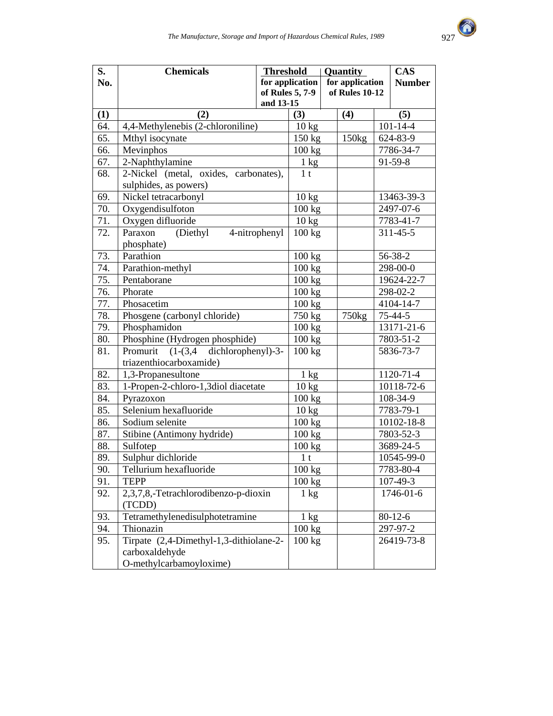

| S.                | <b>Chemicals</b>                         | <b>Threshold</b> |                  | Quantity          | <b>CAS</b>      |
|-------------------|------------------------------------------|------------------|------------------|-------------------|-----------------|
| No.               |                                          |                  | for application  | for application   | <b>Number</b>   |
|                   |                                          |                  | of Rules 5, 7-9  | of Rules 10-12    |                 |
|                   |                                          | and 13-15        |                  |                   |                 |
| (1)               | (2)                                      |                  | (3)              | (4)               | (5)             |
| 64.               | 4,4-Methylenebis (2-chloroniline)        |                  | $10 \text{ kg}$  |                   | $101 - 14 - 4$  |
| 65.               | Mthyl isocynate                          |                  | 150 kg           | 150 <sub>kg</sub> | 624-83-9        |
| 66.               | $M$ evinphos                             |                  | 100 kg           |                   | 7786-34-7       |
| 67.               | 2-Naphthylamine                          |                  | 1 kg             |                   | $91 - 59 - 8$   |
| 68.               | 2-Nickel (metal, oxides, carbonates),    |                  | 1 <sub>t</sub>   |                   |                 |
|                   | sulphides, as powers)                    |                  |                  |                   |                 |
| 69.               | Nickel tetracarbonyl                     |                  | $10 \text{ kg}$  |                   | 13463-39-3      |
| $\overline{70}$ . | Oxygendisulfoton                         |                  | 100 kg           |                   | 2497-07-6       |
| 71.               | Oxygen difluoride                        |                  | $10 \text{ kg}$  |                   | 7783-41-7       |
| 72.               | (Diethyl<br>Paraxon                      | 4-nitrophenyl    | 100 kg           |                   | $311 - 45 - 5$  |
|                   | phosphate)                               |                  |                  |                   |                 |
| 73.               | Parathion                                |                  | 100 kg           |                   | 56-38-2         |
| 74.               | Parathion-methyl                         |                  | 100 kg           |                   | 298-00-0        |
| 75.               | Pentaborane                              |                  | 100 kg           |                   | 19624-22-7      |
| 76.               | Phorate                                  |                  | 100 kg           |                   | 298-02-2        |
| 77.               | Phosacetim                               |                  | 100 kg           |                   | 4104-14-7       |
| 78.               | Phosgene (carbonyl chloride)             |                  | 750 kg           | 750 <sub>kg</sub> | $75 - 44 - 5$   |
| 79.               | Phosphamidon                             |                  | 100 kg           |                   | 13171-21-6      |
| 80.               | Phosphine (Hydrogen phosphide)           |                  | 100 kg           |                   | 7803-51-2       |
| 81.               | $(1-(3,4$ dichlorophenyl)-3-<br>Promurit |                  | 100 kg           |                   | 5836-73-7       |
|                   | triazenthiocarboxamide)                  |                  |                  |                   |                 |
| 82.               | 1,3-Propanesultone                       |                  | $1 \text{ kg}$   |                   | 1120-71-4       |
| 83.               | 1-Propen-2-chloro-1,3diol diacetate      |                  | $10 \text{ kg}$  |                   | 10118-72-6      |
| 84.               | Pyrazoxon                                |                  | 100 kg           |                   | 108-34-9        |
| 85.               | Selenium hexafluoride                    |                  | $10 \text{ kg}$  |                   | 7783-79-1       |
| 86.               | Sodium selenite                          |                  | 100 kg           |                   | 10102-18-8      |
| 87.               | Stibine (Antimony hydride)               |                  | 100 kg           |                   | $7803 - 52 - 3$ |
| 88.               | Sulfotep                                 |                  | 100 kg           |                   | 3689-24-5       |
| 89.               | Sulphur dichloride                       |                  | 1 <sub>t</sub>   |                   | 10545-99-0      |
| $\overline{90}$ . | Tellurium hexafluoride                   |                  | 100 kg           |                   | 7783-80-4       |
| 91.               | <b>TEPP</b>                              |                  | 100 kg           |                   | $107 - 49 - 3$  |
| 92.               | 2,3,7,8,-Tetrachlorodibenzo-p-dioxin     |                  | $1 \text{ kg}$   |                   | 1746-01-6       |
|                   | (TCDD)                                   |                  |                  |                   |                 |
| 93.               | Tetramethylenedisulphotetramine          |                  | $1 \text{ kg}$   |                   | $80 - 12 - 6$   |
| 94.               | Thionazin                                |                  | 100 kg           |                   | 297-97-2        |
| 95.               | Tirpate (2,4-Dimethyl-1,3-dithiolane-2-  |                  | $100 \text{ kg}$ |                   | 26419-73-8      |
|                   | carboxaldehyde                           |                  |                  |                   |                 |
|                   | O-methylcarbamoyloxime)                  |                  |                  |                   |                 |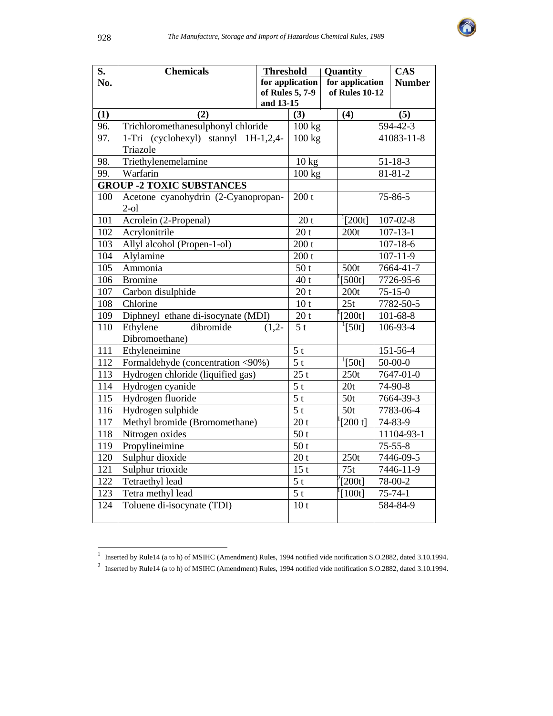

| S.         | <b>Chemicals</b>                                 | <b>Threshold</b> |                 | Quantity        |                     |  | <b>CAS</b>            |
|------------|--------------------------------------------------|------------------|-----------------|-----------------|---------------------|--|-----------------------|
| No.        |                                                  |                  | for application | for application |                     |  | <b>Number</b>         |
|            |                                                  |                  | of Rules 5, 7-9 |                 | of Rules 10-12      |  |                       |
|            |                                                  | and 13-15        |                 |                 |                     |  |                       |
| (1)<br>96. | (2)<br>Trichloromethanesulphonyl chloride        |                  | (3)             |                 | (4)                 |  | (5)<br>$594 - 42 - 3$ |
|            |                                                  |                  | 100 kg          |                 |                     |  | 41083-11-8            |
| 97.        | 1-Tri (cyclohexyl) stannyl 1H-1,2,4-<br>Triazole |                  | 100 kg          |                 |                     |  |                       |
| 98.        |                                                  |                  |                 |                 |                     |  | $51 - 18 - 3$         |
| 99.        | Triethylenemelamine<br>Warfarin                  |                  | 10 kg           |                 |                     |  | $81 - 81 - 2$         |
|            | <b>GROUP -2 TOXIC SUBSTANCES</b>                 |                  | 100 kg          |                 |                     |  |                       |
| 100        | Acetone cyanohydrin (2-Cyanopropan-              |                  | 200 t           |                 |                     |  | 75-86-5               |
|            | $2-ol$                                           |                  |                 |                 |                     |  |                       |
| 101        | Acrolein (2-Propenal)                            |                  | 20 <sub>t</sub> |                 | $\sqrt[1]{200t}$    |  | $107 - 02 - 8$        |
| 102        | Acrylonitrile                                    |                  | 20 <sub>t</sub> |                 | 200t                |  | $107 - 13 - 1$        |
| 103        | Allyl alcohol (Propen-1-ol)                      |                  | 200 t           |                 |                     |  | $107 - 18 - 6$        |
| 104        | Alylamine                                        |                  | 200 t           |                 |                     |  | $107 - 11 - 9$        |
| 105        | Ammonia                                          |                  | 50t             |                 | 500t                |  | 7664-41-7             |
| 106        | <b>Bromine</b>                                   |                  | 40t             |                 | [500t]              |  | 7726-95-6             |
| 107        | Carbon disulphide                                |                  | 20 <sub>t</sub> |                 | 200t                |  | $75 - 15 - 0$         |
| 108        | Chlorine                                         |                  | 10 <sub>t</sub> |                 | 25t                 |  | 7782-50-5             |
| 109        | Diphneyl ethane di-isocynate (MDI)               |                  | 20 <sub>t</sub> |                 | $\overline{[}200t]$ |  | $101 - 68 - 8$        |
| 110        | Ethylene<br>dibromide                            | $(1,2-$          | $\overline{5t}$ |                 | $\overline{[50t]}$  |  | 106-93-4              |
|            | Dibromoethane)                                   |                  |                 |                 |                     |  |                       |
| 111        | Ethyleneimine                                    |                  | 5 <sub>t</sub>  |                 |                     |  | 151-56-4              |
| 112        | Formaldehyde (concentration <90%)                |                  | $\overline{5t}$ |                 | $^{1}[50t]$         |  | $50 - 00 - 0$         |
| 113        | Hydrogen chloride (liquified gas)                |                  | 25t             |                 | 250t                |  | 7647-01-0             |
| 114        | Hydrogen cyanide                                 |                  | 5 <sub>t</sub>  |                 | 20t                 |  | 74-90-8               |
| 115        | Hydrogen fluoride                                |                  | $\overline{5t}$ |                 | 50t                 |  | 7664-39-3             |
| 116        | Hydrogen sulphide                                |                  | $\overline{5t}$ |                 | 50t                 |  | 7783-06-4             |
| 117        | Methyl bromide (Bromomethane)                    |                  | 20 t            |                 | [200 t]             |  | 74-83-9               |
| 118        | Nitrogen oxides                                  |                  | 50t             |                 |                     |  | 11104-93-1            |
| 119        | Propylineimine                                   |                  | 50 <sub>t</sub> |                 |                     |  | $75 - 55 - 8$         |
| 120        | Sulphur dioxide                                  |                  | 20 <sub>t</sub> |                 | 250t                |  | 7446-09-5             |
| 121        | Sulphur trioxide                                 |                  | 15 <sub>t</sub> |                 | 75t                 |  | $7446 - 11 - 9$       |
| 122        | <b>Tetraethyl lead</b>                           |                  | $\overline{5t}$ |                 | $^{2}[200t]$        |  | 78-00-2               |
| 123        | Tetra methyl lead                                |                  | $\overline{5t}$ |                 | $\frac{1}{2}[100t]$ |  | $75 - 74 - 1$         |
| 124        | Toluene di-isocynate (TDI)                       |                  | 10 <sub>t</sub> |                 |                     |  | 584-84-9              |
|            |                                                  |                  |                 |                 |                     |  |                       |

<sup>&</sup>lt;sup>1</sup> Inserted by Rule14 (a to h) of MSIHC (Amendment) Rules, 1994 notified vide notification S.O.2882, dated 3.10.1994.<br><sup>2</sup> Inserted by Rule14 (a to h) of MSIHC (Amendment) Rules, 1994 notified vide notification S.O.2882,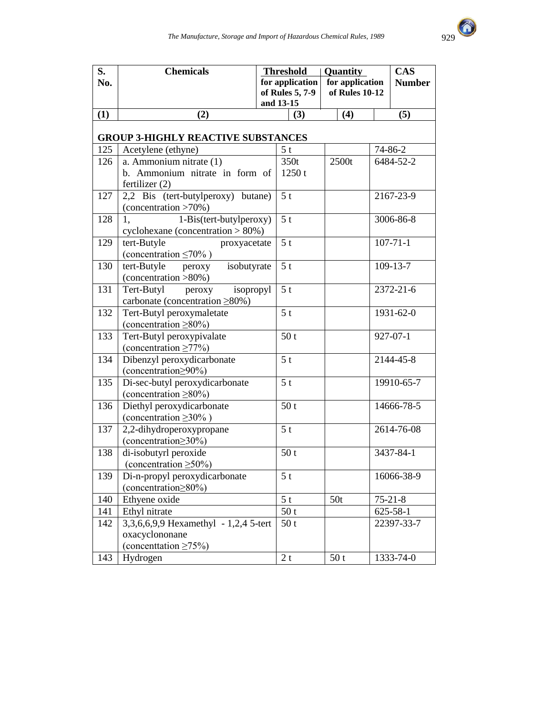

| S.  | <b>Chemicals</b>                                          |           |                 | <b>Threshold</b> | <b>Quantity</b> |                 | <b>CAS</b> |                |
|-----|-----------------------------------------------------------|-----------|-----------------|------------------|-----------------|-----------------|------------|----------------|
| No. |                                                           |           |                 | for application  |                 | for application |            | <b>Number</b>  |
|     |                                                           |           |                 | of Rules 5, 7-9  | of Rules 10-12  |                 |            |                |
|     |                                                           | and 13-15 |                 |                  |                 |                 |            |                |
| (1) | (2)                                                       |           |                 | (3)              |                 | (4)             |            | (5)            |
|     |                                                           |           |                 |                  |                 |                 |            |                |
|     | <b>GROUP 3-HIGHLY REACTIVE SUBSTANCES</b>                 |           |                 |                  |                 |                 |            |                |
| 125 | Acetylene (ethyne)                                        |           | 5 <sub>t</sub>  |                  |                 |                 |            | 74-86-2        |
| 126 | a. Ammonium nitrate (1)                                   |           |                 | 350t             |                 | 2500t           |            | 6484-52-2      |
|     | b. Ammonium nitrate in form of                            |           |                 | 1250t            |                 |                 |            |                |
|     | fertilizer $(2)$                                          |           |                 |                  |                 |                 |            |                |
| 127 | 2,2 Bis (tert-butylperoxy) butane)                        |           | 5 <sub>t</sub>  |                  |                 |                 |            | 2167-23-9      |
|     | (concentration >70%)                                      |           |                 |                  |                 |                 |            |                |
| 128 | 1-Bis(tert-butylperoxy)<br>1.                             |           | 5 <sub>t</sub>  |                  |                 |                 |            | 3006-86-8      |
|     | cyclohexane (concentration $> 80\%$ )                     |           |                 |                  |                 |                 |            |                |
| 129 | tert-Butyle<br>proxyacetate                               |           | 5 <sub>t</sub>  |                  |                 |                 |            | $107 - 71 - 1$ |
|     | (concentration $\leq 70\%$ )                              |           |                 |                  |                 |                 |            |                |
| 130 | tert-Butyle<br>isobutyrate<br>peroxy                      |           | 5 <sub>t</sub>  |                  |                 |                 |            | $109 - 13 - 7$ |
|     | (concentration >80%)                                      |           |                 |                  |                 |                 |            |                |
| 131 | Tert-Butyl<br>isopropyl<br>peroxy                         |           | 5 <sub>t</sub>  |                  |                 |                 |            | 2372-21-6      |
|     | carbonate (concentration ≥80%)                            |           |                 |                  |                 |                 |            |                |
| 132 | Tert-Butyl peroxymaletate                                 |           | 5 <sub>t</sub>  |                  |                 |                 |            | 1931-62-0      |
| 133 | (concentration $\geq 80\%$ )<br>Tert-Butyl peroxypivalate |           |                 | 50 <sub>t</sub>  |                 |                 |            | $927 - 07 - 1$ |
|     | (concentration $\geq 77\%$ )                              |           |                 |                  |                 |                 |            |                |
| 134 | Dibenzyl peroxydicarbonate                                |           | 5 <sub>t</sub>  |                  |                 |                 |            | 2144-45-8      |
|     | (concentration > 90%)                                     |           |                 |                  |                 |                 |            |                |
| 135 | Di-sec-butyl peroxydicarbonate                            |           | 5 <sub>t</sub>  |                  |                 |                 |            | 19910-65-7     |
|     | (concentration $\geq 80\%$ )                              |           |                 |                  |                 |                 |            |                |
| 136 | Diethyl peroxydicarbonate                                 |           |                 | 50 <sub>t</sub>  |                 |                 |            | 14666-78-5     |
|     | (concentration $\geq 30\%$ )                              |           |                 |                  |                 |                 |            |                |
| 137 | 2,2-dihydroperoxypropane                                  |           | 5 <sub>t</sub>  |                  |                 |                 |            | 2614-76-08     |
|     | (concentration > 30%)                                     |           |                 |                  |                 |                 |            |                |
| 138 | di-isobutyrl peroxide                                     |           |                 | 50 <sub>t</sub>  |                 |                 |            | 3437-84-1      |
|     | (concentration $\geq 50\%$ )                              |           |                 |                  |                 |                 |            |                |
| 139 | Di-n-propyl peroxydicarbonate                             |           | 5 <sub>t</sub>  |                  |                 |                 |            | 16066-38-9     |
|     | (concentration $\geq 80\%$ )                              |           |                 |                  |                 |                 |            |                |
| 140 | Ethyene oxide                                             |           | $\overline{5t}$ |                  | 50t             |                 |            | $75 - 21 - 8$  |
| 141 | Ethyl nitrate                                             |           |                 | 50t              |                 |                 |            | $625 - 58 - 1$ |
| 142 | 3,3,6,6,9,9 Hexamethyl - 1,2,4 5-tert                     |           |                 | 50 <sub>t</sub>  |                 |                 |            | 22397-33-7     |
|     | oxacyclononane                                            |           |                 |                  |                 |                 |            |                |
|     | (concentration $\geq 75\%$ )                              |           |                 |                  |                 |                 |            |                |
| 143 | Hydrogen                                                  |           | 2t              |                  |                 | 50t             |            | 1333-74-0      |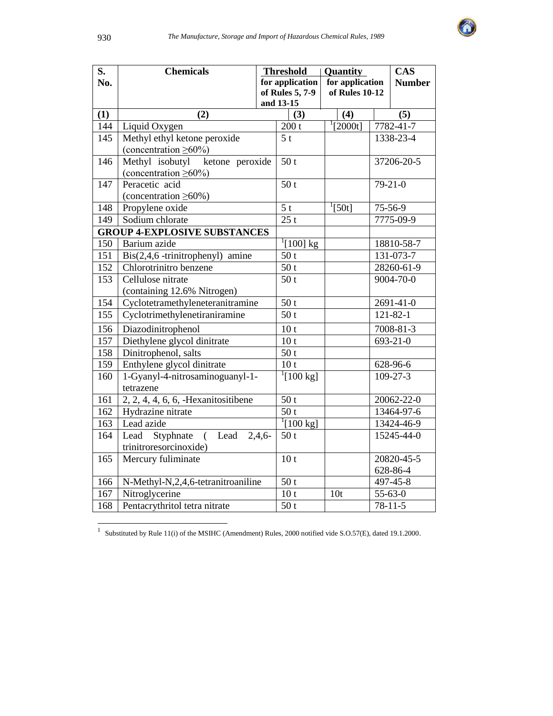

| S.  | <b>Chemicals</b>                           | <b>Threshold</b>             |                                        |  | Quantity          | <b>CAS</b>     |                |
|-----|--------------------------------------------|------------------------------|----------------------------------------|--|-------------------|----------------|----------------|
| No. |                                            |                              | for application                        |  | for application   |                | <b>Number</b>  |
|     |                                            |                              | of Rules 5, 7-9                        |  | of Rules 10-12    |                |                |
|     |                                            |                              | and 13-15                              |  |                   |                |                |
| (1) | (2)                                        |                              | (3)                                    |  | (4)               |                | (5)            |
| 144 | Liquid Oxygen                              |                              | 200 t                                  |  | $\sqrt[1]{2000}t$ |                | 7782-41-7      |
| 145 | Methyl ethyl ketone peroxide               |                              | 5 <sub>t</sub>                         |  |                   |                | 1338-23-4      |
|     | (concentration $\geq 60\%$ )               |                              |                                        |  |                   |                |                |
| 146 | Methyl isobutyl ketone peroxide            |                              | 50t                                    |  |                   |                | 37206-20-5     |
|     | (concentration $\geq 60\%$ )               |                              |                                        |  |                   |                |                |
| 147 | Peracetic acid                             |                              | 50 <sub>t</sub>                        |  |                   |                | $79-21-0$      |
|     | (concentration $\geq 60\%$ )               |                              |                                        |  |                   |                |                |
| 148 | Propylene oxide                            |                              | $\overline{5t}$                        |  | $^{1}[50t]$       |                | 75-56-9        |
| 149 | Sodium chlorate                            |                              | 25t                                    |  |                   |                | 7775-09-9      |
|     | <b>GROUP 4-EXPLOSIVE SUBSTANCES</b>        |                              |                                        |  |                   |                |                |
| 150 | Barium azide                               | $\sqrt[1]{[100] \text{ kg}}$ |                                        |  |                   | 18810-58-7     |                |
| 151 | Bis(2,4,6 -trinitrophenyl) amine           |                              | 50t                                    |  |                   |                | 131-073-7      |
| 152 | Chlorotrinitro benzene                     |                              | $\overline{50}$ t<br>$\overline{50}$ t |  |                   | 28260-61-9     |                |
| 153 |                                            | Cellulose nitrate            |                                        |  |                   |                | 9004-70-0      |
|     | (containing 12.6% Nitrogen)                |                              |                                        |  |                   |                |                |
| 154 | Cyclotetramethyleneteranitramine           |                              | 50 <sub>t</sub>                        |  |                   | 2691-41-0      |                |
| 155 | Cyclotrimethylenetiraniramine              |                              | 50t                                    |  |                   | $121 - 82 - 1$ |                |
| 156 | Diazodinitrophenol                         |                              | 10 <sub>t</sub>                        |  |                   | 7008-81-3      |                |
| 157 | Diethylene glycol dinitrate                |                              | 10 <sub>t</sub>                        |  |                   | 693-21-0       |                |
| 158 | Dinitrophenol, salts                       |                              | 50 <sub>t</sub>                        |  |                   |                |                |
| 159 | Enthylene glycol dinitrate                 |                              | 10 <sub>t</sub>                        |  |                   | 628-96-6       |                |
| 160 | 1-Gyanyl-4-nitrosaminoguanyl-1-            |                              | $\sqrt[1]{100}$ kg]                    |  |                   |                | $109 - 27 - 3$ |
|     | tetrazene                                  |                              |                                        |  |                   |                |                |
| 161 | $2, 2, 4, 4, 6, 6,$ -Hexanitositibene      |                              | 50t                                    |  |                   |                | 20062-22-0     |
| 162 | Hydrazine nitrate                          |                              | 50t                                    |  |                   |                | 13464-97-6     |
| 163 | Lead azide                                 |                              | $^{1}[100 \text{ kg}]$                 |  |                   |                | 13424-46-9     |
| 164 | (Lead $2,\overline{4,6}$<br>Lead Styphnate |                              | 50t                                    |  |                   |                | 15245-44-0     |
|     | trinitroresorcinoxide)                     |                              |                                        |  |                   |                |                |
| 165 | Mercury fuliminate                         |                              | 10 <sub>t</sub>                        |  |                   |                | 20820-45-5     |
|     |                                            |                              |                                        |  |                   |                | 628-86-4       |
| 166 | N-Methyl-N,2,4,6-tetranitroaniline         |                              | 50t                                    |  |                   |                | 497-45-8       |
| 167 | Nitroglycerine                             |                              | 10 <sub>t</sub>                        |  | 10 <sub>t</sub>   |                | $55 - 63 - 0$  |
| 168 | Pentacrythritol tetra nitrate              |                              | $\overline{50}$ t                      |  |                   |                | $78 - 11 - 5$  |

 1 Substituted by Rule 11(i) of the MSIHC (Amendment) Rules, 2000 notified vide S.O.57(E), dated 19.1.2000.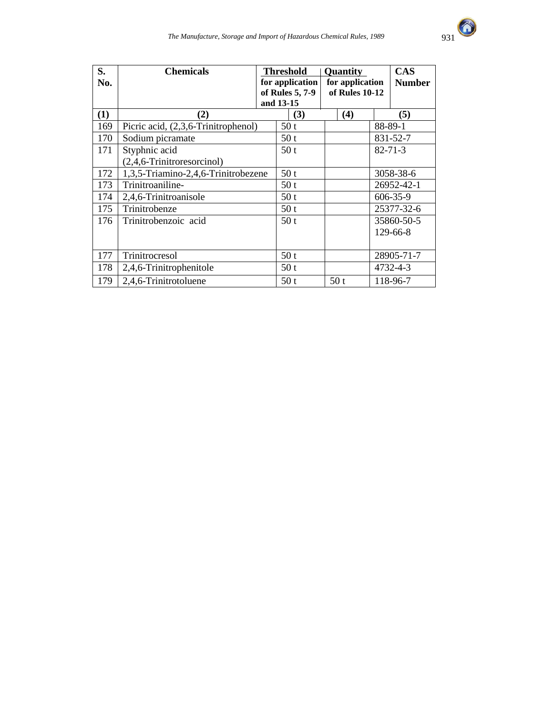

| S.<br>No. | <b>Chemicals</b>                    | <b>Threshold</b><br>for application<br>of Rules 5, 7-9<br>and 13-15 |                 |     | <b>Quantity</b><br>for application<br>of Rules 10-12 |     | <b>CAS</b><br><b>Number</b> |               |
|-----------|-------------------------------------|---------------------------------------------------------------------|-----------------|-----|------------------------------------------------------|-----|-----------------------------|---------------|
| (1)       | (2)                                 |                                                                     |                 | (3) |                                                      | (4) |                             | (5)           |
| 169       | Picric acid, (2,3,6-Trinitrophenol) |                                                                     | 50 <sub>t</sub> |     |                                                      |     |                             | 88-89-1       |
| 170       | Sodium picramate                    |                                                                     | 50t             |     |                                                      |     |                             | 831-52-7      |
| 171       | Styphnic acid                       | 50 <sub>t</sub>                                                     |                 |     |                                                      |     |                             | $82 - 71 - 3$ |
|           | (2,4,6-Trinitroresorcinol)          |                                                                     |                 |     |                                                      |     |                             |               |
| 172       | 1,3,5-Triamino-2,4,6-Trinitrobezene |                                                                     | 50 <sub>t</sub> |     |                                                      |     |                             | 3058-38-6     |
| 173       | Trinitroaniline-                    |                                                                     | 50 <sub>t</sub> |     |                                                      |     |                             | 26952-42-1    |
| 174       | 2,4,6-Trinitroanisole               |                                                                     | 50 <sub>t</sub> |     |                                                      |     |                             | 606-35-9      |
| 175       | Trinitrobenze                       |                                                                     |                 | 50t |                                                      |     |                             | 25377-32-6    |
| 176       | Trinitrobenzoic acid                |                                                                     | 50 <sub>t</sub> |     |                                                      |     |                             | 35860-50-5    |
|           |                                     |                                                                     |                 |     |                                                      |     |                             | 129-66-8      |
|           |                                     |                                                                     |                 |     |                                                      |     |                             |               |
| 177       | Trinitrocresol                      |                                                                     |                 | 50t |                                                      |     |                             | 28905-71-7    |
| 178       | 2,4,6-Trinitrophenitole             |                                                                     |                 | 50t |                                                      |     |                             | 4732-4-3      |
| 179       | 2,4,6-Trinitrotoluene               |                                                                     | 50t             |     | 50 <sub>t</sub>                                      |     |                             | 118-96-7      |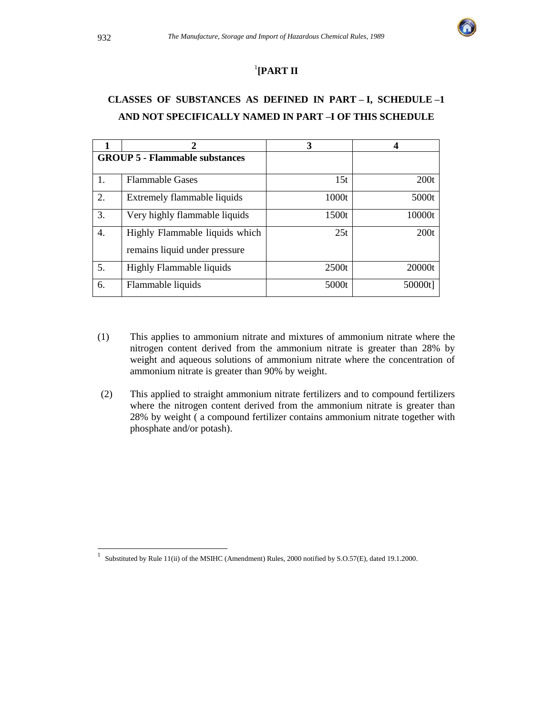

### 1 **[PART II**

# **CLASSES OF SUBSTANCES AS DEFINED IN PART – I, SCHEDULE –1 AND NOT SPECIFICALLY NAMED IN PART –I OF THIS SCHEDULE**

|                  | 2                                                               | 3     |         |
|------------------|-----------------------------------------------------------------|-------|---------|
|                  | <b>GROUP 5 - Flammable substances</b>                           |       |         |
| 1.               | <b>Flammable Gases</b>                                          | 15t   | 200t    |
| 2.               | Extremely flammable liquids                                     | 1000t | 5000t   |
| 3.               | Very highly flammable liquids                                   | 1500t | 10000t  |
| $\overline{4}$ . | Highly Flammable liquids which<br>remains liquid under pressure | 25t   | 200t    |
| 5.               | Highly Flammable liquids                                        | 2500t | 20000t  |
| 6.               | Flammable liquids                                               | 5000t | 50000t] |

- (1) This applies to ammonium nitrate and mixtures of ammonium nitrate where the nitrogen content derived from the ammonium nitrate is greater than 28% by weight and aqueous solutions of ammonium nitrate where the concentration of ammonium nitrate is greater than 90% by weight.
- (2) This applied to straight ammonium nitrate fertilizers and to compound fertilizers where the nitrogen content derived from the ammonium nitrate is greater than 28% by weight ( a compound fertilizer contains ammonium nitrate together with phosphate and/or potash).

<sup>|&</sup>lt;br>|<br>| Substituted by Rule 11(ii) of the MSIHC (Amendment) Rules, 2000 notified by S.O.57(E), dated 19.1.2000.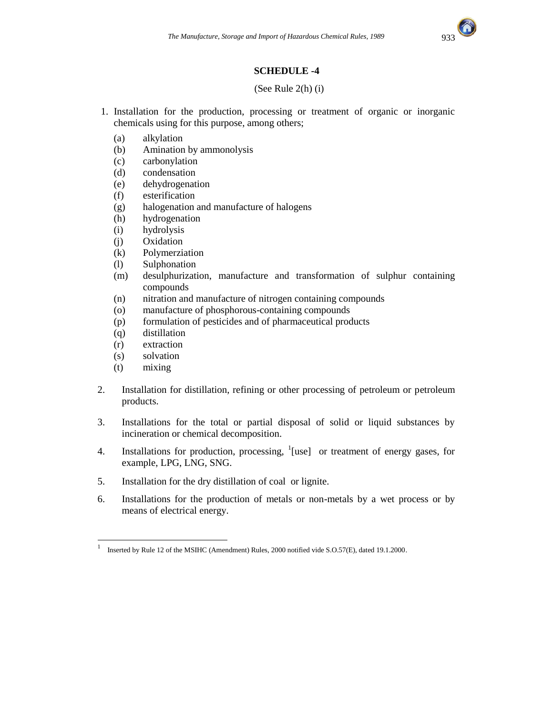

### **SCHEDULE -4**

#### (See Rule 2(h) (i)

- 1. Installation for the production, processing or treatment of organic or inorganic chemicals using for this purpose, among others;
	- (a) alkylation
	- (b) Amination by ammonolysis
	- (c) carbonylation
	- (d) condensation
	- (e) dehydrogenation
	- (f) esterification
	- (g) halogenation and manufacture of halogens
	- (h) hydrogenation
	- (i) hydrolysis
	- (j) Oxidation
	- (k) Polymerziation
	- (l) Sulphonation
	- (m) desulphurization, manufacture and transformation of sulphur containing compounds
	- (n) nitration and manufacture of nitrogen containing compounds
	- (o) manufacture of phosphorous-containing compounds
	- (p) formulation of pesticides and of pharmaceutical products
	- (q) distillation
	- (r) extraction
	- (s) solvation
	- (t) mixing
- 2. Installation for distillation, refining or other processing of petroleum or petroleum products.
- 3. Installations for the total or partial disposal of solid or liquid substances by incineration or chemical decomposition.
- 4. Installations for production, processing,  $\frac{1}{1}$ [use] or treatment of energy gases, for example, LPG, LNG, SNG.
- 5. Installation for the dry distillation of coal or lignite.
- 6. Installations for the production of metals or non-metals by a wet process or by means of electrical energy.

 $\frac{1}{1}$ Inserted by Rule 12 of the MSIHC (Amendment) Rules, 2000 notified vide S.O.57(E), dated 19.1.2000.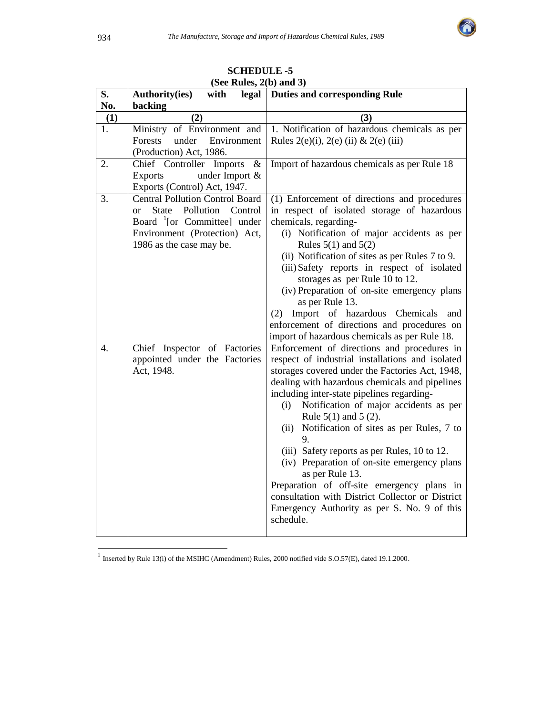

| S.  | $1000$ ranges, $20$ and $\sigma$<br>with<br><b>Authority(ies)</b> | legal   Duties and corresponding Rule            |
|-----|-------------------------------------------------------------------|--------------------------------------------------|
| No. | backing                                                           |                                                  |
| (1) | (2)                                                               | (3)                                              |
| 1.  | Ministry of Environment and                                       | 1. Notification of hazardous chemicals as per    |
|     | Forests<br>under<br>Environment                                   | Rules $2(e)(i)$ , $2(e)(ii)$ & $2(e)(iii)$       |
|     | (Production) Act, 1986.                                           |                                                  |
| 2.  | Chief Controller Imports<br>$\&$                                  | Import of hazardous chemicals as per Rule 18     |
|     | <b>Exports</b><br>under Import $&$                                |                                                  |
|     | Exports (Control) Act, 1947.                                      |                                                  |
| 3.  | <b>Central Pollution Control Board</b>                            | (1) Enforcement of directions and procedures     |
|     | State Pollution Control<br><sub>or</sub>                          | in respect of isolated storage of hazardous      |
|     | Board $\frac{1}{2}$ [or Committee] under                          | chemicals, regarding-                            |
|     | Environment (Protection) Act,                                     | (i) Notification of major accidents as per       |
|     | 1986 as the case may be.                                          | Rules $5(1)$ and $5(2)$                          |
|     |                                                                   | (ii) Notification of sites as per Rules 7 to 9.  |
|     |                                                                   | (iii) Safety reports in respect of isolated      |
|     |                                                                   | storages as per Rule 10 to 12.                   |
|     |                                                                   | (iv) Preparation of on-site emergency plans      |
|     |                                                                   | as per Rule 13.                                  |
|     |                                                                   | (2) Import of hazardous Chemicals and            |
|     |                                                                   | enforcement of directions and procedures on      |
|     |                                                                   | import of hazardous chemicals as per Rule 18.    |
| 4.  | Chief Inspector of Factories                                      | Enforcement of directions and procedures in      |
|     | appointed under the Factories                                     | respect of industrial installations and isolated |
|     | Act, 1948.                                                        | storages covered under the Factories Act, 1948,  |
|     |                                                                   | dealing with hazardous chemicals and pipelines   |
|     |                                                                   | including inter-state pipelines regarding-       |
|     |                                                                   | Notification of major accidents as per<br>(i)    |
|     |                                                                   | Rule $5(1)$ and $5(2)$ .                         |
|     |                                                                   | (ii) Notification of sites as per Rules, 7 to    |
|     |                                                                   | 9.                                               |
|     |                                                                   | (iii) Safety reports as per Rules, 10 to 12.     |
|     |                                                                   | (iv) Preparation of on-site emergency plans      |
|     |                                                                   | as per Rule 13.                                  |
|     |                                                                   | Preparation of off-site emergency plans in       |
|     |                                                                   | consultation with District Collector or District |
|     |                                                                   | Emergency Authority as per S. No. 9 of this      |
|     |                                                                   | schedule.                                        |
|     |                                                                   |                                                  |

**SCHEDULE -5 (See Rules, 2(b) and 3)** 

 1 Inserted by Rule 13(i) of the MSIHC (Amendment) Rules, 2000 notified vide S.O.57(E), dated 19.1.2000.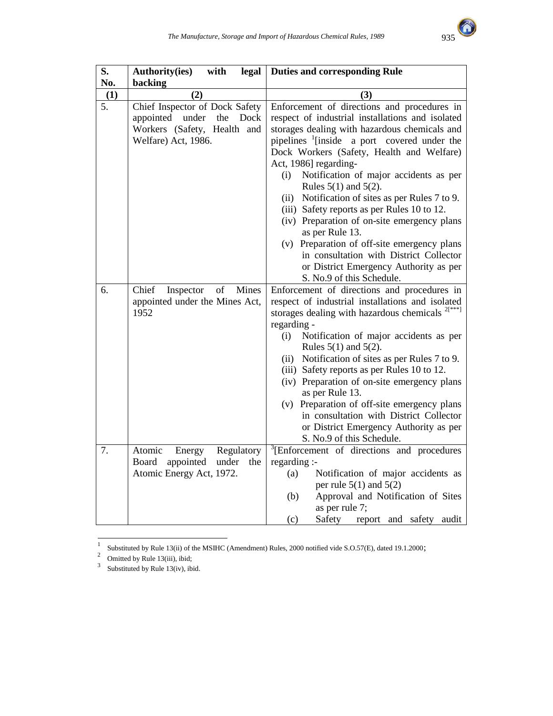

| S.  | with<br><b>Authority(ies)</b><br>legal                                                                              | <b>Duties and corresponding Rule</b>                                                                                                                                                                                                                                                                                                                                                                                                                                                                                                                                                                                                                                    |
|-----|---------------------------------------------------------------------------------------------------------------------|-------------------------------------------------------------------------------------------------------------------------------------------------------------------------------------------------------------------------------------------------------------------------------------------------------------------------------------------------------------------------------------------------------------------------------------------------------------------------------------------------------------------------------------------------------------------------------------------------------------------------------------------------------------------------|
| No. | backing                                                                                                             |                                                                                                                                                                                                                                                                                                                                                                                                                                                                                                                                                                                                                                                                         |
| (1) | (2)                                                                                                                 | (3)                                                                                                                                                                                                                                                                                                                                                                                                                                                                                                                                                                                                                                                                     |
| 5.  | Chief Inspector of Dock Safety<br>appointed under<br>the Dock<br>Workers (Safety, Health and<br>Welfare) Act, 1986. | Enforcement of directions and procedures in<br>respect of industrial installations and isolated<br>storages dealing with hazardous chemicals and<br>pipelines <sup>1</sup> [inside a port covered under the<br>Dock Workers (Safety, Health and Welfare)<br>Act, 1986] regarding-<br>Notification of major accidents as per<br>(i)<br>Rules $5(1)$ and $5(2)$ .<br>(ii) Notification of sites as per Rules 7 to 9.<br>(iii) Safety reports as per Rules 10 to 12.<br>(iv) Preparation of on-site emergency plans<br>as per Rule 13.<br>(v) Preparation of off-site emergency plans<br>in consultation with District Collector<br>or District Emergency Authority as per |
|     |                                                                                                                     | S. No.9 of this Schedule.                                                                                                                                                                                                                                                                                                                                                                                                                                                                                                                                                                                                                                               |
| 6.  | Chief<br>Inspector<br>of<br>Mines<br>appointed under the Mines Act,<br>1952                                         | Enforcement of directions and procedures in<br>respect of industrial installations and isolated<br>storages dealing with hazardous chemicals $2[x**]$<br>regarding -<br>Notification of major accidents as per<br>(i)<br>Rules $5(1)$ and $5(2)$ .<br>(ii) Notification of sites as per Rules 7 to 9.<br>(iii) Safety reports as per Rules 10 to 12.<br>(iv) Preparation of on-site emergency plans<br>as per Rule 13.<br>(v) Preparation of off-site emergency plans<br>in consultation with District Collector<br>or District Emergency Authority as per<br>S. No.9 of this Schedule.                                                                                 |
| 7.  | Regulatory<br>Atomic<br>Energy<br>Board<br>appointed<br>under<br>the<br>Atomic Energy Act, 1972.                    | <sup>3</sup> [Enforcement of directions and procedures<br>regarding :-<br>Notification of major accidents as<br>(a)<br>per rule $5(1)$ and $5(2)$<br>Approval and Notification of Sites<br>(b)<br>as per rule 7;<br>(c)<br>Safety<br>report and safety audit                                                                                                                                                                                                                                                                                                                                                                                                            |

Substituted by Rule 13(ii) of the MSIHC (Amendment) Rules, 2000 notified vide S.O.57(E), dated 19.1.2000;<br>
3 Omitted by Rule 13(iv), ibid.<br>
3 Substituted by Rule 13(iv), ibid.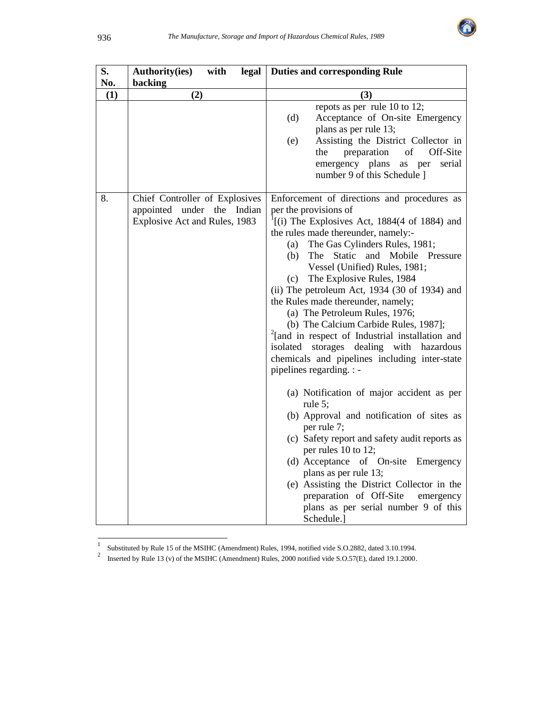

| S.<br>No. | <b>Authority(ies)</b><br>with<br>legal<br>backing                                             | <b>Duties and corresponding Rule</b>                                                                                                                                                                                                                                                                                                                                                                                                                                                                                                                                                                                                                                                                                                                                                                                                                                                                                                                                                                                                                                                       |  |  |
|-----------|-----------------------------------------------------------------------------------------------|--------------------------------------------------------------------------------------------------------------------------------------------------------------------------------------------------------------------------------------------------------------------------------------------------------------------------------------------------------------------------------------------------------------------------------------------------------------------------------------------------------------------------------------------------------------------------------------------------------------------------------------------------------------------------------------------------------------------------------------------------------------------------------------------------------------------------------------------------------------------------------------------------------------------------------------------------------------------------------------------------------------------------------------------------------------------------------------------|--|--|
| (1)       | (2)                                                                                           | (3)                                                                                                                                                                                                                                                                                                                                                                                                                                                                                                                                                                                                                                                                                                                                                                                                                                                                                                                                                                                                                                                                                        |  |  |
|           |                                                                                               | repots as per rule 10 to 12;<br>Acceptance of On-site Emergency<br>(d)<br>plans as per rule 13;<br>Assisting the District Collector in<br>(e)<br>of<br>Off-Site<br>the<br>preparation<br>emergency plans<br>serial<br>as per<br>number 9 of this Schedule 1                                                                                                                                                                                                                                                                                                                                                                                                                                                                                                                                                                                                                                                                                                                                                                                                                                |  |  |
| 8.        | Chief Controller of Explosives<br>appointed under the Indian<br>Explosive Act and Rules, 1983 | Enforcement of directions and procedures as<br>per the provisions of<br>$f(i)$ The Explosives Act, 1884(4 of 1884) and<br>the rules made thereunder, namely:-<br>The Gas Cylinders Rules, 1981;<br>(a)<br>The Static and Mobile Pressure<br>(b)<br>Vessel (Unified) Rules, 1981;<br>The Explosive Rules, 1984<br>(c)<br>(ii) The petroleum Act, 1934 (30 of 1934) and<br>the Rules made thereunder, namely;<br>(a) The Petroleum Rules, 1976;<br>(b) The Calcium Carbide Rules, 1987];<br><sup>2</sup> [and in respect of Industrial installation and<br>isolated storages dealing with hazardous<br>chemicals and pipelines including inter-state<br>pipelines regarding. : -<br>(a) Notification of major accident as per<br>rule 5;<br>(b) Approval and notification of sites as<br>per rule 7;<br>(c) Safety report and safety audit reports as<br>per rules 10 to 12;<br>(d) Acceptance of On-site<br>Emergency<br>plans as per rule 13;<br>(e) Assisting the District Collector in the<br>preparation of Off-Site<br>emergency<br>plans as per serial number 9 of this<br>Schedule.] |  |  |

 1 Substituted by Rule 15 of the MSIHC (Amendment) Rules, 1994, notified vide S.O.2882, dated 3.10.1994. 2 Inserted by Rule 13 (v) of the MSIHC (Amendment) Rules, 2000 notified vide S.O.57(E), dated 19.1.2000.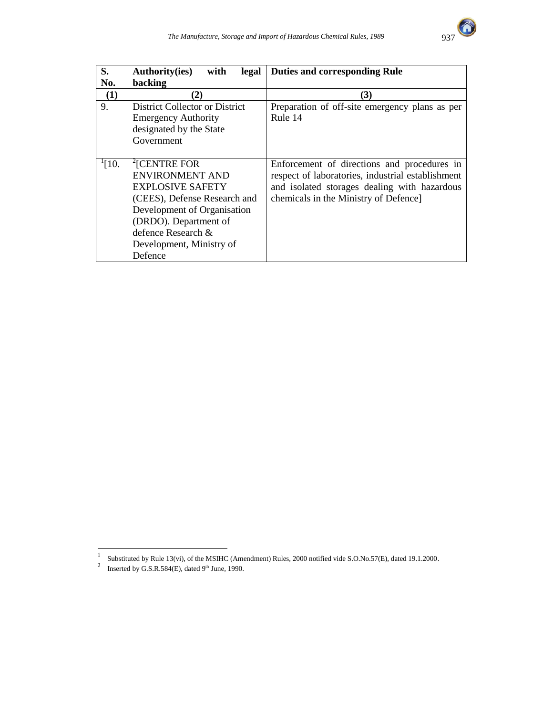

| S.          | <b>Authority(ies)</b><br>with<br>legal | <b>Duties and corresponding Rule</b>              |  |
|-------------|----------------------------------------|---------------------------------------------------|--|
| No.         | backing                                |                                                   |  |
| (1)         | (2)                                    | (3)                                               |  |
| 9.          | District Collector or District         | Preparation of off-site emergency plans as per    |  |
|             | <b>Emergency Authority</b>             | Rule 14                                           |  |
|             | designated by the State                |                                                   |  |
|             | Government                             |                                                   |  |
|             |                                        |                                                   |  |
| $^{1}$ [10. | <sup>2</sup> [CENTRE FOR               | Enforcement of directions and procedures in       |  |
|             | <b>ENVIRONMENT AND</b>                 | respect of laboratories, industrial establishment |  |
|             | <b>EXPLOSIVE SAFETY</b>                | and isolated storages dealing with hazardous      |  |
|             | (CEES), Defense Research and           | chemicals in the Ministry of Defence]             |  |
|             | Development of Organisation            |                                                   |  |
|             | (DRDO). Department of                  |                                                   |  |
|             | defence Research &                     |                                                   |  |
|             | Development, Ministry of               |                                                   |  |
|             | Defence                                |                                                   |  |

Substituted by Rule 13(vi), of the MSIHC (Amendment) Rules, 2000 notified vide S.O.No.57(E), dated 19.1.2000.<br><sup>2</sup> Inserted by G.S.R.584(E), dated 9<sup>th</sup> June, 1990.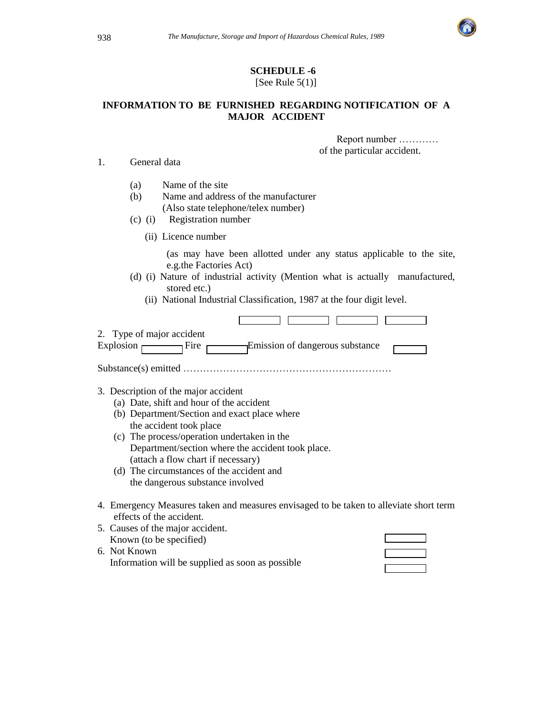

#### **SCHEDULE -6**  [See Rule  $5(1)$ ]

### **INFORMATION TO BE FURNISHED REGARDING NOTIFICATION OF A MAJOR ACCIDENT**

 Report number ………… of the particular accident.

1. General data

- (a) Name of the site
- (b) Name and address of the manufacturer (Also state telephone/telex number)
- (c) (i) Registration number
	- (ii) Licence number

 (as may have been allotted under any status applicable to the site, e.g.the Factories Act)

- (d) (i) Nature of industrial activity (Mention what is actually manufactured, stored etc.)
	- (ii) National Industrial Classification, 1987 at the four digit level.

| 2. Type of major accident<br><sub>l</sub> Fire<br>- Emission of dangerous substance<br>Explosion                   |
|--------------------------------------------------------------------------------------------------------------------|
|                                                                                                                    |
| 3. Description of the major accident                                                                               |
| (a) Date, shift and hour of the accident                                                                           |
| (b) Department/Section and exact place where                                                                       |
| the accident took place                                                                                            |
| (c) The process/operation undertaken in the                                                                        |
| Department/section where the accident took place.                                                                  |
| (attach a flow chart if necessary)                                                                                 |
| (d) The circumstances of the accident and                                                                          |
| the dangerous substance involved                                                                                   |
| 4. Emergency Measures taken and measures envisaged to be taken to alleviate short term<br>effects of the accident. |
| 5. Causes of the major accident.                                                                                   |
| Known (to be specified)                                                                                            |

6. Not Known Information will be supplied as soon as possible

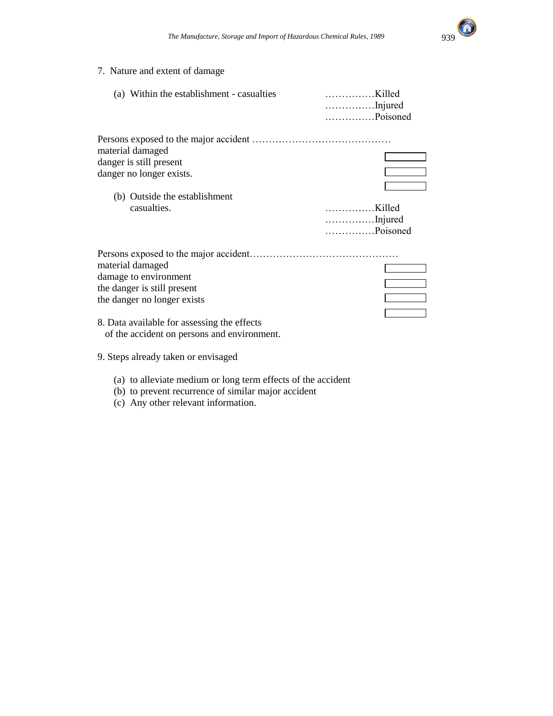

### 7. Nature and extent of damage

| (a) Within the establishment - casualties                                                                                                                                                             | Killed<br>Injured<br>Poisoned |
|-------------------------------------------------------------------------------------------------------------------------------------------------------------------------------------------------------|-------------------------------|
| material damaged<br>danger is still present<br>danger no longer exists.<br>(b) Outside the establishment<br>casualties.                                                                               | Killed<br>Injured             |
|                                                                                                                                                                                                       | Poisoned                      |
| material damaged<br>damage to environment<br>the danger is still present<br>the danger no longer exists<br>8. Data available for assessing the effects<br>of the accident on persons and environment. |                               |

- 9. Steps already taken or envisaged
	- (a) to alleviate medium or long term effects of the accident
	- (b) to prevent recurrence of similar major accident
	- (c) Any other relevant information.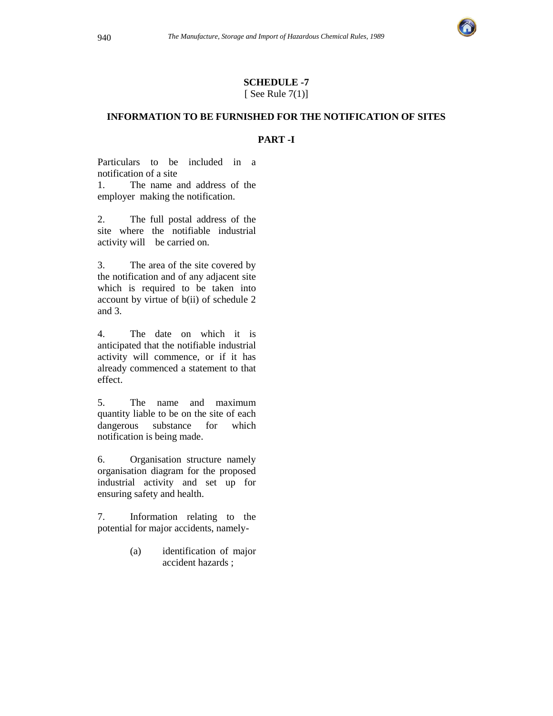

#### **SCHEDULE -7**  [ See Rule  $7(1)$ ]

### **INFORMATION TO BE FURNISHED FOR THE NOTIFICATION OF SITES**

#### **PART -I**

Particulars to be included in a notification of a site

1. The name and address of the employer making the notification.

2. The full postal address of the site where the notifiable industrial activity will be carried on.

3. The area of the site covered by the notification and of any adjacent site which is required to be taken into account by virtue of b(ii) of schedule 2 and 3.

4. The date on which it is anticipated that the notifiable industrial activity will commence, or if it has already commenced a statement to that effect.

5. The name and maximum quantity liable to be on the site of each dangerous substance for which notification is being made.

6. Organisation structure namely organisation diagram for the proposed industrial activity and set up for ensuring safety and health.

7. Information relating to the potential for major accidents, namely-

> (a) identification of major accident hazards ;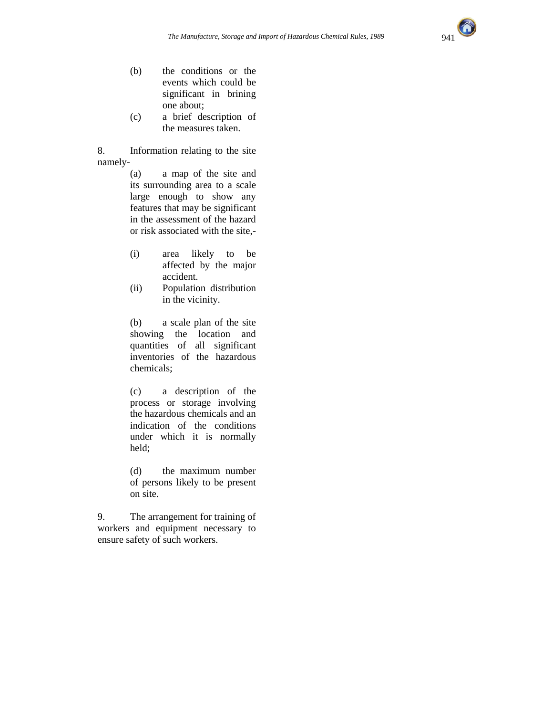

- (b) the conditions or the events which could be significant in brining one about;
- (c) a brief description of the measures taken.

8. Information relating to the site namely-

> (a) a map of the site and its surrounding area to a scale large enough to show any features that may be significant in the assessment of the hazard or risk associated with the site,-

- (i) area likely to be affected by the major accident.
- (ii) Population distribution in the vicinity.

(b) a scale plan of the site showing the location and quantities of all significant inventories of the hazardous chemicals;

(c) a description of the process or storage involving the hazardous chemicals and an indication of the conditions under which it is normally held;

(d) the maximum number of persons likely to be present on site.

9. The arrangement for training of workers and equipment necessary to ensure safety of such workers.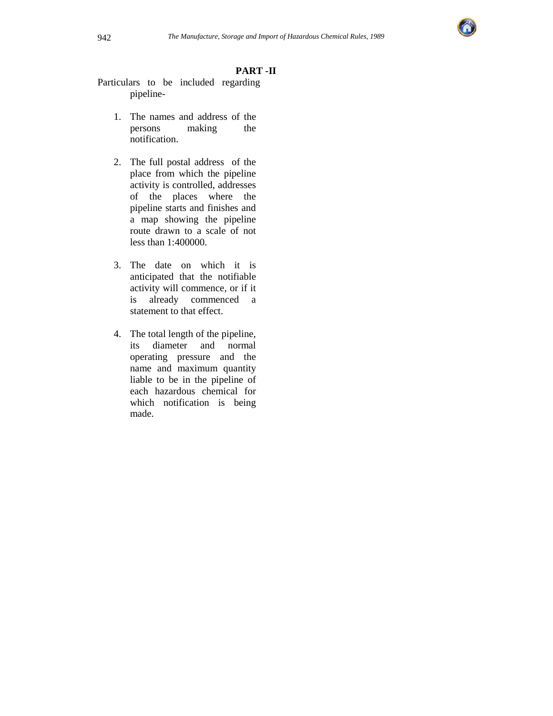

### **PART -II**

- Particulars to be included regarding pipeline-
	- 1. The names and address of the persons making the notification.
	- 2. The full postal address of the place from which the pipeline activity is controlled, addresses of the places where the pipeline starts and finishes and a map showing the pipeline route drawn to a scale of not less than 1:400000.
	- 3. The date on which it is anticipated that the notifiable activity will commence, or if it is already commenced a statement to that effect.
	- 4. The total length of the pipeline, its diameter and normal operating pressure and the name and maximum quantity liable to be in the pipeline of each hazardous chemical for which notification is being made.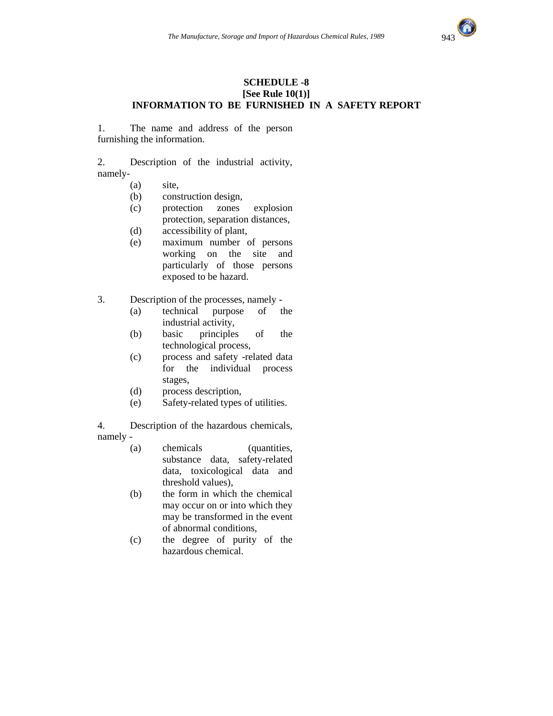

#### **SCHEDULE -8 [See Rule 10(1)] INFORMATION TO BE FURNISHED IN A SAFETY REPORT**

1. The name and address of the person furnishing the information.

2. Description of the industrial activity, namely-

- (a) site,
- (b) construction design,
- (c) protection zones explosion protection, separation distances,
- (d) accessibility of plant,
- (e) maximum number of persons working on the site and particularly of those persons exposed to be hazard.
- 3. Description of the processes, namely
	- (a) technical purpose of the industrial activity,
	- (b) basic principles of the technological process,
	- (c) process and safety -related data for the individual process stages,
	- (d) process description,
	- (e) Safety-related types of utilities.

4. Description of the hazardous chemicals, namely -

- (a) chemicals (quantities, substance data, safety-related data, toxicological data and threshold values),
- (b) the form in which the chemical may occur on or into which they may be transformed in the event of abnormal conditions,
- (c) the degree of purity of the hazardous chemical.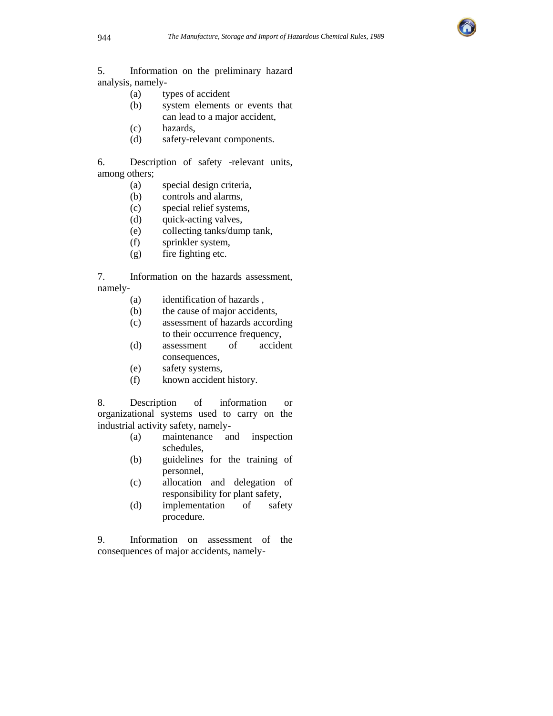

5. Information on the preliminary hazard analysis, namely-

- (a) types of accident
- (b) system elements or events that can lead to a major accident,
- (c) hazards,
- (d) safety-relevant components.

6. Description of safety -relevant units, among others;

- (a) special design criteria,
- (b) controls and alarms,
- (c) special relief systems,
- (d) quick-acting valves,
- (e) collecting tanks/dump tank,
- (f) sprinkler system,
- (g) fire fighting etc.

7. Information on the hazards assessment, namely-

- (a) identification of hazards ,
- (b) the cause of major accidents,
- (c) assessment of hazards according to their occurrence frequency,
- (d) assessment of accident consequences,
- (e) safety systems,
- (f) known accident history.

8. Description of information or organizational systems used to carry on the industrial activity safety, namely-

- (a) maintenance and inspection schedules,
- (b) guidelines for the training of personnel,
- (c) allocation and delegation of responsibility for plant safety,
- (d) implementation of safety procedure.

9. Information on assessment of the consequences of major accidents, namely-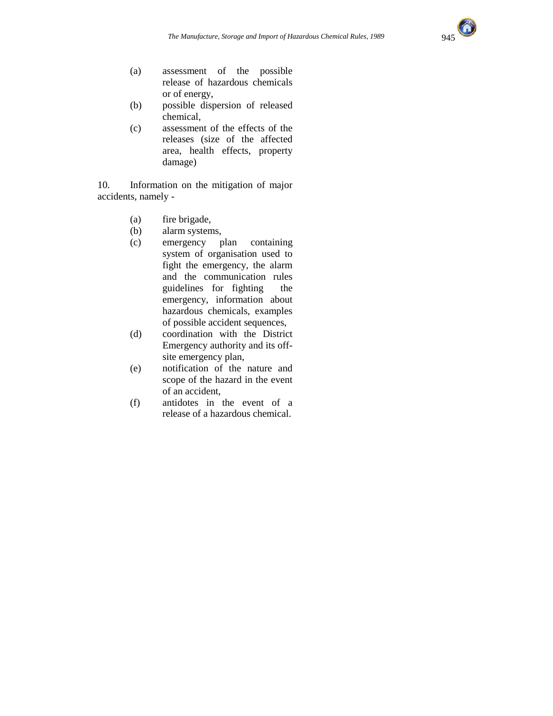

- (a) assessment of the possible release of hazardous chemicals or of energy,
- (b) possible dispersion of released chemical,
- (c) assessment of the effects of the releases (size of the affected area, health effects, property damage)

10. Information on the mitigation of major accidents, namely -

- (a) fire brigade,
- (b) alarm systems,
- (c) emergency plan containing system of organisation used to fight the emergency, the alarm and the communication rules guidelines for fighting the emergency, information about hazardous chemicals, examples of possible accident sequences,
- (d) coordination with the District Emergency authority and its offsite emergency plan,
- (e) notification of the nature and scope of the hazard in the event of an accident,
- (f) antidotes in the event of a release of a hazardous chemical.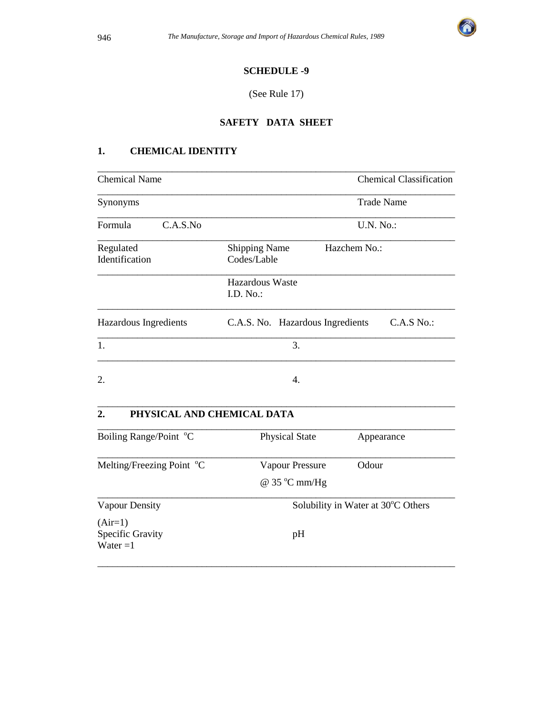

### **SCHEDULE -9**

#### (See Rule 17)

### **SAFETY DATA SHEET**

### **1. CHEMICAL IDENTITY**

| <b>Chemical Name</b>        | <b>Chemical Classification</b>                      |  |  |  |
|-----------------------------|-----------------------------------------------------|--|--|--|
| Synonyms                    | <b>Trade Name</b>                                   |  |  |  |
| Formula<br>C.A.S.No         | <b>U.N. No.:</b>                                    |  |  |  |
| Regulated<br>Identification | Hazchem No.:<br><b>Shipping Name</b><br>Codes/Lable |  |  |  |
|                             | Hazardous Waste<br>I.D. $No.$ :                     |  |  |  |
| Hazardous Ingredients       | C.A.S No.<br>C.A.S. No. Hazardous Ingredients       |  |  |  |
| 1.                          | 3.                                                  |  |  |  |
| 2.                          | 4.                                                  |  |  |  |

### **2. PHYSICAL AND CHEMICAL DATA**

| Boiling Range/Point °C                      | <b>Physical State</b>              | Appearance |  |
|---------------------------------------------|------------------------------------|------------|--|
| Melting/Freezing Point °C                   | Vapour Pressure                    | Odour      |  |
|                                             | $\omega$ 35 °C mm/Hg               |            |  |
| Vapour Density                              | Solubility in Water at 30°C Others |            |  |
| $(Air=1)$<br>Specific Gravity<br>Water $=1$ | pH                                 |            |  |

\_\_\_\_\_\_\_\_\_\_\_\_\_\_\_\_\_\_\_\_\_\_\_\_\_\_\_\_\_\_\_\_\_\_\_\_\_\_\_\_\_\_\_\_\_\_\_\_\_\_\_\_\_\_\_\_\_\_\_\_\_\_\_\_\_\_\_\_\_\_\_\_

\_\_\_\_\_\_\_\_\_\_\_\_\_\_\_\_\_\_\_\_\_\_\_\_\_\_\_\_\_\_\_\_\_\_\_\_\_\_\_\_\_\_\_\_\_\_\_\_\_\_\_\_\_\_\_\_\_\_\_\_\_\_\_\_\_\_\_\_\_\_\_\_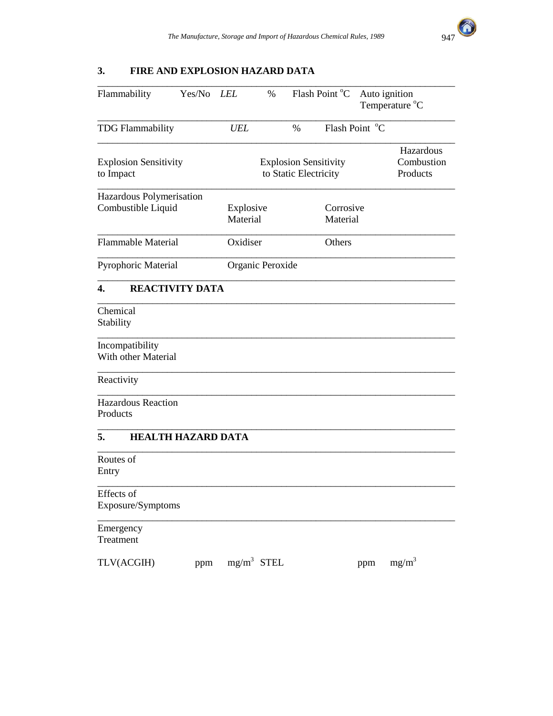

## **3. FIRE AND EXPLOSION HAZARD DATA**

| Flammability                              | Yes/No                                                | <i>LEL</i>            | $\%$             | Flash Point °C        | Auto ignition<br>Temperature °C     |          |
|-------------------------------------------|-------------------------------------------------------|-----------------------|------------------|-----------------------|-------------------------------------|----------|
| <b>TDG Flammability</b>                   |                                                       | UEL                   |                  | $\%$                  | Flash Point °C                      |          |
| <b>Explosion Sensitivity</b><br>to Impact | <b>Explosion Sensitivity</b><br>to Static Electricity |                       |                  |                       | Hazardous<br>Combustion<br>Products |          |
| Hazardous Polymerisation                  |                                                       |                       |                  |                       |                                     |          |
| Combustible Liquid                        |                                                       | Explosive<br>Material |                  | Corrosive<br>Material |                                     |          |
| <b>Flammable Material</b>                 |                                                       | Oxidiser              |                  | Others                |                                     |          |
| Pyrophoric Material                       |                                                       |                       | Organic Peroxide |                       |                                     |          |
| <b>REACTIVITY DATA</b><br>4.              |                                                       |                       |                  |                       |                                     |          |
| Chemical<br>Stability                     |                                                       |                       |                  |                       |                                     |          |
| Incompatibility<br>With other Material    |                                                       |                       |                  |                       |                                     |          |
| Reactivity                                |                                                       |                       |                  |                       |                                     |          |
| <b>Hazardous Reaction</b><br>Products     |                                                       |                       |                  |                       |                                     |          |
| 5.<br><b>HEALTH HAZARD DATA</b>           |                                                       |                       |                  |                       |                                     |          |
| Routes of<br>Entry                        |                                                       |                       |                  |                       |                                     |          |
| Effects of<br>Exposure/Symptoms           |                                                       |                       |                  |                       |                                     |          |
| Emergency<br>Treatment                    |                                                       |                       |                  |                       |                                     |          |
| TLV(ACGIH)                                | ppm                                                   |                       | $mg/m^3$ STEL    |                       | ppm                                 | $mg/m^3$ |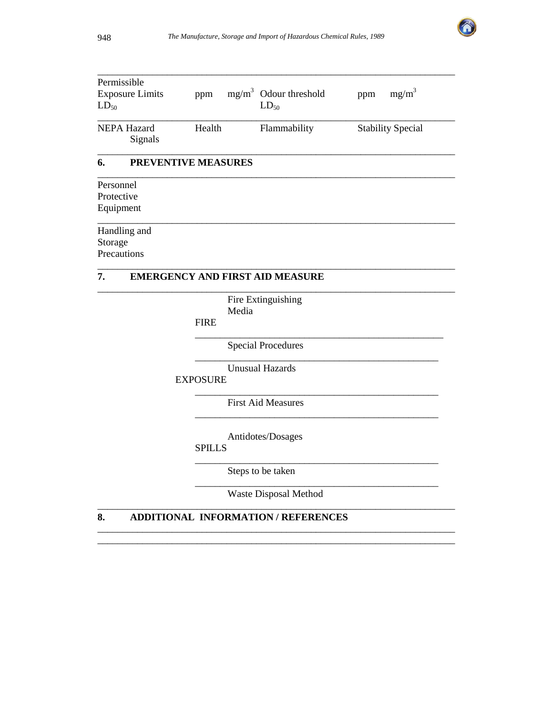

| Permissible                   |                            |       |                                        |                          |
|-------------------------------|----------------------------|-------|----------------------------------------|--------------------------|
| <b>Exposure Limits</b>        | ppm                        |       | $mg/m3$ Odour threshold                | $mg/m^3$<br>ppm          |
| $LD_{50}$                     |                            |       | $LD_{50}$                              |                          |
| <b>NEPA Hazard</b><br>Signals | Health                     |       | Flammability                           | <b>Stability Special</b> |
| 6.                            | <b>PREVENTIVE MEASURES</b> |       |                                        |                          |
| Personnel                     |                            |       |                                        |                          |
| Protective                    |                            |       |                                        |                          |
| Equipment                     |                            |       |                                        |                          |
| Handling and                  |                            |       |                                        |                          |
| Storage                       |                            |       |                                        |                          |
| Precautions                   |                            |       |                                        |                          |
| 7.                            |                            |       | <b>EMERGENCY AND FIRST AID MEASURE</b> |                          |
|                               |                            |       | Fire Extinguishing                     |                          |
|                               |                            | Media |                                        |                          |
|                               | <b>FIRE</b>                |       |                                        |                          |
|                               |                            |       | <b>Special Procedures</b>              |                          |
|                               | <b>EXPOSURE</b>            |       | <b>Unusual Hazards</b>                 |                          |
|                               |                            |       |                                        |                          |

First Aid Measures

\_\_\_\_\_\_\_\_\_\_\_\_\_\_\_\_\_\_\_\_\_\_\_\_\_\_\_\_\_\_\_\_\_\_\_\_\_\_\_\_\_\_\_\_\_\_\_\_\_

\_\_\_\_\_\_\_\_\_\_\_\_\_\_\_\_\_\_\_\_\_\_\_\_\_\_\_\_\_\_\_\_\_\_\_\_\_\_\_\_\_\_\_\_\_\_\_\_\_

\_\_\_\_\_\_\_\_\_\_\_\_\_\_\_\_\_\_\_\_\_\_\_\_\_\_\_\_\_\_\_\_\_\_\_\_\_\_\_\_\_\_\_\_\_\_\_\_\_

Antidotes/Dosages

SPILLS

Steps to be taken

Waste Disposal Method \_\_\_\_\_\_\_\_\_\_\_\_\_\_\_\_\_\_\_\_\_\_\_\_\_\_\_\_\_\_\_\_\_\_\_\_\_\_\_\_\_\_\_\_\_\_\_\_\_\_\_\_\_\_\_\_\_\_\_\_\_\_\_\_\_\_\_\_\_\_\_\_

\_\_\_\_\_\_\_\_\_\_\_\_\_\_\_\_\_\_\_\_\_\_\_\_\_\_\_\_\_\_\_\_\_\_\_\_\_\_\_\_\_\_\_\_\_\_\_\_\_\_\_\_\_\_\_\_\_\_\_\_\_\_\_\_\_\_\_\_\_\_\_\_ \_\_\_\_\_\_\_\_\_\_\_\_\_\_\_\_\_\_\_\_\_\_\_\_\_\_\_\_\_\_\_\_\_\_\_\_\_\_\_\_\_\_\_\_\_\_\_\_\_\_\_\_\_\_\_\_\_\_\_\_\_\_\_\_\_\_\_\_\_\_\_\_

### **8. ADDITIONAL INFORMATION / REFERENCES**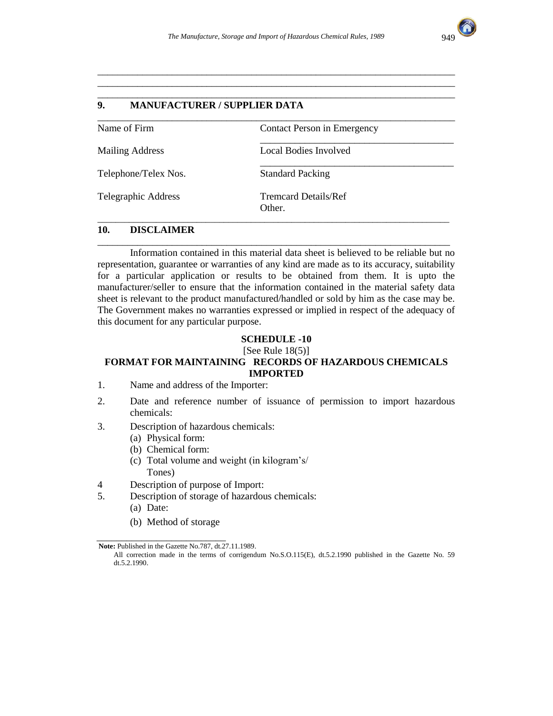\_\_\_\_\_\_\_\_\_\_\_\_\_\_\_\_\_\_\_\_\_\_\_\_\_\_\_\_\_\_\_\_\_\_\_\_\_\_\_\_\_\_\_\_\_\_\_\_\_\_\_\_\_\_\_\_\_\_\_\_\_\_\_\_\_\_\_\_\_\_\_\_ \_\_\_\_\_\_\_\_\_\_\_\_\_\_\_\_\_\_\_\_\_\_\_\_\_\_\_\_\_\_\_\_\_\_\_\_\_\_\_\_\_\_\_\_\_\_\_\_\_\_\_\_\_\_\_\_\_\_\_\_\_\_\_\_\_\_\_\_\_\_\_\_ \_\_\_\_\_\_\_\_\_\_\_\_\_\_\_\_\_\_\_\_\_\_\_\_\_\_\_\_\_\_\_\_\_\_\_\_\_\_\_\_\_\_\_\_\_\_\_\_\_\_\_\_\_\_\_\_\_\_\_\_\_\_\_\_\_\_\_\_\_\_\_\_



### **9. MANUFACTURER / SUPPLIER DATA**

| Name of Firm           | Contact Person in Emergency           |  |
|------------------------|---------------------------------------|--|
| <b>Mailing Address</b> | Local Bodies Involved                 |  |
| Telephone/Telex Nos.   | <b>Standard Packing</b>               |  |
| Telegraphic Address    | <b>Tremcard Details/Ref</b><br>Other. |  |

### **10. DISCLAIMER**

 Information contained in this material data sheet is believed to be reliable but no representation, guarantee or warranties of any kind are made as to its accuracy, suitability for a particular application or results to be obtained from them. It is upto the manufacturer/seller to ensure that the information contained in the material safety data sheet is relevant to the product manufactured/handled or sold by him as the case may be. The Government makes no warranties expressed or implied in respect of the adequacy of this document for any particular purpose.

\_\_\_\_\_\_\_\_\_\_\_\_\_\_\_\_\_\_\_\_\_\_\_\_\_\_\_\_\_\_\_\_\_\_\_\_\_\_\_\_\_\_\_\_\_\_\_\_\_\_\_\_\_\_\_\_\_\_\_\_\_\_\_\_\_\_\_\_\_\_\_

#### **SCHEDULE -10**

 $[See Rule 18(5)]$ 

### **FORMAT FOR MAINTAINING RECORDS OF HAZARDOUS CHEMICALS IMPORTED**

- 1. Name and address of the Importer:
- 2. Date and reference number of issuance of permission to import hazardous chemicals:
- 3. Description of hazardous chemicals:
	- (a) Physical form:
	- (b) Chemical form:
	- (c) Total volume and weight (in kilogram's/ Tones)
- 4 Description of purpose of Import:
- 5. Description of storage of hazardous chemicals:
	- (a) Date:
	- (b) Method of storage

\_\_\_\_\_\_\_\_\_\_\_\_\_\_\_\_\_\_\_\_\_\_\_\_\_\_

**Note:** Published in the Gazette No.787, dt.27.11.1989.

All correction made in the terms of corrigendum No.S.O.115(E), dt.5.2.1990 published in the Gazette No. 59 dt.5.2.1990.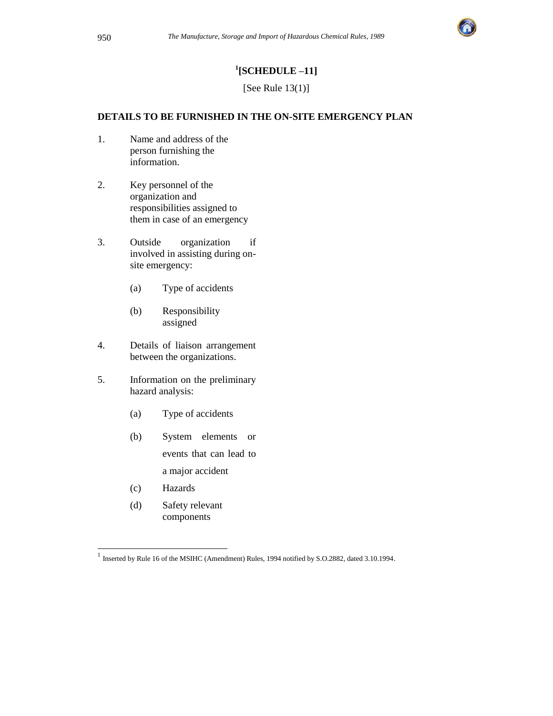

## **1 [SCHEDULE –11]**

[See Rule 13(1)]

### **DETAILS TO BE FURNISHED IN THE ON-SITE EMERGENCY PLAN**

- 1. Name and address of the person furnishing the information.
- 2. Key personnel of the organization and responsibilities assigned to them in case of an emergency
- 3. Outside organization if involved in assisting during onsite emergency:
	- (a) Type of accidents
	- (b) Responsibility assigned
- 4. Details of liaison arrangement between the organizations.
- 5. Information on the preliminary hazard analysis:
	- (a) Type of accidents
	- (b) System elements or events that can lead to a major accident
	- (c) Hazards
	- (d) Safety relevant components

 1 Inserted by Rule 16 of the MSIHC (Amendment) Rules, 1994 notified by S.O.2882, dated 3.10.1994.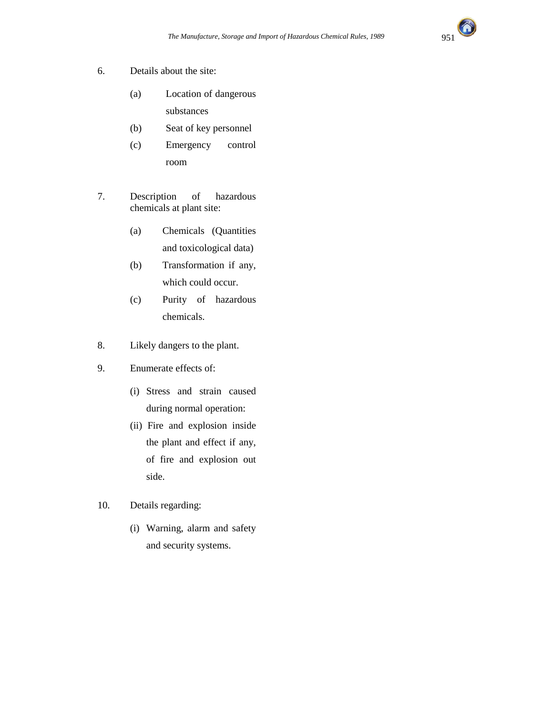

- 6. Details about the site:
	- (a) Location of dangerous substances
	- (b) Seat of key personnel
	- (c) Emergency control room
- 7. Description of hazardous chemicals at plant site:
	- (a) Chemicals (Quantities and toxicological data)
	- (b) Transformation if any, which could occur.
	- (c) Purity of hazardous chemicals.
- 8. Likely dangers to the plant.
- 9. Enumerate effects of:
	- (i) Stress and strain caused during normal operation:
	- (ii) Fire and explosion inside the plant and effect if any, of fire and explosion out side.
- 10. Details regarding:
	- (i) Warning, alarm and safety and security systems.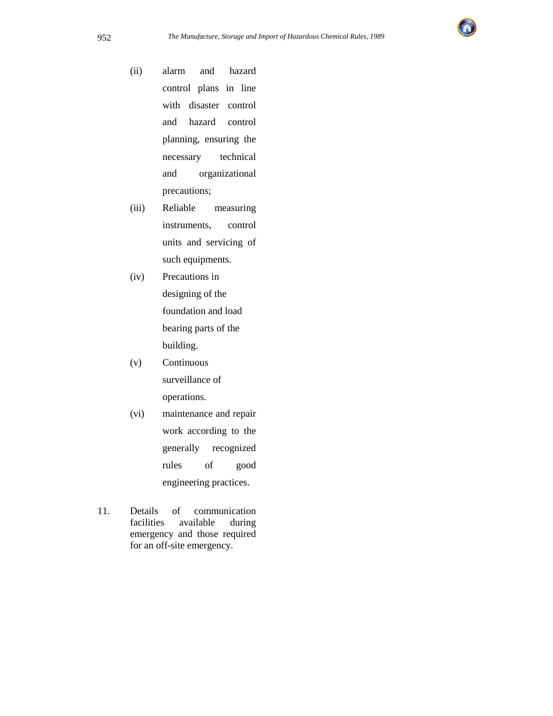

(ii) alarm and hazard control plans in line with disaster control and hazard control planning, ensuring the necessary technical and organizational precautions;

- (iii) Reliable measuring instruments, control units and servicing of such equipments.
- (iv) Precautions in designing of the foundation and load bearing parts of the building.
- (v) Continuous surveillance of operations.
- (vi) maintenance and repair work according to the generally recognized rules of good engineering practices.
- 11. Details of communication facilities available during emergency and those required for an off-site emergency.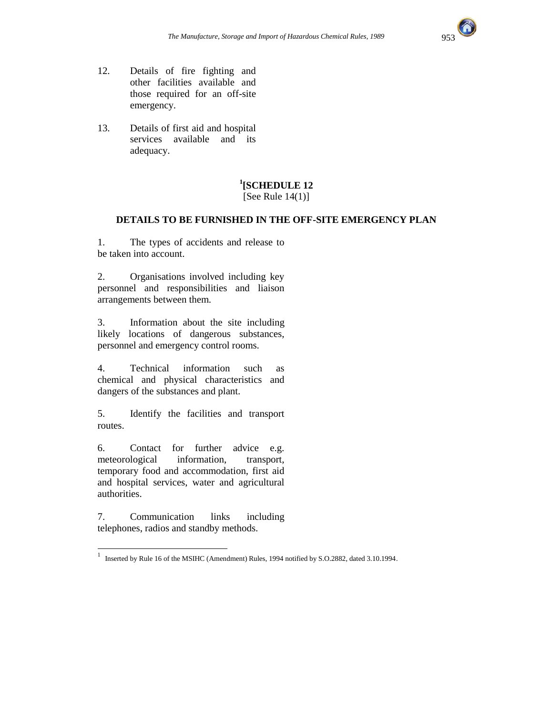

- 12. Details of fire fighting and other facilities available and those required for an off-site emergency.
- 13. Details of first aid and hospital services available and its adequacy.

## **1 [SCHEDULE 12**

[See Rule 14(1)]

#### **DETAILS TO BE FURNISHED IN THE OFF-SITE EMERGENCY PLAN**

1. The types of accidents and release to be taken into account.

2. Organisations involved including key personnel and responsibilities and liaison arrangements between them.

3. Information about the site including likely locations of dangerous substances, personnel and emergency control rooms.

4. Technical information such as chemical and physical characteristics and dangers of the substances and plant.

5. Identify the facilities and transport routes.

6. Contact for further advice e.g. meteorological information, transport, temporary food and accommodation, first aid and hospital services, water and agricultural authorities.

7. Communication links including telephones, radios and standby methods.

 1 Inserted by Rule 16 of the MSIHC (Amendment) Rules, 1994 notified by S.O.2882, dated 3.10.1994.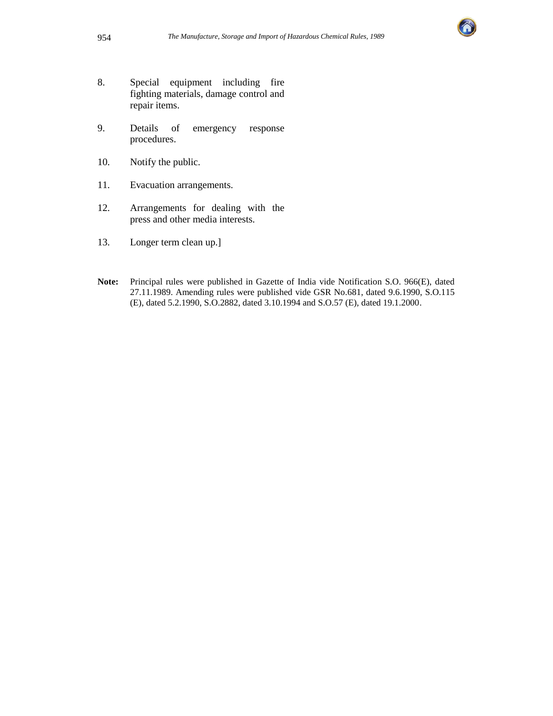

- 8. Special equipment including fire fighting materials, damage control and repair items.
- 9. Details of emergency response procedures.
- 10. Notify the public.
- 11. Evacuation arrangements.
- 12. Arrangements for dealing with the press and other media interests.
- 13. Longer term clean up.]
- **Note:** Principal rules were published in Gazette of India vide Notification S.O. 966(E), dated 27.11.1989. Amending rules were published vide GSR No.681, dated 9.6.1990, S.O.115 (E), dated 5.2.1990, S.O.2882, dated 3.10.1994 and S.O.57 (E), dated 19.1.2000.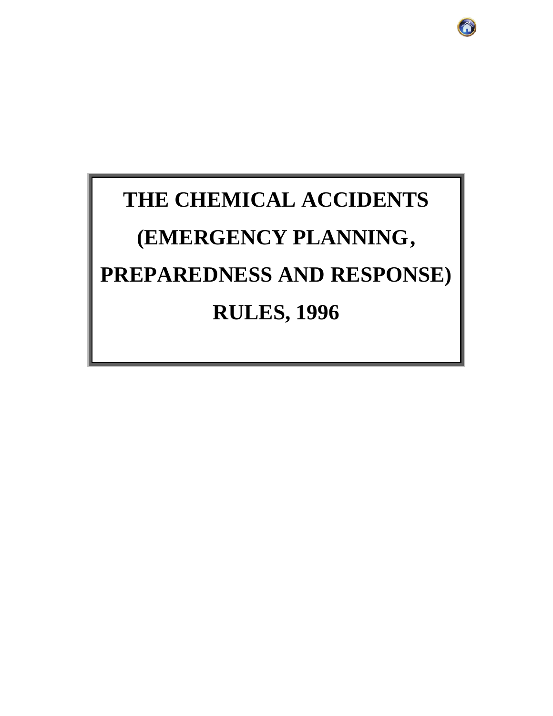# **THE CHEMICAL ACCIDENTS (EMERGENCY PLANNING, PREPAREDNESS AND RESPONSE) RULES, 1996**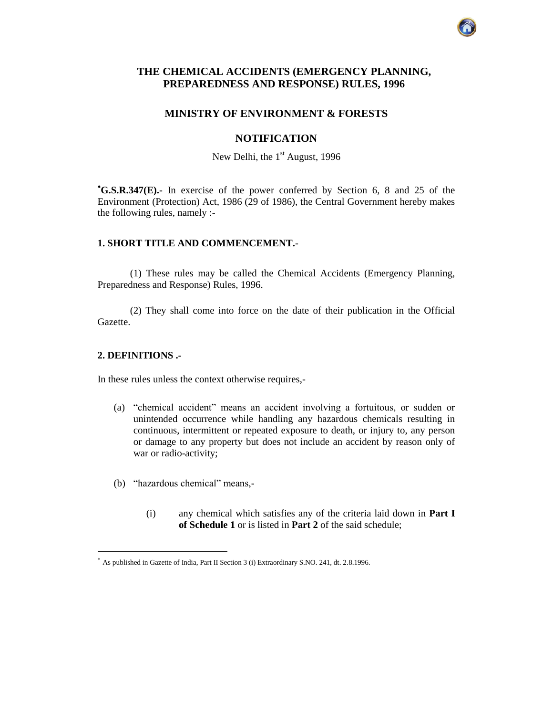#### **THE CHEMICAL ACCIDENTS (EMERGENCY PLANNING, PREPAREDNESS AND RESPONSE) RULES, 1996**

#### **MINISTRY OF ENVIRONMENT & FORESTS**

#### **NOTIFICATION**

New Delhi, the  $1<sup>st</sup>$  August, 1996

**G.S.R.347(E).-** In exercise of the power conferred by Section 6, 8 and 25 of the Environment (Protection) Act, 1986 (29 of 1986), the Central Government hereby makes the following rules, namely :-

#### **1. SHORT TITLE AND COMMENCEMENT.**-

(1) These rules may be called the Chemical Accidents (Emergency Planning, Preparedness and Response) Rules, 1996.

(2) They shall come into force on the date of their publication in the Official Gazette.

#### **2. DEFINITIONS .-**

 $\overline{a}$ 

In these rules unless the context otherwise requires,-

- (a) "chemical accident" means an accident involving a fortuitous, or sudden or unintended occurrence while handling any hazardous chemicals resulting in continuous, intermittent or repeated exposure to death, or injury to, any person or damage to any property but does not include an accident by reason only of war or radio-activity;
- (b) "hazardous chemical" means,-
	- (i) any chemical which satisfies any of the criteria laid down in **Part I of Schedule 1** or is listed in **Part 2** of the said schedule;

As published in Gazette of India, Part II Section 3 (i) Extraordinary S.NO. 241, dt. 2.8.1996.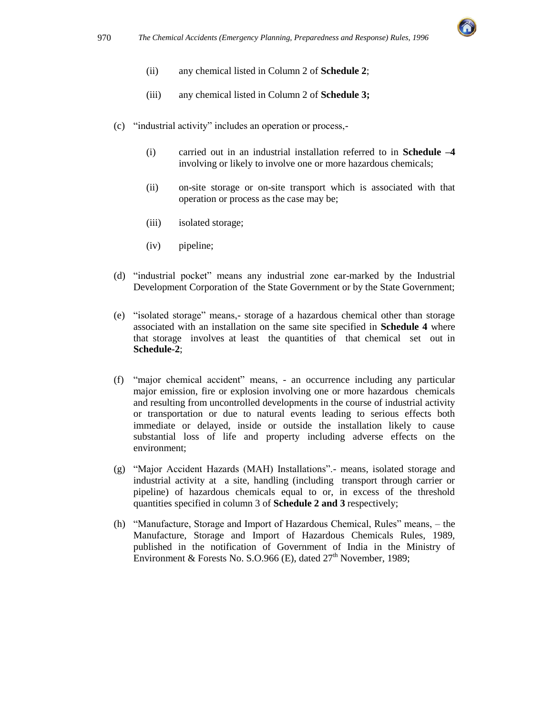

- (ii) any chemical listed in Column 2 of **Schedule 2**;
- (iii) any chemical listed in Column 2 of **Schedule 3;**
- (c) "industrial activity" includes an operation or process,-
	- (i) carried out in an industrial installation referred to in **Schedule –4** involving or likely to involve one or more hazardous chemicals;
	- (ii) on-site storage or on-site transport which is associated with that operation or process as the case may be;
	- (iii) isolated storage;
	- (iv) pipeline;
- (d) "industrial pocket" means any industrial zone ear-marked by the Industrial Development Corporation of the State Government or by the State Government;
- (e) "isolated storage" means,- storage of a hazardous chemical other than storage associated with an installation on the same site specified in **Schedule 4** where that storage involves at least the quantities of that chemical set out in **Schedule-2**;
- (f) "major chemical accident" means, an occurrence including any particular major emission, fire or explosion involving one or more hazardous chemicals and resulting from uncontrolled developments in the course of industrial activity or transportation or due to natural events leading to serious effects both immediate or delayed, inside or outside the installation likely to cause substantial loss of life and property including adverse effects on the environment;
- (g) "Major Accident Hazards (MAH) Installations".- means, isolated storage and industrial activity at a site, handling (including transport through carrier or pipeline) of hazardous chemicals equal to or, in excess of the threshold quantities specified in column 3 of **Schedule 2 and 3** respectively;
- (h) "Manufacture, Storage and Import of Hazardous Chemical, Rules" means, the Manufacture, Storage and Import of Hazardous Chemicals Rules, 1989, published in the notification of Government of India in the Ministry of Environment & Forests No. S.O.966 (E), dated  $27<sup>th</sup>$  November, 1989;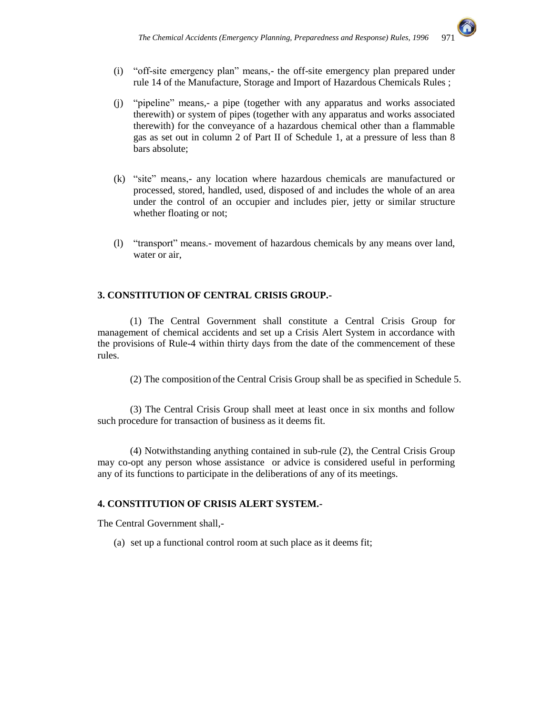

- (i) "off-site emergency plan" means,- the off-site emergency plan prepared under rule 14 of the Manufacture, Storage and Import of Hazardous Chemicals Rules ;
- (j) "pipeline" means,- a pipe (together with any apparatus and works associated therewith) or system of pipes (together with any apparatus and works associated therewith) for the conveyance of a hazardous chemical other than a flammable gas as set out in column 2 of Part II of Schedule 1, at a pressure of less than 8 bars absolute;
- (k) "site" means,- any location where hazardous chemicals are manufactured or processed, stored, handled, used, disposed of and includes the whole of an area under the control of an occupier and includes pier, jetty or similar structure whether floating or not;
- (l) "transport" means.- movement of hazardous chemicals by any means over land, water or air,

#### **3. CONSTITUTION OF CENTRAL CRISIS GROUP.-**

(1) The Central Government shall constitute a Central Crisis Group for management of chemical accidents and set up a Crisis Alert System in accordance with the provisions of Rule-4 within thirty days from the date of the commencement of these rules.

(2) The composition of the Central Crisis Group shall be as specified in Schedule 5.

(3) The Central Crisis Group shall meet at least once in six months and follow such procedure for transaction of business as it deems fit.

(4) Notwithstanding anything contained in sub-rule (2), the Central Crisis Group may co-opt any person whose assistance or advice is considered useful in performing any of its functions to participate in the deliberations of any of its meetings.

#### **4. CONSTITUTION OF CRISIS ALERT SYSTEM.-**

The Central Government shall,-

(a) set up a functional control room at such place as it deems fit;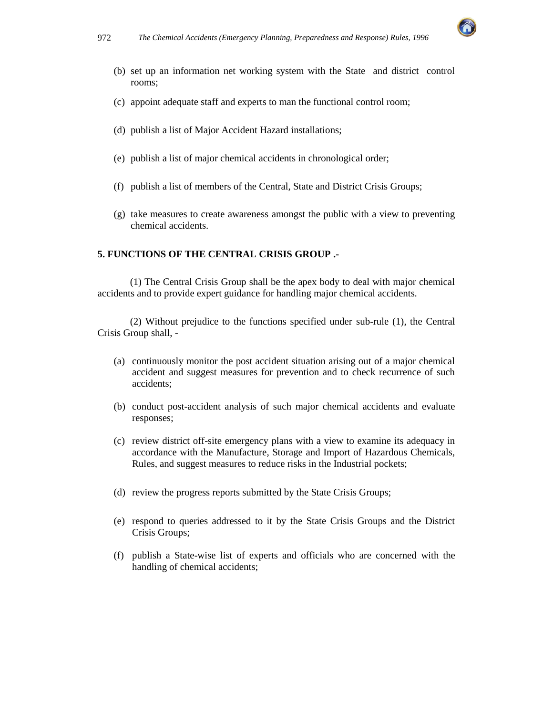

- (b) set up an information net working system with the State and district control rooms;
- (c) appoint adequate staff and experts to man the functional control room;
- (d) publish a list of Major Accident Hazard installations;
- (e) publish a list of major chemical accidents in chronological order;
- (f) publish a list of members of the Central, State and District Crisis Groups;
- (g) take measures to create awareness amongst the public with a view to preventing chemical accidents.

#### **5. FUNCTIONS OF THE CENTRAL CRISIS GROUP .-**

(1) The Central Crisis Group shall be the apex body to deal with major chemical accidents and to provide expert guidance for handling major chemical accidents.

(2) Without prejudice to the functions specified under sub-rule (1), the Central Crisis Group shall, -

- (a) continuously monitor the post accident situation arising out of a major chemical accident and suggest measures for prevention and to check recurrence of such accidents;
- (b) conduct post-accident analysis of such major chemical accidents and evaluate responses;
- (c) review district off-site emergency plans with a view to examine its adequacy in accordance with the Manufacture, Storage and Import of Hazardous Chemicals, Rules, and suggest measures to reduce risks in the Industrial pockets;
- (d) review the progress reports submitted by the State Crisis Groups;
- (e) respond to queries addressed to it by the State Crisis Groups and the District Crisis Groups;
- (f) publish a State-wise list of experts and officials who are concerned with the handling of chemical accidents;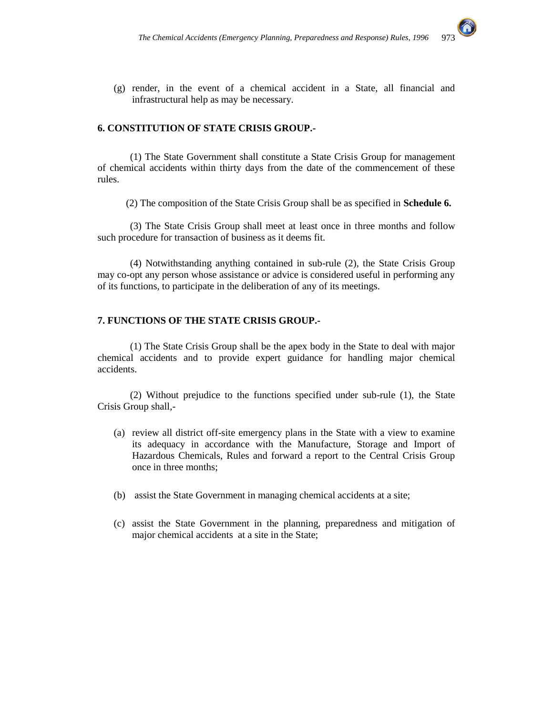

(g) render, in the event of a chemical accident in a State, all financial and infrastructural help as may be necessary.

#### **6. CONSTITUTION OF STATE CRISIS GROUP.-**

(1) The State Government shall constitute a State Crisis Group for management of chemical accidents within thirty days from the date of the commencement of these rules.

(2) The composition of the State Crisis Group shall be as specified in **Schedule 6.**

(3) The State Crisis Group shall meet at least once in three months and follow such procedure for transaction of business as it deems fit.

(4) Notwithstanding anything contained in sub-rule (2), the State Crisis Group may co-opt any person whose assistance or advice is considered useful in performing any of its functions, to participate in the deliberation of any of its meetings.

#### **7. FUNCTIONS OF THE STATE CRISIS GROUP.-**

(1) The State Crisis Group shall be the apex body in the State to deal with major chemical accidents and to provide expert guidance for handling major chemical accidents.

 (2) Without prejudice to the functions specified under sub-rule (1), the State Crisis Group shall,-

- (a) review all district off-site emergency plans in the State with a view to examine its adequacy in accordance with the Manufacture, Storage and Import of Hazardous Chemicals, Rules and forward a report to the Central Crisis Group once in three months;
- (b) assist the State Government in managing chemical accidents at a site;
- (c) assist the State Government in the planning, preparedness and mitigation of major chemical accidents at a site in the State;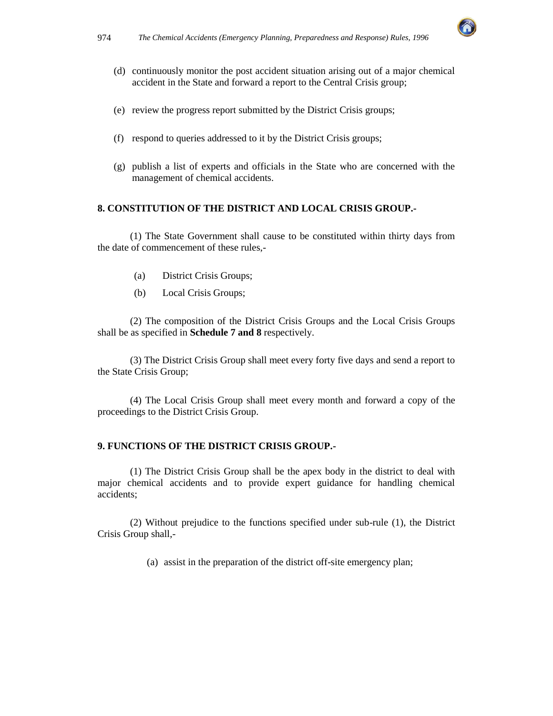

- (d) continuously monitor the post accident situation arising out of a major chemical accident in the State and forward a report to the Central Crisis group;
- (e) review the progress report submitted by the District Crisis groups;
- (f) respond to queries addressed to it by the District Crisis groups;
- (g) publish a list of experts and officials in the State who are concerned with the management of chemical accidents.

#### **8. CONSTITUTION OF THE DISTRICT AND LOCAL CRISIS GROUP.-**

(1) The State Government shall cause to be constituted within thirty days from the date of commencement of these rules,-

- (a) District Crisis Groups;
- (b) Local Crisis Groups;

(2) The composition of the District Crisis Groups and the Local Crisis Groups shall be as specified in **Schedule 7 and 8** respectively.

(3) The District Crisis Group shall meet every forty five days and send a report to the State Crisis Group;

(4) The Local Crisis Group shall meet every month and forward a copy of the proceedings to the District Crisis Group.

#### **9. FUNCTIONS OF THE DISTRICT CRISIS GROUP.-**

(1) The District Crisis Group shall be the apex body in the district to deal with major chemical accidents and to provide expert guidance for handling chemical accidents;

(2) Without prejudice to the functions specified under sub-rule (1), the District Crisis Group shall,-

(a) assist in the preparation of the district off-site emergency plan;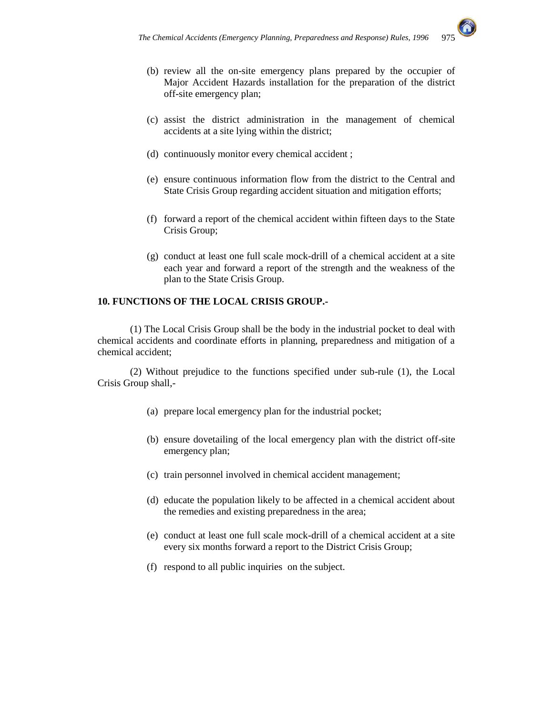

- (b) review all the on-site emergency plans prepared by the occupier of Major Accident Hazards installation for the preparation of the district off-site emergency plan;
- (c) assist the district administration in the management of chemical accidents at a site lying within the district;
- (d) continuously monitor every chemical accident ;
- (e) ensure continuous information flow from the district to the Central and State Crisis Group regarding accident situation and mitigation efforts;
- (f) forward a report of the chemical accident within fifteen days to the State Crisis Group;
- (g) conduct at least one full scale mock-drill of a chemical accident at a site each year and forward a report of the strength and the weakness of the plan to the State Crisis Group.

#### **10. FUNCTIONS OF THE LOCAL CRISIS GROUP.-**

(1) The Local Crisis Group shall be the body in the industrial pocket to deal with chemical accidents and coordinate efforts in planning, preparedness and mitigation of a chemical accident;

(2) Without prejudice to the functions specified under sub-rule (1), the Local Crisis Group shall,-

- (a) prepare local emergency plan for the industrial pocket;
- (b) ensure dovetailing of the local emergency plan with the district off-site emergency plan;
- (c) train personnel involved in chemical accident management;
- (d) educate the population likely to be affected in a chemical accident about the remedies and existing preparedness in the area;
- (e) conduct at least one full scale mock-drill of a chemical accident at a site every six months forward a report to the District Crisis Group;
- (f) respond to all public inquiries on the subject.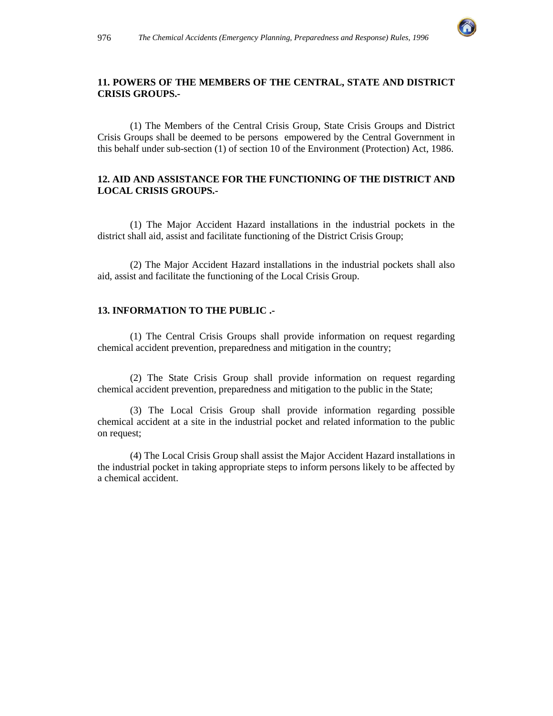

#### **11. POWERS OF THE MEMBERS OF THE CENTRAL, STATE AND DISTRICT CRISIS GROUPS.-**

(1) The Members of the Central Crisis Group, State Crisis Groups and District Crisis Groups shall be deemed to be persons empowered by the Central Government in this behalf under sub-section (1) of section 10 of the Environment (Protection) Act, 1986.

#### **12. AID AND ASSISTANCE FOR THE FUNCTIONING OF THE DISTRICT AND LOCAL CRISIS GROUPS.-**

(1) The Major Accident Hazard installations in the industrial pockets in the district shall aid, assist and facilitate functioning of the District Crisis Group;

(2) The Major Accident Hazard installations in the industrial pockets shall also aid, assist and facilitate the functioning of the Local Crisis Group.

#### **13. INFORMATION TO THE PUBLIC .-**

(1) The Central Crisis Groups shall provide information on request regarding chemical accident prevention, preparedness and mitigation in the country;

(2) The State Crisis Group shall provide information on request regarding chemical accident prevention, preparedness and mitigation to the public in the State;

(3) The Local Crisis Group shall provide information regarding possible chemical accident at a site in the industrial pocket and related information to the public on request;

(4) The Local Crisis Group shall assist the Major Accident Hazard installations in the industrial pocket in taking appropriate steps to inform persons likely to be affected by a chemical accident.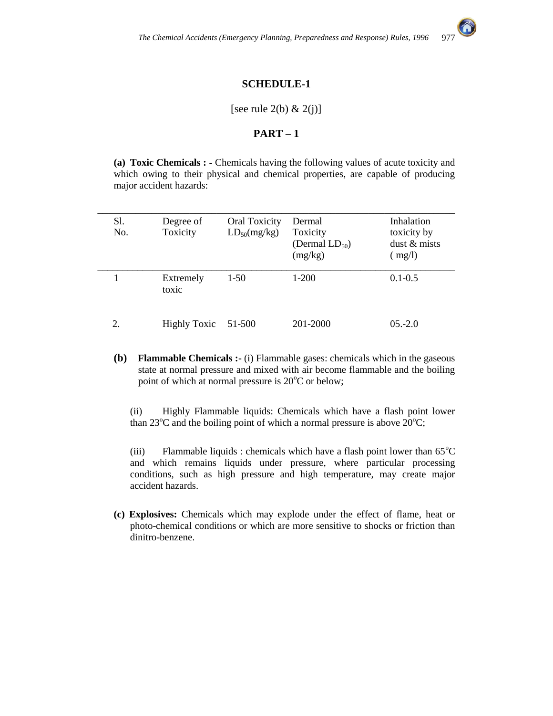

## **SCHEDULE-1**

#### [see rule 2(b)  $\& 2(j)$ ]

#### **PART – 1**

**(a) Toxic Chemicals : -** Chemicals having the following values of acute toxicity and which owing to their physical and chemical properties, are capable of producing major accident hazards:

| Sl.<br>No. | Degree of<br>Toxicity | <b>Oral Toxicity</b><br>$LD_{50}(mg/kg)$ | Dermal<br>Toxicity<br>(Dermal $LD_{50}$ )<br>(mg/kg) | Inhalation<br>toxicity by<br>dust & mists<br>(mg/l) |
|------------|-----------------------|------------------------------------------|------------------------------------------------------|-----------------------------------------------------|
|            | Extremely<br>toxic    | $1-50$                                   | $1-200$                                              | $0.1 - 0.5$                                         |
| 2.         | <b>Highly Toxic</b>   | 51-500                                   | 201-2000                                             | $05.-2.0$                                           |

**(b) Flammable Chemicals :-** (i) Flammable gases: chemicals which in the gaseous state at normal pressure and mixed with air become flammable and the boiling point of which at normal pressure is  $20^{\circ}$ C or below;

(ii) Highly Flammable liquids: Chemicals which have a flash point lower than 23 $^{\circ}$ C and the boiling point of which a normal pressure is above 20 $^{\circ}$ C;

(iii) Flammable liquids : chemicals which have a flash point lower than  $65^{\circ}$ C and which remains liquids under pressure, where particular processing conditions, such as high pressure and high temperature, may create major accident hazards.

**(c) Explosives:** Chemicals which may explode under the effect of flame, heat or photo-chemical conditions or which are more sensitive to shocks or friction than dinitro-benzene.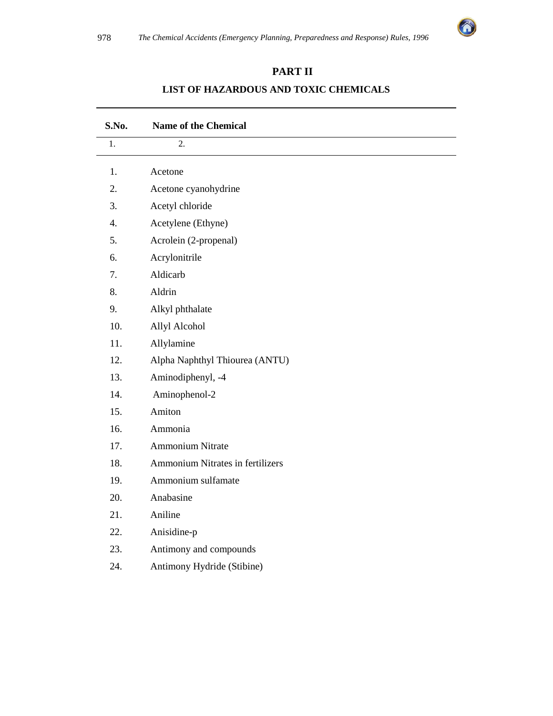

# **PART II**

# **S.No. Name of the Chemical**  1. 2. 1. Acetone 2. Acetone cyanohydrine 3. Acetyl chloride 4. Acetylene (Ethyne) 5. Acrolein (2-propenal) 6. Acrylonitrile 7. Aldicarb 8. Aldrin 9. Alkyl phthalate 10. Allyl Alcohol 11. Allylamine 12. Alpha Naphthyl Thiourea (ANTU) 13. Aminodiphenyl, -4 14. Aminophenol-2 15. Amiton 16. Ammonia 17. Ammonium Nitrate 18. Ammonium Nitrates in fertilizers 19. Ammonium sulfamate 20. Anabasine 21. Aniline 22. Anisidine-p 23. Antimony and compounds 24. Antimony Hydride (Stibine)

# **LIST OF HAZARDOUS AND TOXIC CHEMICALS**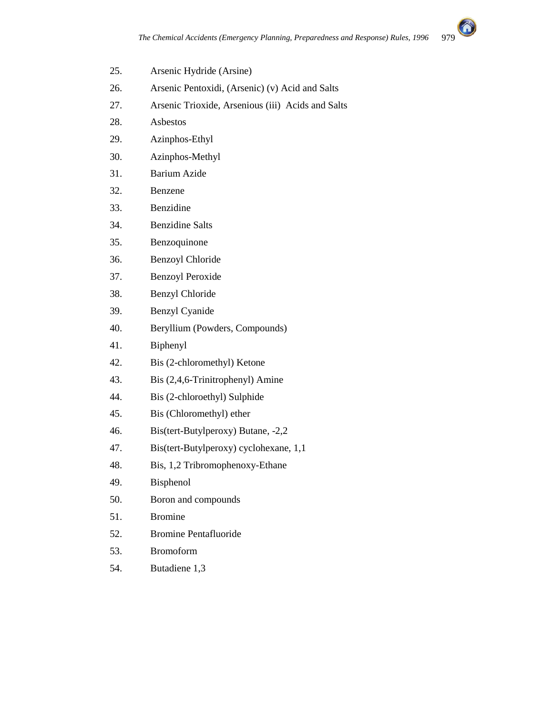

- 25. Arsenic Hydride (Arsine)
- 26. Arsenic Pentoxidi, (Arsenic) (v) Acid and Salts
- 27. Arsenic Trioxide, Arsenious (iii) Acids and Salts
- 28. Asbestos
- 29. Azinphos-Ethyl
- 30. Azinphos-Methyl
- 31. Barium Azide
- 32. Benzene
- 33. Benzidine
- 34. Benzidine Salts
- 35. Benzoquinone
- 36. Benzoyl Chloride
- 37. Benzoyl Peroxide
- 38. Benzyl Chloride
- 39. Benzyl Cyanide
- 40. Beryllium (Powders, Compounds)
- 41. Biphenyl
- 42. Bis (2-chloromethyl) Ketone
- 43. Bis (2,4,6-Trinitrophenyl) Amine
- 44. Bis (2-chloroethyl) Sulphide
- 45. Bis (Chloromethyl) ether
- 46. Bis(tert-Butylperoxy) Butane, -2,2
- 47. Bis(tert-Butylperoxy) cyclohexane, 1,1
- 48. Bis, 1,2 Tribromophenoxy-Ethane
- 49. Bisphenol
- 50. Boron and compounds
- 51. Bromine
- 52. Bromine Pentafluoride
- 53. Bromoform
- 54. Butadiene 1,3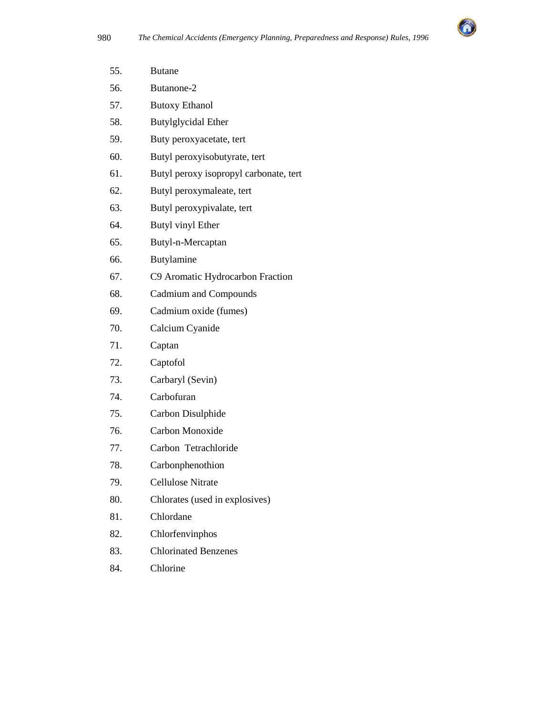

| 55. | <b>Butane</b>                          |
|-----|----------------------------------------|
| 56. | Butanone-2                             |
| 57. | <b>Butoxy Ethanol</b>                  |
| 58. | Butylglycidal Ether                    |
| 59. | Buty peroxyacetate, tert               |
| 60. | Butyl peroxyisobutyrate, tert          |
| 61. | Butyl peroxy isopropyl carbonate, tert |
| 62. | Butyl peroxymaleate, tert              |
| 63. | Butyl peroxypivalate, tert             |
| 64. | Butyl vinyl Ether                      |
| 65. | Butyl-n-Mercaptan                      |
| 66. | Butylamine                             |
| 67. | C9 Aromatic Hydrocarbon Fraction       |
| 68. | <b>Cadmium and Compounds</b>           |
| 69. | Cadmium oxide (fumes)                  |
| 70. | Calcium Cyanide                        |
| 71. | Captan                                 |
| 72. | Captofol                               |
| 73. | Carbaryl (Sevin)                       |
| 74. | Carbofuran                             |
| 75. | Carbon Disulphide                      |
| 76. | Carbon Monoxide                        |
| 77. | Carbon Tetrachloride                   |
| 78. | Carbonphenothion                       |
| 79. | <b>Cellulose Nitrate</b>               |
| 80. | Chlorates (used in explosives)         |
| 81. | Chlordane                              |
| 82. | Chlorfenvinphos                        |
| 83. | <b>Chlorinated Benzenes</b>            |
| 84. | Chlorine                               |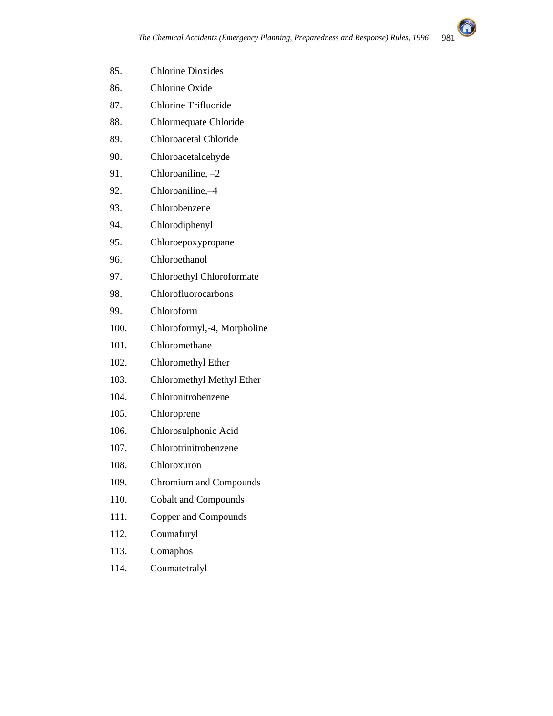

- 85. Chlorine Dioxides
- 86. Chlorine Oxide
- 87. Chlorine Trifluoride
- 88. Chlormequate Chloride
- 89. Chloroacetal Chloride
- 90. Chloroacetaldehyde
- 91. Chloroaniline, –2
- 92. Chloroaniline,–4
- 93. Chlorobenzene
- 94. Chlorodiphenyl
- 95. Chloroepoxypropane
- 96. Chloroethanol
- 97. Chloroethyl Chloroformate
- 98. Chlorofluorocarbons
- 99. Chloroform
- 100. Chloroformyl,-4, Morpholine
- 101. Chloromethane
- 102. Chloromethyl Ether
- 103. Chloromethyl Methyl Ether
- 104. Chloronitrobenzene
- 105. Chloroprene
- 106. Chlorosulphonic Acid
- 107. Chlorotrinitrobenzene
- 108. Chloroxuron
- 109. Chromium and Compounds
- 110. Cobalt and Compounds
- 111. Copper and Compounds
- 112. Coumafuryl
- 113. Comaphos
- 114. Coumatetralyl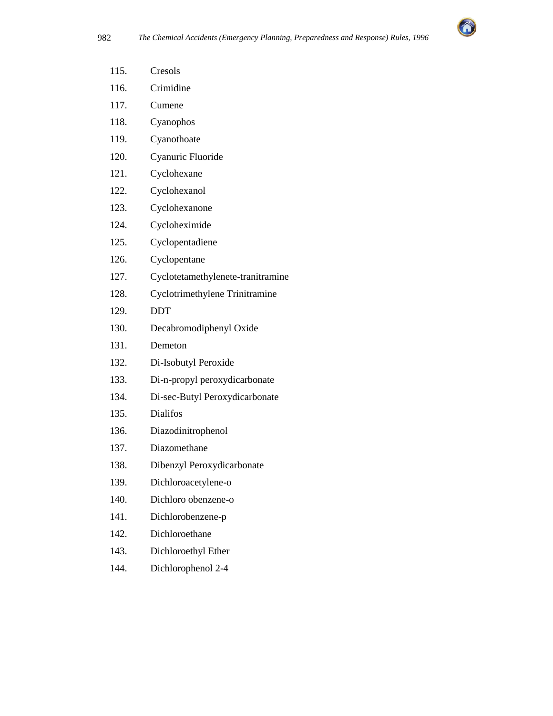

| 115. | Cresols                           |
|------|-----------------------------------|
| 116. | Crimidine                         |
| 117. | Cumene                            |
| 118. | Cyanophos                         |
| 119. | Cyanothoate                       |
| 120. | Cyanuric Fluoride                 |
| 121. | Cyclohexane                       |
| 122. | Cyclohexanol                      |
| 123. | Cyclohexanone                     |
| 124. | Cycloheximide                     |
| 125. | Cyclopentadiene                   |
| 126. | Cyclopentane                      |
| 127. | Cyclotetamethylenete-tranitramine |
| 128. | Cyclotrimethylene Trinitramine    |
| 129. | <b>DDT</b>                        |
| 130. | Decabromodiphenyl Oxide           |
| 131. | Demeton                           |
| 132. | Di-Isobutyl Peroxide              |
| 133. | Di-n-propyl peroxydicarbonate     |
| 134. | Di-sec-Butyl Peroxydicarbonate    |
| 135. | <b>Dialifos</b>                   |
| 136. | Diazodinitrophenol                |
| 137. | Diazomethane                      |
| 138. | Dibenzyl Peroxydicarbonate        |
| 139. | Dichloroacetylene-o               |
| 140. | Dichloro obenzene-o               |
| 141. | Dichlorobenzene-p                 |
| 142. | Dichloroethane                    |
| 143. | Dichloroethyl Ether               |
| 144. | Dichlorophenol 2-4                |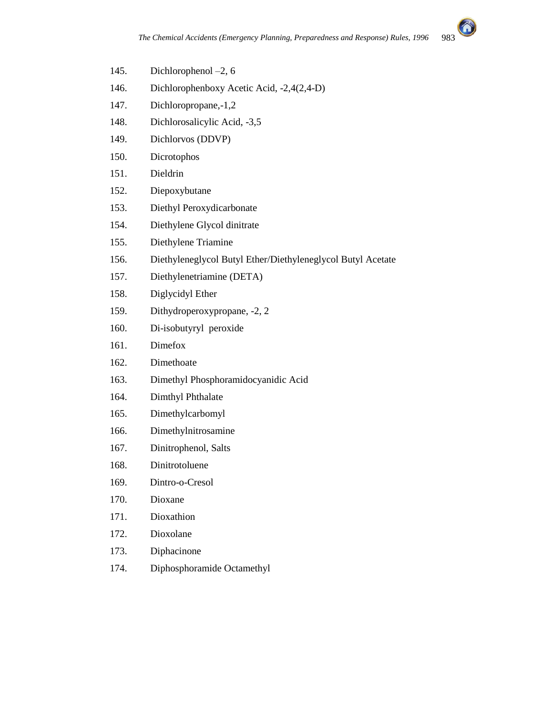

- 145. Dichlorophenol –2, 6
- 146. Dichlorophenboxy Acetic Acid, -2,4(2,4-D)
- 147. Dichloropropane,-1,2
- 148. Dichlorosalicylic Acid, -3,5
- 149. Dichlorvos (DDVP)
- 150. Dicrotophos
- 151. Dieldrin
- 152. Diepoxybutane
- 153. Diethyl Peroxydicarbonate
- 154. Diethylene Glycol dinitrate
- 155. Diethylene Triamine
- 156. Diethyleneglycol Butyl Ether/Diethyleneglycol Butyl Acetate
- 157. Diethylenetriamine (DETA)
- 158. Diglycidyl Ether
- 159. Dithydroperoxypropane, -2, 2
- 160. Di-isobutyryl peroxide
- 161. Dimefox
- 162. Dimethoate
- 163. Dimethyl Phosphoramidocyanidic Acid
- 164. Dimthyl Phthalate
- 165. Dimethylcarbomyl
- 166. Dimethylnitrosamine
- 167. Dinitrophenol, Salts
- 168. Dinitrotoluene
- 169. Dintro-o-Cresol
- 170. Dioxane
- 171. Dioxathion
- 172. Dioxolane
- 173. Diphacinone
- 174. Diphosphoramide Octamethyl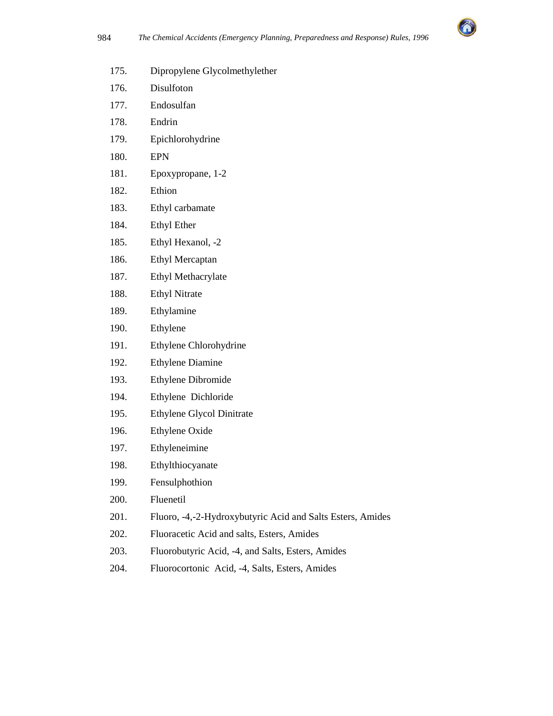

- 175. Dipropylene Glycolmethylether
- 176. Disulfoton
- 177. Endosulfan
- 178. Endrin
- 179. Epichlorohydrine
- 180. EPN
- 181. Epoxypropane, 1-2
- 182. Ethion
- 183. Ethyl carbamate
- 184. Ethyl Ether
- 185. Ethyl Hexanol, -2
- 186. Ethyl Mercaptan
- 187. Ethyl Methacrylate
- 188. Ethyl Nitrate
- 189. Ethylamine
- 190. Ethylene
- 191. Ethylene Chlorohydrine
- 192. Ethylene Diamine
- 193. Ethylene Dibromide
- 194. Ethylene Dichloride
- 195. Ethylene Glycol Dinitrate
- 196. Ethylene Oxide
- 197. Ethyleneimine
- 198. Ethylthiocyanate
- 199. Fensulphothion
- 200. Fluenetil
- 201. Fluoro, -4,-2-Hydroxybutyric Acid and Salts Esters, Amides
- 202. Fluoracetic Acid and salts, Esters, Amides
- 203. Fluorobutyric Acid, -4, and Salts, Esters, Amides
- 204. Fluorocortonic Acid, -4, Salts, Esters, Amides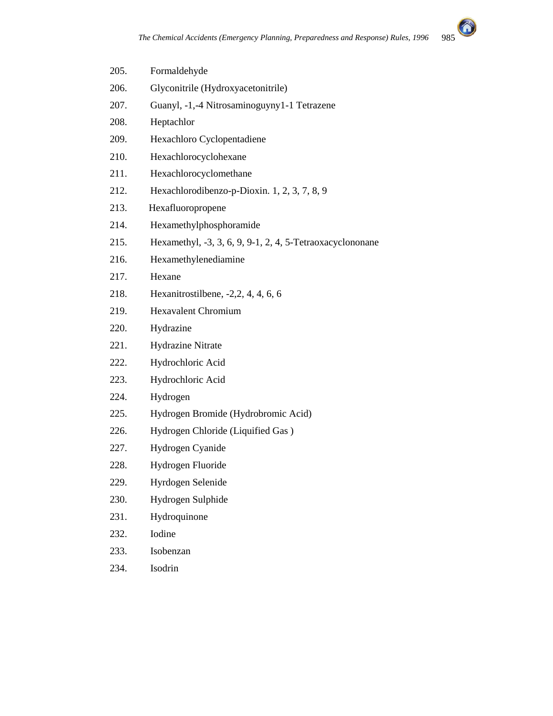

| 205. | Formaldehyde                                              |
|------|-----------------------------------------------------------|
| 206. | Glyconitrile (Hydroxyacetonitrile)                        |
| 207. | Guanyl, -1,-4 Nitrosaminoguyny1-1 Tetrazene               |
| 208. | Heptachlor                                                |
| 209. | Hexachloro Cyclopentadiene                                |
| 210. | Hexachlorocyclohexane                                     |
| 211. | Hexachlorocyclomethane                                    |
| 212. | Hexachlorodibenzo-p-Dioxin. 1, 2, 3, 7, 8, 9              |
| 213. | Hexafluoropropene                                         |
| 214. | Hexamethylphosphoramide                                   |
| 215. | Hexamethyl, -3, 3, 6, 9, 9-1, 2, 4, 5-Tetraoxacyclononane |
| 216. | Hexamethylenediamine                                      |
| 217. | Hexane                                                    |
| 218. | Hexanitrostilbene, $-2, 2, 4, 4, 6, 6$                    |
| 219. | <b>Hexavalent Chromium</b>                                |
| 220. | Hydrazine                                                 |
| 221. | <b>Hydrazine Nitrate</b>                                  |
| 222. | Hydrochloric Acid                                         |
| 223. | Hydrochloric Acid                                         |
| 224. | Hydrogen                                                  |
| 225. | Hydrogen Bromide (Hydrobromic Acid)                       |
| 226. | Hydrogen Chloride (Liquified Gas)                         |
| 227. | Hydrogen Cyanide                                          |
| 228. | Hydrogen Fluoride                                         |
| 229. | Hyrdogen Selenide                                         |
| 230. | Hydrogen Sulphide                                         |
| 231. | Hydroquinone                                              |
| 232. | Iodine                                                    |
| 233. | Isobenzan                                                 |
|      |                                                           |

234. Isodrin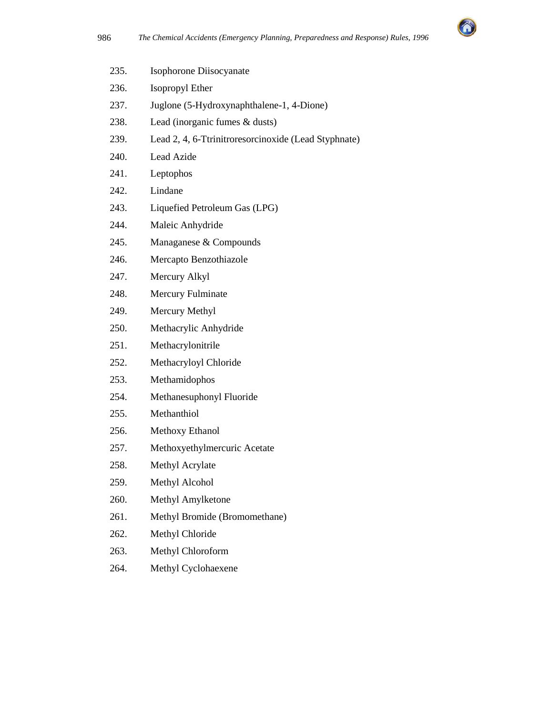

| 235. | Isophorone Diisocyanate                              |
|------|------------------------------------------------------|
| 236. | Isopropyl Ether                                      |
| 237. | Juglone (5-Hydroxynaphthalene-1, 4-Dione)            |
| 238. | Lead (inorganic fumes & dusts)                       |
| 239. | Lead 2, 4, 6-Ttrinitroresorcinoxide (Lead Styphnate) |
| 240. | Lead Azide                                           |
| 241. | Leptophos                                            |
| 242. | Lindane                                              |
| 243. | Liquefied Petroleum Gas (LPG)                        |
| 244. | Maleic Anhydride                                     |
| 245. | Managanese & Compounds                               |
| 246. | Mercapto Benzothiazole                               |
| 247. | Mercury Alkyl                                        |
| 248. | <b>Mercury Fulminate</b>                             |
| 249. | Mercury Methyl                                       |
| 250. | Methacrylic Anhydride                                |
| 251. | Methacrylonitrile                                    |
| 252. | Methacryloyl Chloride                                |
| 253. | Methamidophos                                        |
| 254. | Methanesuphonyl Fluoride                             |
| 255. | Methanthiol                                          |
| 256. | Methoxy Ethanol                                      |
| 257. | Methoxyethylmercuric Acetate                         |
| 258. | Methyl Acrylate                                      |
| 259. | Methyl Alcohol                                       |
| 260. | Methyl Amylketone                                    |
| 261. | Methyl Bromide (Bromomethane)                        |
| 262. | Methyl Chloride                                      |
| 263. | Methyl Chloroform                                    |
| 264. | Methyl Cyclohaexene                                  |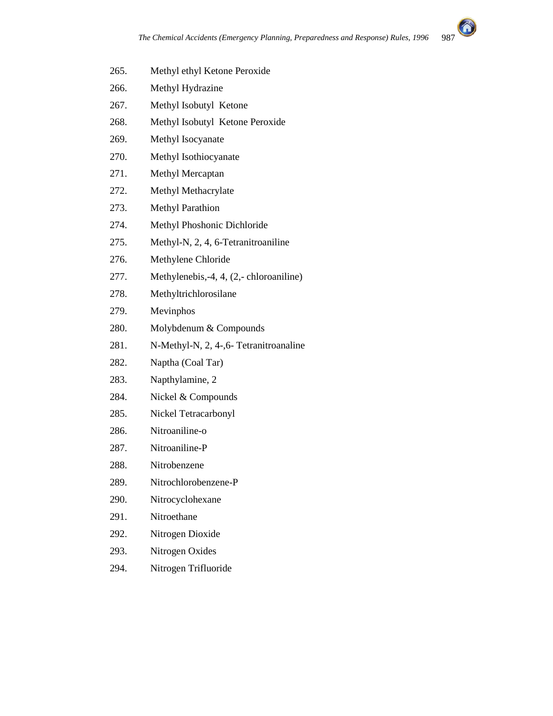

- 265. Methyl ethyl Ketone Peroxide
- 266. Methyl Hydrazine
- 267. Methyl Isobutyl Ketone
- 268. Methyl Isobutyl Ketone Peroxide
- 269. Methyl Isocyanate
- 270. Methyl Isothiocyanate
- 271. Methyl Mercaptan
- 272. Methyl Methacrylate
- 273. Methyl Parathion
- 274. Methyl Phoshonic Dichloride
- 275. Methyl-N, 2, 4, 6-Tetranitroaniline
- 276. Methylene Chloride
- 277. Methylenebis,-4, 4, (2,- chloroaniline)
- 278. Methyltrichlorosilane
- 279. Mevinphos
- 280. Molybdenum & Compounds
- 281. N-Methyl-N, 2, 4-,6- Tetranitroanaline
- 282. Naptha (Coal Tar)
- 283. Napthylamine, 2
- 284. Nickel & Compounds
- 285. Nickel Tetracarbonyl
- 286. Nitroaniline-o
- 287. Nitroaniline-P
- 288. Nitrobenzene
- 289. Nitrochlorobenzene-P
- 290. Nitrocyclohexane
- 291. Nitroethane
- 292. Nitrogen Dioxide
- 293. Nitrogen Oxides
- 294. Nitrogen Trifluoride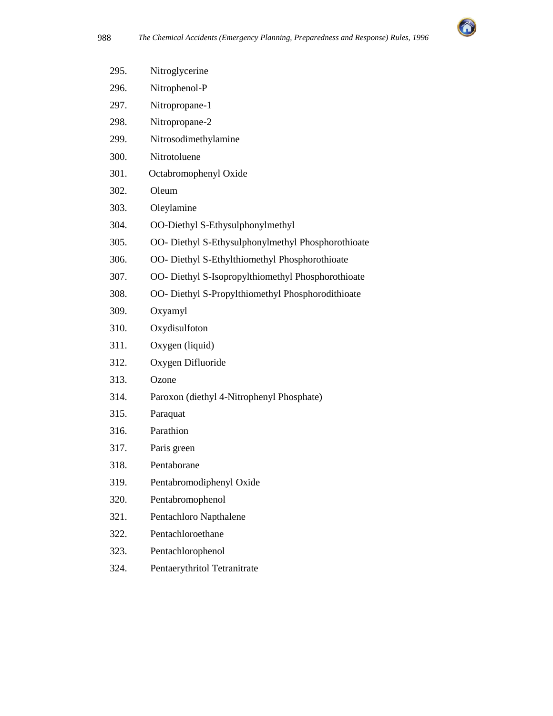

| 295. | Nitroglycerine                                     |
|------|----------------------------------------------------|
| 296. | Nitrophenol-P                                      |
| 297. | Nitropropane-1                                     |
| 298. | Nitropropane-2                                     |
| 299. | Nitrosodimethylamine                               |
| 300. | Nitrotoluene                                       |
| 301. | Octabromophenyl Oxide                              |
| 302. | Oleum                                              |
| 303. | Oleylamine                                         |
| 304. | OO-Diethyl S-Ethysulphonylmethyl                   |
| 305. | OO- Diethyl S-Ethysulphonylmethyl Phosphorothioate |
| 306. | OO- Diethyl S-Ethylthiomethyl Phosphorothioate     |
| 307. | OO- Diethyl S-Isopropylthiomethyl Phosphorothioate |
| 308. | OO- Diethyl S-Propylthiomethyl Phosphorodithioate  |
| 309. | Oxyamyl                                            |
| 310. | Oxydisulfoton                                      |
| 311. | Oxygen (liquid)                                    |
| 312. | Oxygen Difluoride                                  |
| 313. | Ozone                                              |
| 314. | Paroxon (diethyl 4-Nitrophenyl Phosphate)          |
| 315. | Paraquat                                           |
| 316. | Parathion                                          |
| 317. | Paris green                                        |
| 318. | Pentaborane                                        |
| 319. | Pentabromodiphenyl Oxide                           |
| 320. | Pentabromophenol                                   |
| 321. | Pentachloro Napthalene                             |
| 322. | Pentachloroethane                                  |
| 323. | Pentachlorophenol                                  |

324. Pentaerythritol Tetranitrate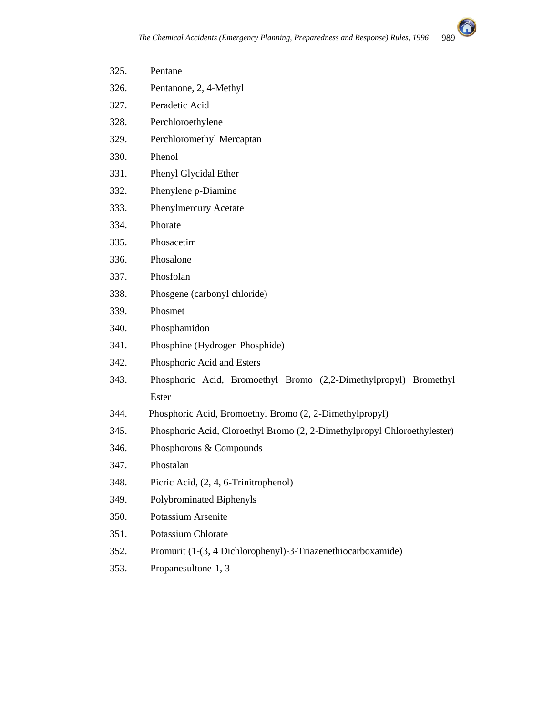

| 325. | Pentane                                                                  |
|------|--------------------------------------------------------------------------|
| 326. | Pentanone, 2, 4-Methyl                                                   |
| 327. | Peradetic Acid                                                           |
| 328. | Perchloroethylene                                                        |
| 329. | Perchloromethyl Mercaptan                                                |
| 330. | Phenol                                                                   |
| 331. | Phenyl Glycidal Ether                                                    |
| 332. | Phenylene p-Diamine                                                      |
| 333. | Phenylmercury Acetate                                                    |
| 334. | Phorate                                                                  |
| 335. | Phosacetim                                                               |
| 336. | Phosalone                                                                |
| 337. | Phosfolan                                                                |
| 338. | Phosgene (carbonyl chloride)                                             |
| 339. | Phosmet                                                                  |
| 340. | Phosphamidon                                                             |
| 341. | Phosphine (Hydrogen Phosphide)                                           |
| 342. | Phosphoric Acid and Esters                                               |
| 343. | Phosphoric Acid, Bromoethyl Bromo (2,2-Dimethylpropyl) Bromethyl         |
|      | Ester                                                                    |
| 344. | Phosphoric Acid, Bromoethyl Bromo (2, 2-Dimethylpropyl)                  |
| 345. | Phosphoric Acid, Cloroethyl Bromo (2, 2-Dimethylpropyl Chloroethylester) |
| 346. | Phosphorous & Compounds                                                  |
| 347. | Phostalan                                                                |
| 348. | Picric Acid, (2, 4, 6-Trinitrophenol)                                    |
| 349. | Polybrominated Biphenyls                                                 |
| 350. | Potassium Arsenite                                                       |
| 351. | Potassium Chlorate                                                       |
| 352. | Promurit (1-(3, 4 Dichlorophenyl)-3-Triazenethiocarboxamide)             |
| 353. | Propanesultone-1, 3                                                      |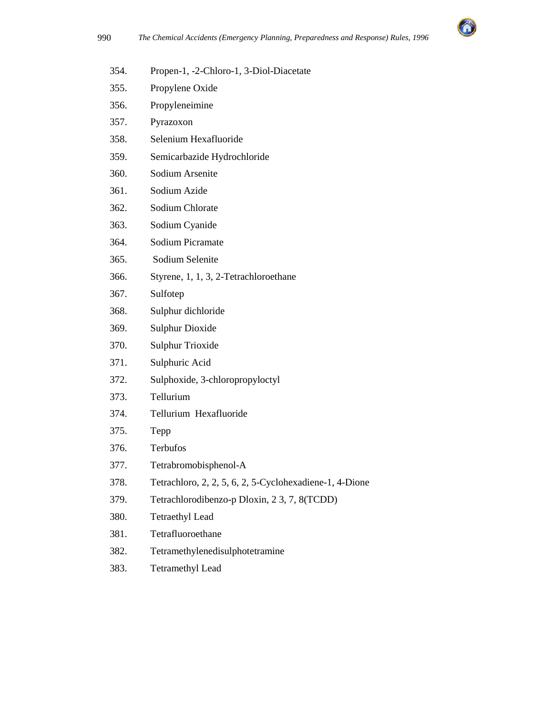

- 354. Propen-1, -2-Chloro-1, 3-Diol-Diacetate
- 355. Propylene Oxide
- 356. Propyleneimine
- 357. Pyrazoxon
- 358. Selenium Hexafluoride
- 359. Semicarbazide Hydrochloride
- 360. Sodium Arsenite
- 361. Sodium Azide
- 362. Sodium Chlorate
- 363. Sodium Cyanide
- 364. Sodium Picramate
- 365. Sodium Selenite
- 366. Styrene, 1, 1, 3, 2-Tetrachloroethane
- 367. Sulfotep
- 368. Sulphur dichloride
- 369. Sulphur Dioxide
- 370. Sulphur Trioxide
- 371. Sulphuric Acid
- 372. Sulphoxide, 3-chloropropyloctyl
- 373. Tellurium
- 374. Tellurium Hexafluoride
- 375. Tepp
- 376. Terbufos
- 377. Tetrabromobisphenol-A
- 378. Tetrachloro, 2, 2, 5, 6, 2, 5-Cyclohexadiene-1, 4-Dione
- 379. Tetrachlorodibenzo-p Dloxin, 2 3, 7, 8(TCDD)
- 380. Tetraethyl Lead
- 381. Tetrafluoroethane
- 382. Tetramethylenedisulphotetramine
- 383. Tetramethyl Lead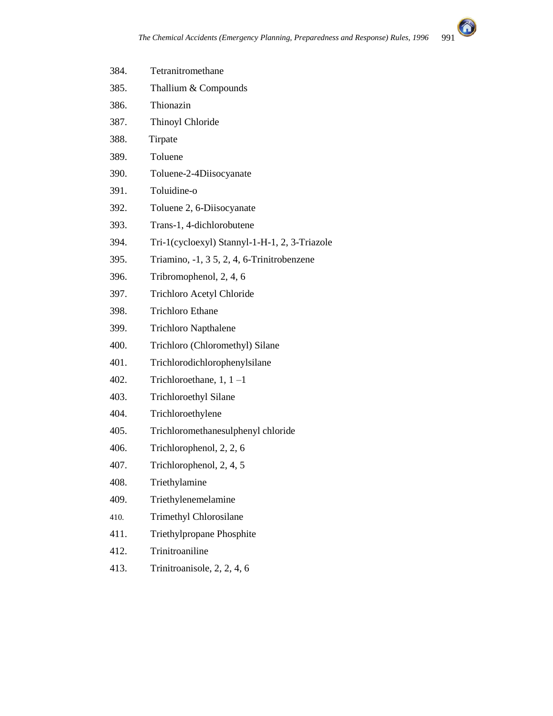

| 384. | Tetranitromethane                             |
|------|-----------------------------------------------|
| 385. | Thallium & Compounds                          |
| 386. | Thionazin                                     |
| 387. | Thinoyl Chloride                              |
| 388. | Tirpate                                       |
| 389. | Toluene                                       |
| 390. | Toluene-2-4Diisocyanate                       |
| 391. | Toluidine-o                                   |
| 392. | Toluene 2, 6-Diisocyanate                     |
| 393. | Trans-1, 4-dichlorobutene                     |
| 394. | Tri-1(cycloexyl) Stannyl-1-H-1, 2, 3-Triazole |
| 395. | Triamino, -1, 3 5, 2, 4, 6-Trinitrobenzene    |
| 396. | Tribromophenol, 2, 4, 6                       |
| 397. | Trichloro Acetyl Chloride                     |
| 398. | <b>Trichloro Ethane</b>                       |
| 399. | <b>Trichloro Napthalene</b>                   |
| 400. | Trichloro (Chloromethyl) Silane               |
| 401. | Trichlorodichlorophenylsilane                 |
| 402. | Trichloroethane, $1, 1$ -1                    |
| 403. | <b>Trichloroethyl Silane</b>                  |
| 404. | Trichloroethylene                             |
| 405. | Trichloromethanesulphenyl chloride            |
| 406. | Trichlorophenol, 2, 2, 6                      |
| 407. | Trichlorophenol, 2, 4, 5                      |
| 408. | Triethylamine                                 |
| 409. | Triethylenemelamine                           |
| 410. | Trimethyl Chlorosilane                        |
| 411. | Triethylpropane Phosphite                     |
| 412. | Trinitroaniline                               |
| 413. | Trinitroanisole, 2, 2, 4, 6                   |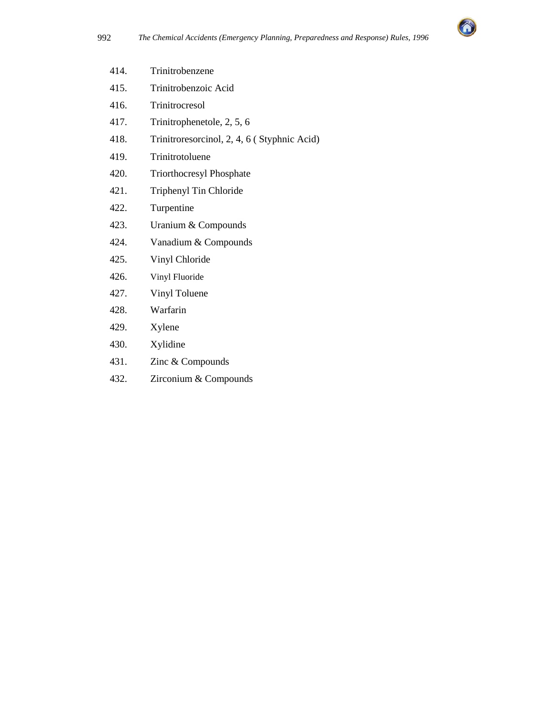

| 414. | Trinitrobenzene                             |
|------|---------------------------------------------|
| 415. | Trinitrobenzoic Acid                        |
| 416. | Trinitrocresol                              |
| 417. | Trinitrophenetole, 2, 5, 6                  |
| 418. | Trinitroresorcinol, 2, 4, 6 (Styphnic Acid) |
| 419. | Trinitrotoluene                             |
| 420. | <b>Triorthocresyl Phosphate</b>             |
| 421. | Triphenyl Tin Chloride                      |
| 422. | Turpentine                                  |
| 423. | Uranium & Compounds                         |
| 424. | Vanadium & Compounds                        |
| 425. | Vinyl Chloride                              |
| 426. | Vinyl Fluoride                              |
| 427. | Vinyl Toluene                               |
| 428. | Warfarin                                    |
| 429. | Xylene                                      |
| 430. | Xylidine                                    |
| 431. | Zinc & Compounds                            |

432. Zirconium & Compounds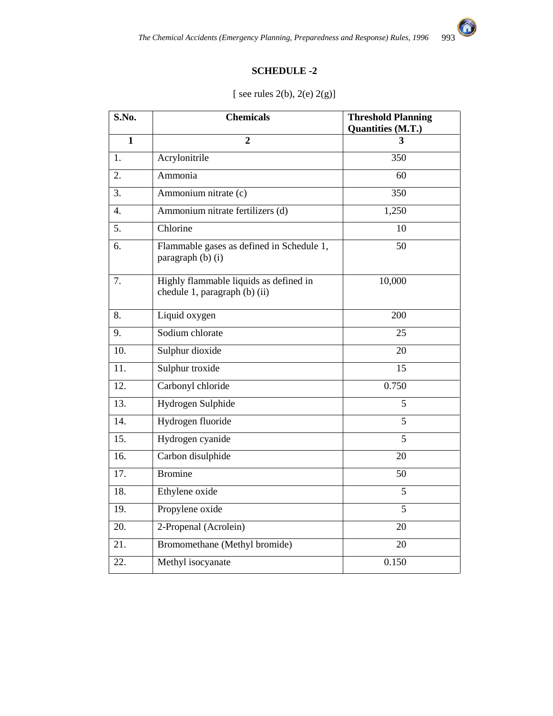# **SCHEDULE -2**

| S.No.            | <b>Chemicals</b>                                                        | <b>Threshold Planning</b><br>Quantities (M.T.) |  |
|------------------|-------------------------------------------------------------------------|------------------------------------------------|--|
| 1                | $\mathbf{2}$                                                            | 3                                              |  |
| 1.               | Acrylonitrile                                                           | 350                                            |  |
| 2.               | Ammonia                                                                 | 60                                             |  |
| 3.               | Ammonium nitrate (c)                                                    | 350                                            |  |
| $\overline{4}$ . | Ammonium nitrate fertilizers (d)                                        | 1,250                                          |  |
| 5.               | Chlorine                                                                | 10                                             |  |
| 6.               | 50<br>Flammable gases as defined in Schedule 1,<br>paragraph (b) (i)    |                                                |  |
| 7.               | Highly flammable liquids as defined in<br>chedule 1, paragraph (b) (ii) | 10,000                                         |  |
| 8.               | Liquid oxygen                                                           | 200                                            |  |
| 9.               | Sodium chlorate                                                         | 25                                             |  |
| 10.              | Sulphur dioxide                                                         | 20                                             |  |
| 11.              | Sulphur troxide                                                         | 15                                             |  |
| 12.              | Carbonyl chloride                                                       | 0.750                                          |  |
| 13.              | Hydrogen Sulphide                                                       | 5                                              |  |
| 14.              | Hydrogen fluoride                                                       | 5                                              |  |
| 15.              | Hydrogen cyanide                                                        | 5                                              |  |
| 16.              | Carbon disulphide                                                       | 20                                             |  |
| 17.              | <b>Bromine</b>                                                          | 50                                             |  |
| 18.              | Ethylene oxide                                                          | 5                                              |  |
| 19.              | Propylene oxide                                                         | 5                                              |  |
| 20.              | 2-Propenal (Acrolein)                                                   | 20                                             |  |
| 21.              | Bromomethane (Methyl bromide)                                           | 20                                             |  |
| 22.              | Methyl isocyanate                                                       | 0.150                                          |  |

# [ see rules 2(b), 2(e) 2(g)]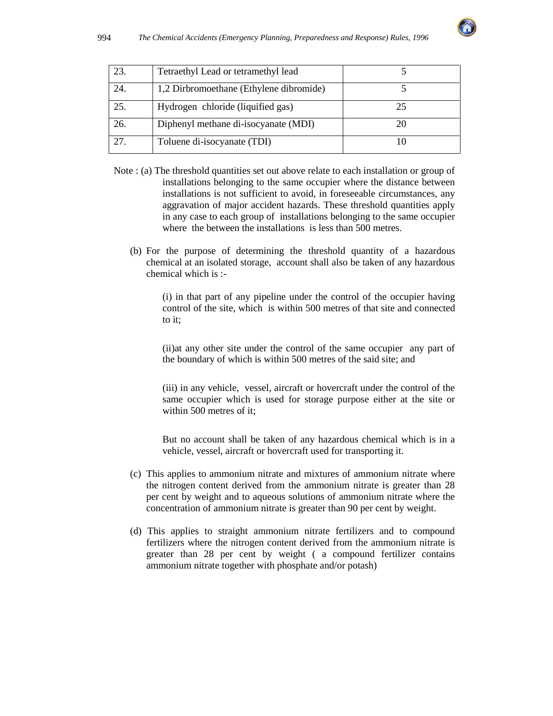

| 23. | Tetraethyl Lead or tetramethyl lead     |    |
|-----|-----------------------------------------|----|
| 24. | 1,2 Dirbromoethane (Ethylene dibromide) |    |
| 25. | Hydrogen chloride (liquified gas)       | 25 |
| 26. | Diphenyl methane di-isocyanate (MDI)    |    |
| 27. | Toluene di-isocyanate (TDI)             |    |

- Note : (a) The threshold quantities set out above relate to each installation or group of installations belonging to the same occupier where the distance between installations is not sufficient to avoid, in foreseeable circumstances, any aggravation of major accident hazards. These threshold quantities apply in any case to each group of installations belonging to the same occupier where the between the installations is less than 500 metres.
	- (b) For the purpose of determining the threshold quantity of a hazardous chemical at an isolated storage, account shall also be taken of any hazardous chemical which is :-

(i) in that part of any pipeline under the control of the occupier having control of the site, which is within 500 metres of that site and connected to it;

(ii)at any other site under the control of the same occupier any part of the boundary of which is within 500 metres of the said site; and

(iii) in any vehicle, vessel, aircraft or hovercraft under the control of the same occupier which is used for storage purpose either at the site or within 500 metres of it;

But no account shall be taken of any hazardous chemical which is in a vehicle, vessel, aircraft or hovercraft used for transporting it.

- (c) This applies to ammonium nitrate and mixtures of ammonium nitrate where the nitrogen content derived from the ammonium nitrate is greater than 28 per cent by weight and to aqueous solutions of ammonium nitrate where the concentration of ammonium nitrate is greater than 90 per cent by weight.
- (d) This applies to straight ammonium nitrate fertilizers and to compound fertilizers where the nitrogen content derived from the ammonium nitrate is greater than 28 per cent by weight ( a compound fertilizer contains ammonium nitrate together with phosphate and/or potash)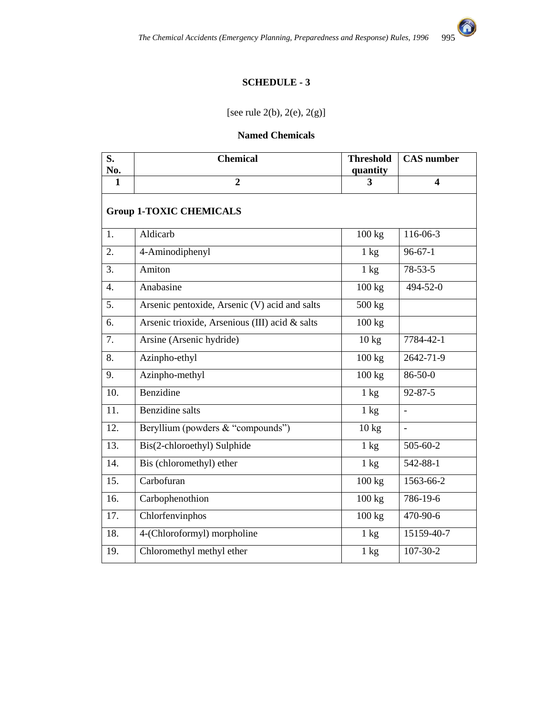

# **SCHEDULE - 3**

[see rule 2(b), 2(e), 2(g)]

#### **Named Chemicals**

| S.<br>No.        | <b>Chemical</b>                                | <b>Threshold</b><br>quantity | <b>CAS</b> number       |  |  |
|------------------|------------------------------------------------|------------------------------|-------------------------|--|--|
| 1                | $\overline{2}$                                 | 3                            | $\overline{\mathbf{4}}$ |  |  |
|                  | <b>Group 1-TOXIC CHEMICALS</b>                 |                              |                         |  |  |
| 1.               | Aldicarb                                       | 100 kg                       | 116-06-3                |  |  |
| 2.               | 4-Aminodiphenyl                                | $\overline{1}$ kg            | $96 - 67 - 1$           |  |  |
| 3.               | Amiton                                         | $1 \text{ kg}$               | $78 - 53 - 5$           |  |  |
| $\overline{4}$ . | Anabasine                                      | 100 kg                       | 494-52-0                |  |  |
| 5.               | Arsenic pentoxide, Arsenic (V) acid and salts  | 500 kg                       |                         |  |  |
| 6.               | Arsenic trioxide, Arsenious (III) acid & salts | 100 kg                       |                         |  |  |
| 7.               | Arsine (Arsenic hydride)                       | $10 \text{ kg}$              | 7784-42-1               |  |  |
| 8.               | Azinpho-ethyl                                  | 100 kg                       | 2642-71-9               |  |  |
| 9.               | Azinpho-methyl                                 | 100 kg                       | $86 - 50 - 0$           |  |  |
| 10.              | Benzidine                                      | $1 \text{ kg}$               | $92 - 87 - 5$           |  |  |
| 11.              | <b>Benzidine</b> salts                         | $1 \text{ kg}$               | $\overline{a}$          |  |  |
| 12.              | Beryllium (powders & "compounds")              | $10 \text{ kg}$              | $\frac{1}{2}$           |  |  |
| 13.              | Bis(2-chloroethyl) Sulphide                    | $1 \text{ kg}$               | 505-60-2                |  |  |
| 14.              | Bis (chloromethyl) ether                       | $1 \text{ kg}$               | 542-88-1                |  |  |
| 15.              | Carbofuran                                     | 100 kg                       | 1563-66-2               |  |  |
| 16.              | Carbophenothion                                | 100 kg                       | 786-19-6                |  |  |
| 17.              | Chlorfenvinphos                                | 100 kg                       | 470-90-6                |  |  |
| 18.              | 4-(Chloroformyl) morpholine                    | $1 \text{ kg}$               | 15159-40-7              |  |  |
| 19.              | Chloromethyl methyl ether                      | $1 \text{ kg}$               | $107 - 30 - 2$          |  |  |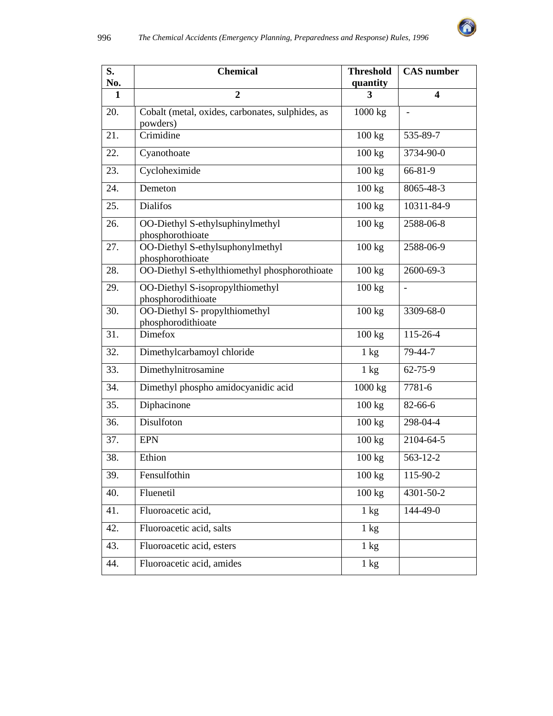

| S.<br>No.    | <b>Chemical</b>                                              | <b>Threshold</b><br>quantity | $\overline{\text{CAS}}$ number |
|--------------|--------------------------------------------------------------|------------------------------|--------------------------------|
| $\mathbf{1}$ | $\overline{2}$                                               | 3                            | $\overline{\mathbf{4}}$        |
| 20.          | Cobalt (metal, oxides, carbonates, sulphides, as<br>powders) | 1000 kg                      | $\blacksquare$                 |
| 21.          | Crimidine                                                    | 100 kg                       | 535-89-7                       |
| 22.          | Cyanothoate                                                  | 100 kg                       | 3734-90-0                      |
| 23.          | Cycloheximide                                                | 100 kg                       | 66-81-9                        |
| 24.          | Demeton                                                      | 100 kg                       | 8065-48-3                      |
| 25.          | <b>Dialifos</b>                                              | 100 kg                       | 10311-84-9                     |
| 26.          | OO-Diethyl S-ethylsuphinylmethyl<br>phosphorothioate         | 100 kg                       | 2588-06-8                      |
| 27.          | OO-Diethyl S-ethylsuphonylmethyl<br>phosphorothioate         | 100 kg                       | 2588-06-9                      |
| 28.          | OO-Diethyl S-ethylthiomethyl phosphorothioate                | 100 kg                       | 2600-69-3                      |
| 29.          | OO-Diethyl S-isopropylthiomethyl<br>phosphorodithioate       | 100 kg                       | $\frac{1}{2}$                  |
| 30.          | OO-Diethyl S- propylthiomethyl<br>phosphorodithioate         | 100 kg                       | 3309-68-0                      |
| 31.          | Dimefox                                                      | 100 kg                       | 115-26-4                       |
| 32.          | Dimethylcarbamoyl chloride                                   | $1 \text{ kg}$               | 79-44-7                        |
| 33.          | Dimethylnitrosamine                                          | $1 \text{ kg}$               | $62 - 75 - 9$                  |
| 34.          | Dimethyl phospho amidocyanidic acid                          | 1000 kg                      | $7781 - 6$                     |
| 35.          | Diphacinone                                                  | 100 kg                       | 82-66-6                        |
| 36.          | Disulfoton                                                   | 100 kg                       | 298-04-4                       |
| 37.          | <b>EPN</b>                                                   | 100 kg                       | 2104-64-5                      |
| 38.          | Ethion                                                       | 100 kg                       | 563-12-2                       |
| 39.          | Fensulfothin                                                 | 100 kg                       | 115-90-2                       |
| 40.          | Fluenetil                                                    | 100 kg                       | 4301-50-2                      |
| 41.          | Fluoroacetic acid,                                           | $1 \text{ kg}$               | 144-49-0                       |
| 42.          | Fluoroacetic acid, salts                                     | $1 \text{ kg}$               |                                |
| 43.          | Fluoroacetic acid, esters                                    | $1 \text{ kg}$               |                                |
| 44.          | Fluoroacetic acid, amides                                    | $1 \text{ kg}$               |                                |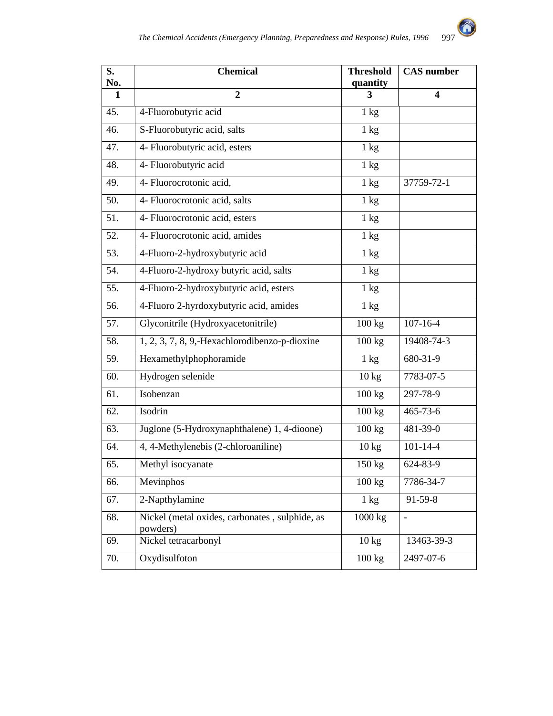

| S.<br>No. | <b>Chemical</b>                                            | <b>Threshold</b><br>quantity | <b>CAS</b> number |
|-----------|------------------------------------------------------------|------------------------------|-------------------|
| 1         | $\overline{2}$                                             | 3                            | 4                 |
| 45.       | 4-Fluorobutyric acid                                       | 1 kg                         |                   |
| 46.       | S-Fluorobutyric acid, salts                                | $1 \text{ kg}$               |                   |
| 47.       | 4- Fluorobutyric acid, esters                              | $1 \text{ kg}$               |                   |
| 48.       | 4- Fluorobutyric acid                                      | $1 \text{ kg}$               |                   |
| 49.       | 4- Fluorocrotonic acid,                                    | $1 \text{ kg}$               | 37759-72-1        |
| 50.       | 4- Fluorocrotonic acid, salts                              | $1 \text{ kg}$               |                   |
| 51.       | 4- Fluorocrotonic acid, esters                             | $1 \text{ kg}$               |                   |
| 52.       | 4- Fluorocrotonic acid, amides                             | $1 \text{ kg}$               |                   |
| 53.       | 4-Fluoro-2-hydroxybutyric acid                             | 1 kg                         |                   |
| 54.       | 4-Fluoro-2-hydroxy butyric acid, salts                     | $1 \text{ kg}$               |                   |
| 55.       | 4-Fluoro-2-hydroxybutyric acid, esters                     | $1 \text{ kg}$               |                   |
| 56.       | 4-Fluoro 2-hyrdoxybutyric acid, amides                     | $1 \text{ kg}$               |                   |
| 57.       | Glyconitrile (Hydroxyacetonitrile)                         | 100 kg                       | $107 - 16 - 4$    |
| 58.       | 1, 2, 3, 7, 8, 9,-Hexachlorodibenzo-p-dioxine              | 100 kg                       | 19408-74-3        |
| 59.       | Hexamethylphophoramide                                     | $1 \text{ kg}$               | 680-31-9          |
| 60.       | Hydrogen selenide                                          | 10 kg                        | 7783-07-5         |
| 61.       | Isobenzan                                                  | 100 kg                       | 297-78-9          |
| 62.       | Isodrin                                                    | 100 kg                       | $465 - 73 - 6$    |
| 63.       | Juglone (5-Hydroxynaphthalene) 1, 4-dioone)                | 100 kg                       | 481-39-0          |
| 64.       | 4, 4-Methylenebis (2-chloroaniline)                        | $10 \text{ kg}$              | $101 - 14 - 4$    |
| 65.       | Methyl isocyanate                                          | 150 kg                       | 624-83-9          |
| 66.       | Mevinphos                                                  | 100 kg                       | 7786-34-7         |
| 67.       | 2-Napthylamine                                             | $1 \text{ kg}$               | 91-59-8           |
| 68.       | Nickel (metal oxides, carbonates, sulphide, as<br>powders) | 1000 kg                      | $\qquad \qquad -$ |
| 69.       | Nickel tetracarbonyl                                       | 10 kg                        | 13463-39-3        |
| 70.       | Oxydisulfoton                                              | 100 kg                       | 2497-07-6         |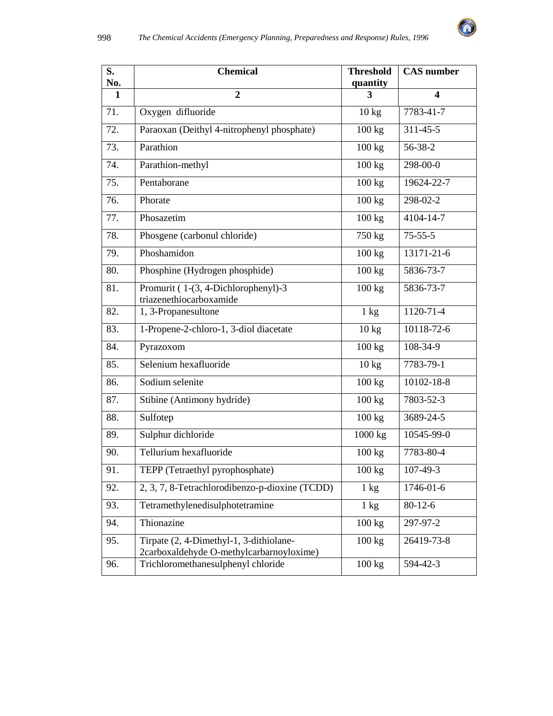

| S.<br>No. | <b>Chemical</b>                                                                     | <b>Threshold</b><br>quantity | <b>CAS</b> number       |
|-----------|-------------------------------------------------------------------------------------|------------------------------|-------------------------|
| 1         | $\overline{2}$                                                                      | 3                            | $\overline{\mathbf{4}}$ |
| 71.       | Oxygen difluoride                                                                   | $10 \text{ kg}$              | 7783-41-7               |
| 72.       | Paraoxan (Deithyl 4-nitrophenyl phosphate)                                          | 100 kg                       | $311 - 45 - 5$          |
| 73.       | Parathion                                                                           | 100 kg                       | 56-38-2                 |
| 74.       | Parathion-methyl                                                                    | 100 kg                       | 298-00-0                |
| 75.       | Pentaborane                                                                         | 100 kg                       | 19624-22-7              |
| 76.       | Phorate                                                                             | 100 kg                       | 298-02-2                |
| 77.       | Phosazetim                                                                          | 100 kg                       | 4104-14-7               |
| 78.       | Phosgene (carbonul chloride)                                                        | 750 kg                       | $75 - 55 - 5$           |
| 79.       | Phoshamidon                                                                         | 100 kg                       | 13171-21-6              |
| 80.       | Phosphine (Hydrogen phosphide)                                                      | 100 kg                       | 5836-73-7               |
| 81.       | Promurit (1-(3, 4-Dichlorophenyl)-3<br>triazenethiocarboxamide                      | 100 kg                       | 5836-73-7               |
| 82.       | 1, 3-Propanesultone                                                                 | $1 \text{ kg}$               | 1120-71-4               |
| 83.       | 1-Propene-2-chloro-1, 3-diol diacetate                                              | $10 \text{ kg}$              | 10118-72-6              |
| 84.       | Pyrazoxom                                                                           | 100 kg                       | 108-34-9                |
| 85.       | Selenium hexafluoride                                                               | $10 \text{ kg}$              | 7783-79-1               |
| 86.       | Sodium selenite                                                                     | 100 kg                       | 10102-18-8              |
| 87.       | Stibine (Antimony hydride)                                                          | 100 kg                       | 7803-52-3               |
| 88.       | Sulfotep                                                                            | $100 \text{ kg}$             | 3689-24-5               |
| 89.       | Sulphur dichloride                                                                  | 1000 kg                      | 10545-99-0              |
| 90.       | Tellurium hexafluoride                                                              | 100 kg                       | 7783-80-4               |
| 91.       | TEPP (Tetraethyl pyrophosphate)                                                     | $100 \text{ kg}$             | 107-49-3                |
| 92.       | 2, 3, 7, 8-Tetrachlorodibenzo-p-dioxine (TCDD)                                      | $1 \text{ kg}$               | $1746 - 01 - 6$         |
| 93.       | Tetramethylenedisulphotetramine                                                     | $1 \text{ kg}$               | $80 - 12 - 6$           |
| 94.       | Thionazine                                                                          | $100 \text{ kg}$             | 297-97-2                |
| 95.       | Tirpate (2, 4-Dimethyl-1, 3-dithiolane-<br>2carboxaldehyde O-methylcarbarnoyloxime) | 100 kg                       | 26419-73-8              |
| 96.       | Trichloromethanesulphenyl chloride                                                  | 100 kg                       | 594-42-3                |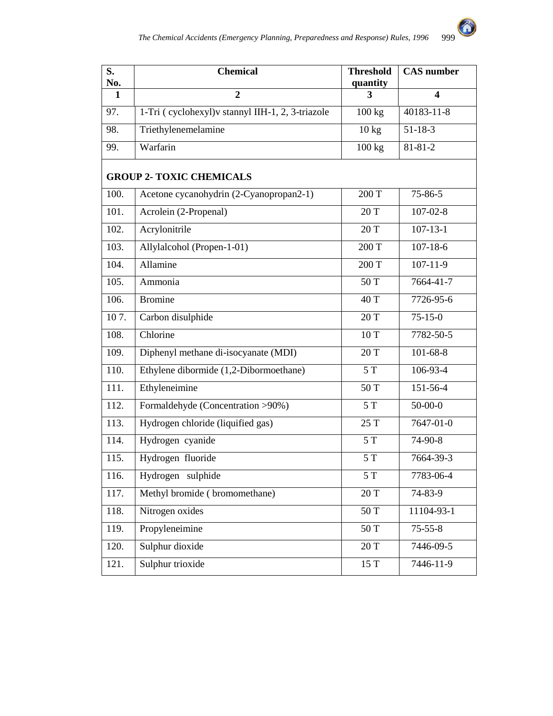

| S.<br>No.          | <b>Chemical</b>                                   | <b>Threshold</b><br>quantity | <b>CAS</b> number       |  |  |
|--------------------|---------------------------------------------------|------------------------------|-------------------------|--|--|
| 1                  | $\overline{2}$                                    | 3                            | $\overline{\mathbf{4}}$ |  |  |
| 97.                | 1-Tri (cyclohexyl) v stannyl IIH-1, 2, 3-triazole | 100 kg                       | 40183-11-8              |  |  |
| 98.                | Triethylenemelamine                               | 10 kg                        | $51 - 18 - 3$           |  |  |
| 99.                | Warfarin                                          | 100 kg                       | $81 - 81 - 2$           |  |  |
|                    | <b>GROUP 2- TOXIC CHEMICALS</b>                   |                              |                         |  |  |
| 100.               | Acetone cycanohydrin (2-Cyanopropan2-1)           | 200 T                        | $75 - 86 - 5$           |  |  |
| 101.               | Acrolein (2-Propenal)                             | 20 T                         | $107 - 02 - 8$          |  |  |
| 102.               | Acrylonitrile                                     | 20 T                         | $107 - 13 - 1$          |  |  |
| 103.               | Allylalcohol (Propen-1-01)                        | 200 T                        | $107 - 18 - 6$          |  |  |
| 104.               | Allamine                                          | 200 T                        | $107 - 11 - 9$          |  |  |
| 105.               | Ammonia                                           | 50 T                         | 7664-41-7               |  |  |
| 106.               | <b>Bromine</b>                                    | 40 T                         | 7726-95-6               |  |  |
| 107.               | Carbon disulphide                                 | 20 T                         | $75 - 15 - 0$           |  |  |
| 108.               | Chlorine                                          | 10T                          | 7782-50-5               |  |  |
| 109.               | Diphenyl methane di-isocyanate (MDI)              | 20 T                         | $101 - 68 - 8$          |  |  |
| 110.               | Ethylene dibormide (1,2-Dibormoethane)            | 5T                           | 106-93-4                |  |  |
| 111.               | Ethyleneimine                                     | 50 T                         | 151-56-4                |  |  |
| 112.               | Formaldehyde (Concentration >90%)                 | 5T                           | $50 - 00 - 0$           |  |  |
| $\overline{113}$ . | Hydrogen chloride (liquified gas)                 | 25 T                         | $7647 - 01 - 0$         |  |  |
| 114.               | Hydrogen cyanide                                  | 5T                           | 74-90-8                 |  |  |
| 115.               | Hydrogen fluoride                                 | 5T                           | 7664-39-3               |  |  |
| 116.               | Hydrogen sulphide                                 | 5T                           | 7783-06-4               |  |  |
| 117.               | Methyl bromide (bromomethane)                     | 20 T                         | 74-83-9                 |  |  |
| 118.               | Nitrogen oxides                                   | 50 T                         | 11104-93-1              |  |  |
| 119.               | Propyleneimine                                    | 50 T                         | $75 - 55 - 8$           |  |  |
| 120.               | Sulphur dioxide                                   | 20 T                         | 7446-09-5               |  |  |
| 121.               | Sulphur trioxide                                  | 15 T                         | $7446 - 11 - 9$         |  |  |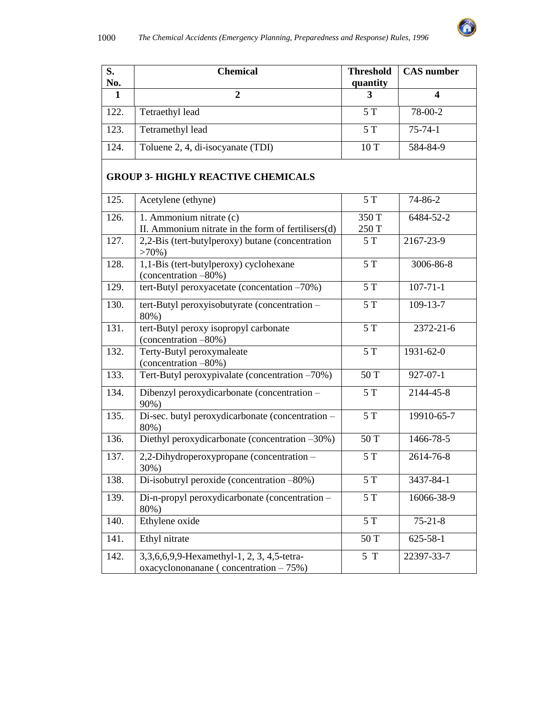

| S.<br>No.    | <b>Chemical</b>                                                                         | <b>Threshold</b><br>quantity | $\overline{\text{CAS}}$ number |  |  |
|--------------|-----------------------------------------------------------------------------------------|------------------------------|--------------------------------|--|--|
| $\mathbf{1}$ | $\overline{2}$                                                                          | 3                            | $\boldsymbol{4}$               |  |  |
| 122.         | Tetraethyl lead                                                                         | 5T                           | 78-00-2                        |  |  |
| 123.         | Tetramethyl lead                                                                        | 5T                           | $75 - 74 - 1$                  |  |  |
| 124.         | Toluene 2, 4, di-isocyanate (TDI)                                                       | 10T                          | 584-84-9                       |  |  |
|              | <b>GROUP 3- HIGHLY REACTIVE CHEMICALS</b>                                               |                              |                                |  |  |
| 125.         | Acetylene (ethyne)                                                                      | 5T                           | 74-86-2                        |  |  |
| 126.         | 1. Ammonium nitrate (c)<br>II. Ammonium nitrate in the form of fertilisers(d)           | 350 T<br>250 T               | 6484-52-2                      |  |  |
| 127.         | 2,2-Bis (tert-butylperoxy) butane (concentration<br>$>70\%$ )                           | 5T                           | 2167-23-9                      |  |  |
| 128.         | 1,1-Bis (tert-butylperoxy) cyclohexane<br>(concentration -80%)                          | 5T                           | 3006-86-8                      |  |  |
| 129.         | tert-Butyl peroxyacetate (concentation -70%)                                            | 5T                           | $107 - 71 - 1$                 |  |  |
| 130.         | tert-Butyl peroxyisobutyrate (concentration -<br>80%)                                   | 5T                           | 109-13-7                       |  |  |
| 131.         | tert-Butyl peroxy isopropyl carbonate<br>(concentration -80%)                           | 5T                           | $2372 - 21 - 6$                |  |  |
| 132.         | Terty-Butyl peroxymaleate<br>(concentration -80%)                                       | 5T                           | 1931-62-0                      |  |  |
| 133.         | Tert-Butyl peroxypivalate (concentration -70%)                                          | 50 T                         | $927 - 07 - 1$                 |  |  |
| 134.         | Dibenzyl peroxydicarbonate (concentration -<br>90%)                                     | 5T                           | 2144-45-8                      |  |  |
| 135.         | Di-sec. butyl peroxydicarbonate (concentration -<br>80%)                                | 5T                           | 19910-65-7                     |  |  |
| 136.         | Diethyl peroxydicarbonate (concentration -30%)                                          | 50 T                         | 1466-78-5                      |  |  |
| 137.         | 2,2-Dihydroperoxypropane (concentration -<br>30%)                                       | $5T$                         | 2614-76-8                      |  |  |
| 138.         | Di-isobutryl peroxide (concentration -80%)                                              | 5T                           | 3437-84-1                      |  |  |
| 139.         | Di-n-propyl peroxydicarbonate (concentration -<br>80%)                                  | 5T                           | 16066-38-9                     |  |  |
| 140.         | Ethylene oxide                                                                          | 5T                           | $75 - 21 - 8$                  |  |  |
| 141.         | Ethyl nitrate                                                                           | 50 T                         | $625 - 58 - 1$                 |  |  |
| 142.         | 3,3,6,6,9,9-Hexamethyl-1, 2, 3, 4,5-tetra-<br>oxacyclononanane (concentration $-75\%$ ) | 5T                           | 22397-33-7                     |  |  |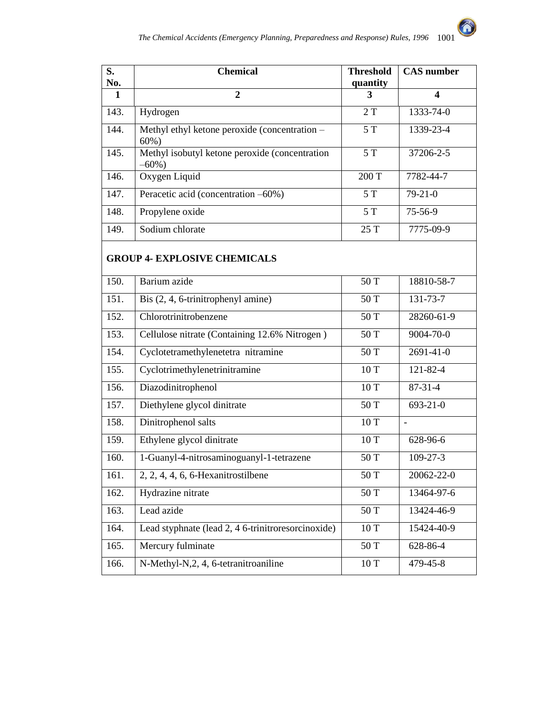0

| S.<br>No.    | <b>Chemical</b>                                             | <b>Threshold</b><br>quantity | <b>CAS</b> number |  |
|--------------|-------------------------------------------------------------|------------------------------|-------------------|--|
| $\mathbf{1}$ | $\overline{2}$                                              | 3                            | $\boldsymbol{4}$  |  |
| 143.         | Hydrogen                                                    | 2T                           | 1333-74-0         |  |
| 144.         | Methyl ethyl ketone peroxide (concentration -<br>$60%$ )    | 5T                           | 1339-23-4         |  |
| 145.         | Methyl isobutyl ketone peroxide (concentration<br>$-60\%$ ) | 5T                           | $37206 - 2 - 5$   |  |
| 146.         | Oxygen Liquid                                               | 200 T                        | 7782-44-7         |  |
| 147.         | Peracetic acid (concentration -60%)                         | 5T                           | $79 - 21 - 0$     |  |
| 148.         | Propylene oxide                                             | 5T                           | 75-56-9           |  |
| 149.         | Sodium chlorate                                             | 25 T                         | 7775-09-9         |  |
|              | <b>GROUP 4- EXPLOSIVE CHEMICALS</b>                         |                              |                   |  |
| 150.         | Barium azide                                                | 50 T                         | 18810-58-7        |  |
| 151.         | Bis (2, 4, 6-trinitrophenyl amine)                          | 50 T                         | 131-73-7          |  |
| 152.         | Chlorotrinitrobenzene                                       | 50 T                         | 28260-61-9        |  |
| 153.         | Cellulose nitrate (Containing 12.6% Nitrogen)               | 50 T                         | 9004-70-0         |  |
| 154.         | Cyclotetramethylenetetra nitramine                          | 50 T                         | $2691 - 41 - 0$   |  |
| 155.         | Cyclotrimethylenetrinitramine                               | 10T                          | 121-82-4          |  |
| 156.         | Diazodinitrophenol                                          | 10T                          | $87-31-4$         |  |
| 157.         | Diethylene glycol dinitrate                                 | 50 T                         | 693-21-0          |  |
| 158.         | Dinitrophenol salts                                         | 10T                          | $\overline{a}$    |  |
| 159.         | Ethylene glycol dinitrate                                   | 10T                          | 628-96-6          |  |
| 160.         | 1-Guanyl-4-nitrosaminoguanyl-1-tetrazene                    | 50 T                         | $109 - 27 - 3$    |  |
| 161.         | $2, 2, 4, 4, 6, 6$ -Hexanitrostilbene                       | 50 T                         | 20062-22-0        |  |
| 162.         | Hydrazine nitrate                                           | 50 T                         | 13464-97-6        |  |
| 163.         | Lead azide                                                  | 50 T                         | 13424-46-9        |  |
| 164.         | Lead styphnate (lead 2, 4 6-trinitroresorcinoxide)          | $10\ {\rm T}$                | 15424-40-9        |  |
| 165.         | Mercury fulminate                                           | 50 T                         | 628-86-4          |  |
| 166.         | N-Methyl-N,2, 4, 6-tetranitroaniline                        | $10\ {\rm T}$                | 479-45-8          |  |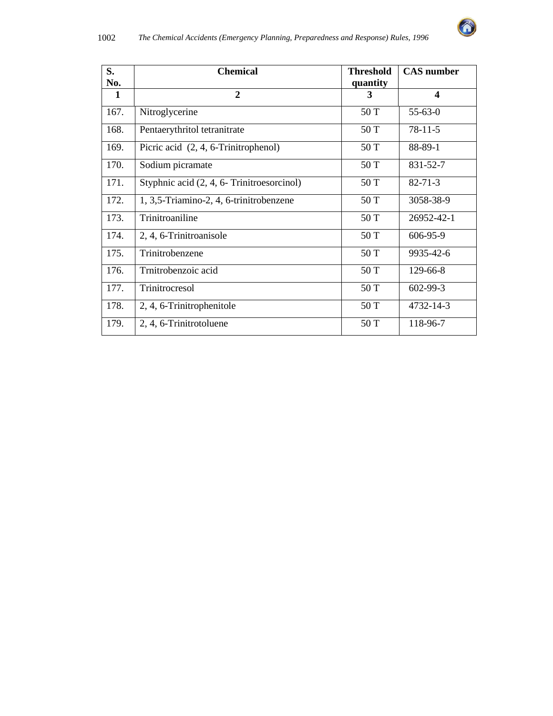

| S.   | <b>Chemical</b>                            | <b>Threshold</b> | <b>CAS</b> number       |
|------|--------------------------------------------|------------------|-------------------------|
| No.  |                                            | quantity         |                         |
| 1    | $\overline{2}$                             | 3                | $\overline{\mathbf{4}}$ |
| 167. | Nitroglycerine                             | 50 T             | $55 - 63 - 0$           |
| 168. | Pentaerythritol tetranitrate               | 50 T             | $78-11-5$               |
| 169. | Picric acid (2, 4, 6-Trinitrophenol)       | 50 T             | 88-89-1                 |
| 170. | Sodium picramate                           | 50 T             | 831-52-7                |
| 171. | Styphnic acid (2, 4, 6- Trinitroesorcinol) | 50 T             | $82 - 71 - 3$           |
| 172. | 1, 3,5-Triamino-2, 4, 6-trinitrobenzene    | 50 T             | 3058-38-9               |
| 173. | Trinitroaniline                            | 50 T             | 26952-42-1              |
| 174. | 2, 4, 6-Trinitroanisole                    | 50 T             | 606-95-9                |
| 175. | Trinitrobenzene                            | 50 T             | 9935-42-6               |
| 176. | Trnitrobenzoic acid                        | 50 T             | 129-66-8                |
| 177. | Trinitrocresol                             | 50 T             | 602-99-3                |
| 178. | 2, 4, 6-Trinitrophenitole                  | 50 T             | 4732-14-3               |
| 179. | 2, 4, 6-Trinitrotoluene                    | 50 T             | 118-96-7                |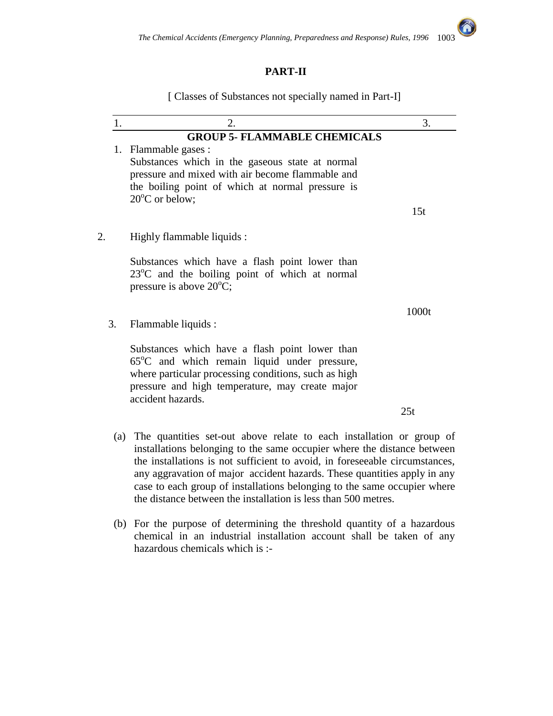### **PART-II**

[ Classes of Substances not specially named in Part-I]

|    | 1.  | 2.                                                                           | 3.    |  |
|----|-----|------------------------------------------------------------------------------|-------|--|
|    |     | <b>GROUP 5- FLAMMABLE CHEMICALS</b>                                          |       |  |
|    | 1.  | Flammable gases :                                                            |       |  |
|    |     | Substances which in the gaseous state at normal                              |       |  |
|    |     | pressure and mixed with air become flammable and                             |       |  |
|    |     | the boiling point of which at normal pressure is<br>$20^{\circ}$ C or below; |       |  |
|    |     |                                                                              | 15t   |  |
|    |     |                                                                              |       |  |
| 2. |     | Highly flammable liquids :                                                   |       |  |
|    |     |                                                                              |       |  |
|    |     | Substances which have a flash point lower than                               |       |  |
|    |     | 23°C and the boiling point of which at normal                                |       |  |
|    |     | pressure is above $20^{\circ}$ C;                                            |       |  |
|    |     |                                                                              | 1000t |  |
|    | 3.  | Flammable liquids :                                                          |       |  |
|    |     |                                                                              |       |  |
|    |     | Substances which have a flash point lower than                               |       |  |
|    |     | $65^{\circ}$ C and which remain liquid under pressure,                       |       |  |
|    |     | where particular processing conditions, such as high                         |       |  |
|    |     | pressure and high temperature, may create major                              |       |  |
|    |     | accident hazards.                                                            |       |  |
|    |     |                                                                              | 25t   |  |
|    | (a) | The quantities set-out above relate to each installation or group of         |       |  |

- installations belonging to the same occupier where the distance between the installations is not sufficient to avoid, in foreseeable circumstances, any aggravation of major accident hazards. These quantities apply in any case to each group of installations belonging to the same occupier where the distance between the installation is less than 500 metres.
- (b) For the purpose of determining the threshold quantity of a hazardous chemical in an industrial installation account shall be taken of any hazardous chemicals which is :-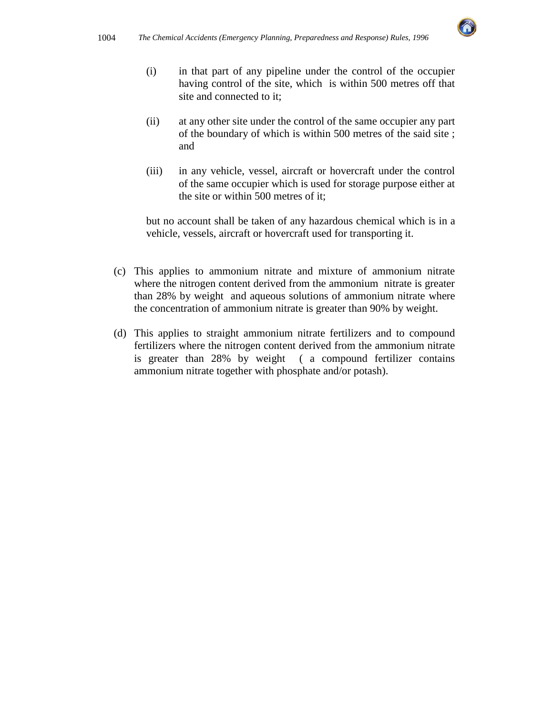

- (i) in that part of any pipeline under the control of the occupier having control of the site, which is within 500 metres off that site and connected to it;
- (ii) at any other site under the control of the same occupier any part of the boundary of which is within 500 metres of the said site ; and
- (iii) in any vehicle, vessel, aircraft or hovercraft under the control of the same occupier which is used for storage purpose either at the site or within 500 metres of it;

but no account shall be taken of any hazardous chemical which is in a vehicle, vessels, aircraft or hovercraft used for transporting it.

- (c) This applies to ammonium nitrate and mixture of ammonium nitrate where the nitrogen content derived from the ammonium nitrate is greater than 28% by weight and aqueous solutions of ammonium nitrate where the concentration of ammonium nitrate is greater than 90% by weight.
- (d) This applies to straight ammonium nitrate fertilizers and to compound fertilizers where the nitrogen content derived from the ammonium nitrate is greater than 28% by weight ( a compound fertilizer contains ammonium nitrate together with phosphate and/or potash).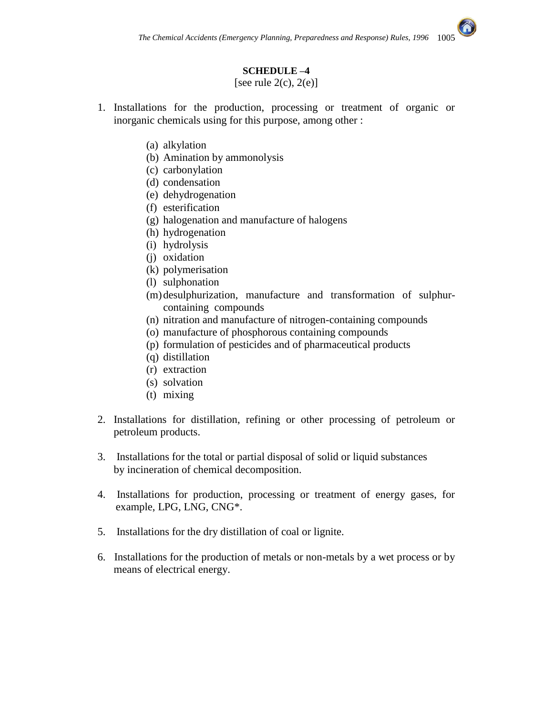

[see rule  $2(c)$ ,  $2(e)$ ]

- 1. Installations for the production, processing or treatment of organic or inorganic chemicals using for this purpose, among other :
	- (a) alkylation
	- (b) Amination by ammonolysis
	- (c) carbonylation
	- (d) condensation
	- (e) dehydrogenation
	- (f) esterification
	- (g) halogenation and manufacture of halogens
	- (h) hydrogenation
	- (i) hydrolysis
	- (j) oxidation
	- (k) polymerisation
	- (l) sulphonation
	- (m)desulphurization, manufacture and transformation of sulphurcontaining compounds
	- (n) nitration and manufacture of nitrogen-containing compounds
	- (o) manufacture of phosphorous containing compounds
	- (p) formulation of pesticides and of pharmaceutical products
	- (q) distillation
	- (r) extraction
	- (s) solvation
	- (t) mixing
- 2. Installations for distillation, refining or other processing of petroleum or petroleum products.
- 3. Installations for the total or partial disposal of solid or liquid substances by incineration of chemical decomposition.
- 4. Installations for production, processing or treatment of energy gases, for example, LPG, LNG, CNG\*.
- 5. Installations for the dry distillation of coal or lignite.
- 6. Installations for the production of metals or non-metals by a wet process or by means of electrical energy.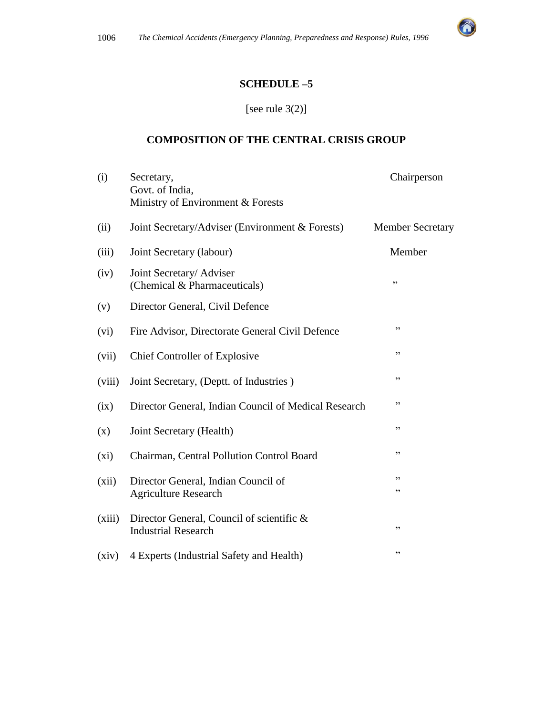

#### **SCHEDULE –5**

# [see rule 3(2)]

#### **COMPOSITION OF THE CENTRAL CRISIS GROUP**

| (i)     | Secretary,                                                              | Chairperson             |
|---------|-------------------------------------------------------------------------|-------------------------|
|         | Govt. of India,<br>Ministry of Environment & Forests                    |                         |
|         |                                                                         |                         |
| (ii)    | Joint Secretary/Adviser (Environment & Forests)                         | <b>Member Secretary</b> |
| (iii)   | Joint Secretary (labour)                                                | Member                  |
| (iv)    | Joint Secretary/ Adviser<br>(Chemical & Pharmaceuticals)                | ,,                      |
| (v)     | Director General, Civil Defence                                         |                         |
| (vi)    | Fire Advisor, Directorate General Civil Defence                         | , ,                     |
| (vii)   | Chief Controller of Explosive                                           | , 2                     |
| (viii)  | Joint Secretary, (Deptt. of Industries)                                 | ,,                      |
| (ix)    | Director General, Indian Council of Medical Research                    | , 2                     |
| (x)     | Joint Secretary (Health)                                                | , 2                     |
| $(x_i)$ | Chairman, Central Pollution Control Board                               | ,,                      |
| (xii)   | Director General, Indian Council of                                     | ,,                      |
|         | <b>Agriculture Research</b>                                             | , 2                     |
| (xiii)  | Director General, Council of scientific &<br><b>Industrial Research</b> | , 2                     |
| (xiv)   | 4 Experts (Industrial Safety and Health)                                | , 2, 3                  |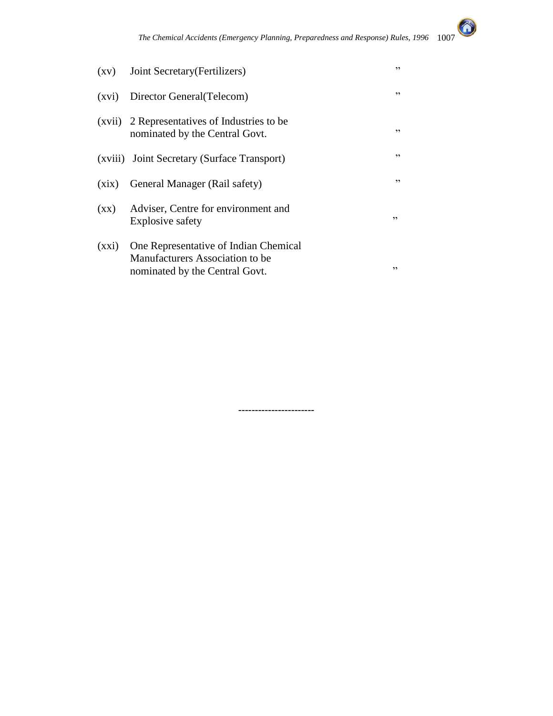

| $\left( xy\right)$       | Joint Secretary (Fertilizers)                                                                              | ,, |
|--------------------------|------------------------------------------------------------------------------------------------------------|----|
|                          | (xvi) Director General (Telecom)                                                                           | ,, |
|                          | (xvii) 2 Representatives of Industries to be<br>nominated by the Central Govt.                             | ,, |
|                          | (xviii) Joint Secretary (Surface Transport)                                                                | ,, |
| (xix)                    | General Manager (Rail safety)                                                                              | ,, |
| $(\mathbf{X}\mathbf{X})$ | Adviser, Centre for environment and<br>Explosive safety                                                    | ,, |
| (xxi)                    | One Representative of Indian Chemical<br>Manufacturers Association to be<br>nominated by the Central Govt. | ,, |

**-----------------------**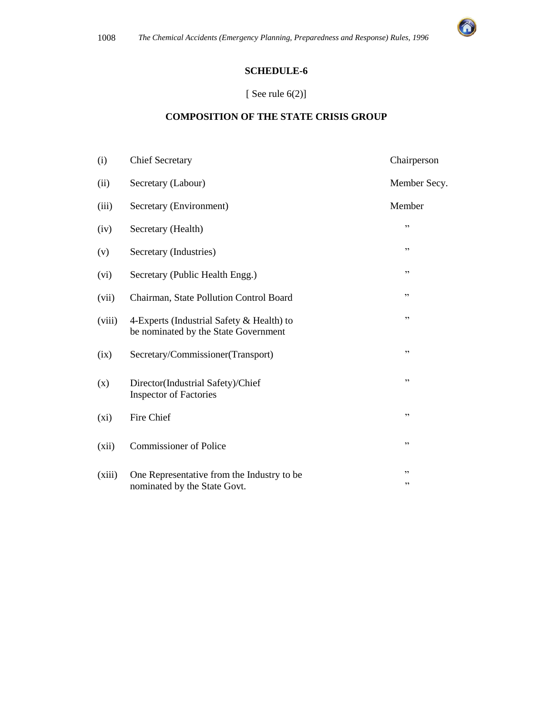

## **SCHEDULE-6**

#### [ See rule  $6(2)$ ]

## **COMPOSITION OF THE STATE CRISIS GROUP**

| (i)    | <b>Chief Secretary</b>                                                            | Chairperson  |
|--------|-----------------------------------------------------------------------------------|--------------|
| (ii)   | Secretary (Labour)                                                                | Member Secy. |
| (iii)  | Secretary (Environment)                                                           | Member       |
| (iv)   | Secretary (Health)                                                                | , 2          |
| (v)    | Secretary (Industries)                                                            | , 2          |
| (vi)   | Secretary (Public Health Engg.)                                                   | , 2          |
| (vii)  | Chairman, State Pollution Control Board                                           | ,,           |
| (viii) | 4-Experts (Industrial Safety & Health) to<br>be nominated by the State Government | , 2          |
| (ix)   | Secretary/Commissioner(Transport)                                                 | , 2          |
| (x)    | Director(Industrial Safety)/Chief<br><b>Inspector of Factories</b>                | ,,           |
| (xi)   | Fire Chief                                                                        | , ,          |
| (xii)  | <b>Commissioner of Police</b>                                                     | , ,          |
| (xiii) | One Representative from the Industry to be                                        | ,,<br>$, ,$  |
|        | nominated by the State Govt.                                                      |              |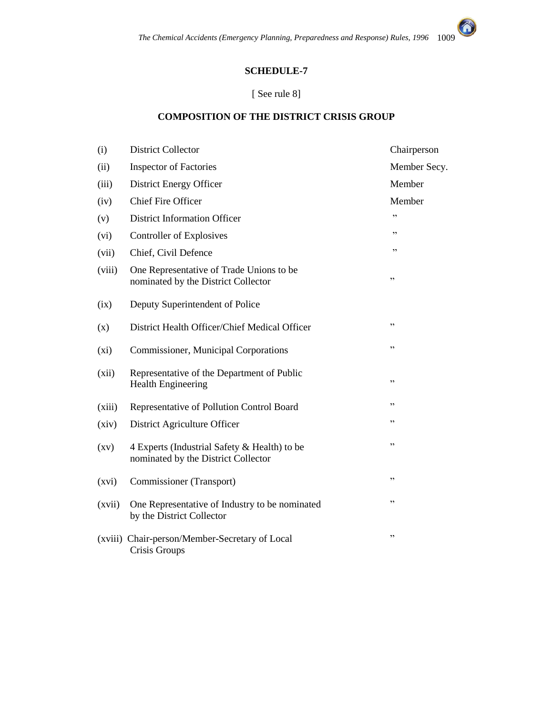#### **SCHEDULE-7**

#### [ See rule 8]

## **COMPOSITION OF THE DISTRICT CRISIS GROUP**

| (i)                | <b>District Collector</b>                                                           | Chairperson  |
|--------------------|-------------------------------------------------------------------------------------|--------------|
| (ii)               | <b>Inspector of Factories</b>                                                       | Member Secy. |
| (iii)              | District Energy Officer                                                             | Member       |
| (iv)               | <b>Chief Fire Officer</b>                                                           | Member       |
| (v)                | <b>District Information Officer</b>                                                 | , ,          |
| (vi)               | Controller of Explosives                                                            | ,,           |
| (vii)              | Chief, Civil Defence                                                                | ,,           |
| (viii)             | One Representative of Trade Unions to be<br>nominated by the District Collector     | ,,           |
| (ix)               | Deputy Superintendent of Police                                                     |              |
| (x)                | District Health Officer/Chief Medical Officer                                       | ,,           |
| $(x_i)$            | <b>Commissioner, Municipal Corporations</b>                                         | ,,           |
| (xii)              | Representative of the Department of Public<br><b>Health Engineering</b>             | ,,           |
| (xiii)             | Representative of Pollution Control Board                                           | ,,           |
| (xiv)              | District Agriculture Officer                                                        | ,,           |
| $\left( xy\right)$ | 4 Experts (Industrial Safety & Health) to be<br>nominated by the District Collector | ,,           |
| (xvi)              | Commissioner (Transport)                                                            | ,,           |
| (xvii)             | One Representative of Industry to be nominated<br>by the District Collector         | ,,           |
|                    | (xviii) Chair-person/Member-Secretary of Local<br>Crisis Groups                     | ,,           |